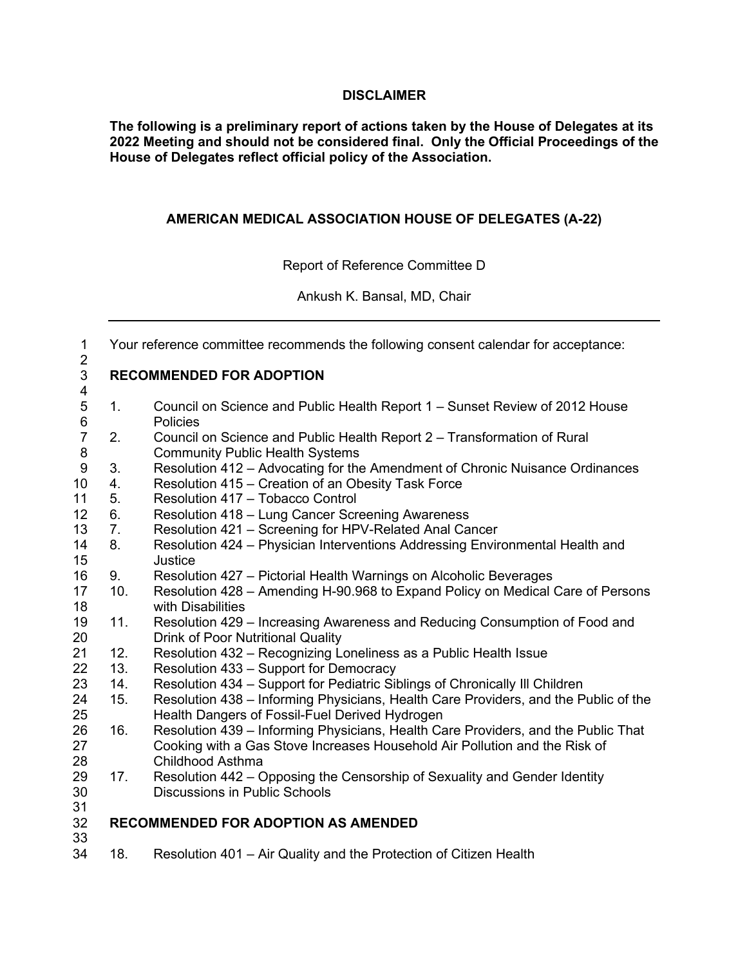#### **DISCLAIMER**

**The following is a preliminary report of actions taken by the House of Delegates at its 2022 Meeting and should not be considered final. Only the Official Proceedings of the House of Delegates reflect official policy of the Association.**

## **AMERICAN MEDICAL ASSOCIATION HOUSE OF DELEGATES (A-22)**

Report of Reference Committee D

Ankush K. Bansal, MD, Chair

| $\mathbf 1$<br>$\overline{2}$ |                                 | Your reference committee recommends the following consent calendar for acceptance:                                     |  |
|-------------------------------|---------------------------------|------------------------------------------------------------------------------------------------------------------------|--|
| 3<br>4                        | <b>RECOMMENDED FOR ADOPTION</b> |                                                                                                                        |  |
| $\mathbf 5$<br>$\,6$          | 1.                              | Council on Science and Public Health Report 1 – Sunset Review of 2012 House<br>Policies                                |  |
| $\overline{7}$<br>$\bf 8$     | 2.                              | Council on Science and Public Health Report 2 – Transformation of Rural<br><b>Community Public Health Systems</b>      |  |
| $\boldsymbol{9}$              | 3.                              | Resolution 412 - Advocating for the Amendment of Chronic Nuisance Ordinances                                           |  |
| 10                            | 4.                              | Resolution 415 – Creation of an Obesity Task Force                                                                     |  |
| 11                            | 5.                              | Resolution 417 - Tobacco Control                                                                                       |  |
| 12                            | 6.                              | Resolution 418 - Lung Cancer Screening Awareness                                                                       |  |
| 13                            | 7.                              | Resolution 421 - Screening for HPV-Related Anal Cancer                                                                 |  |
| 14                            | 8.                              | Resolution 424 - Physician Interventions Addressing Environmental Health and                                           |  |
| 15                            |                                 | Justice                                                                                                                |  |
| 16                            | 9.                              | Resolution 427 – Pictorial Health Warnings on Alcoholic Beverages                                                      |  |
| 17<br>18                      | 10.                             | Resolution 428 – Amending H-90.968 to Expand Policy on Medical Care of Persons<br>with Disabilities                    |  |
| 19<br>20                      | 11.                             | Resolution 429 - Increasing Awareness and Reducing Consumption of Food and<br><b>Drink of Poor Nutritional Quality</b> |  |
| 21                            | 12.                             | Resolution 432 - Recognizing Loneliness as a Public Health Issue                                                       |  |
| 22                            | 13.                             | Resolution 433 - Support for Democracy                                                                                 |  |
| 23                            | 14.                             | Resolution 434 – Support for Pediatric Siblings of Chronically III Children                                            |  |
| 24                            | 15.                             | Resolution 438 – Informing Physicians, Health Care Providers, and the Public of the                                    |  |
| 25                            |                                 | Health Dangers of Fossil-Fuel Derived Hydrogen                                                                         |  |
| 26                            | 16.                             | Resolution 439 - Informing Physicians, Health Care Providers, and the Public That                                      |  |
| 27                            |                                 | Cooking with a Gas Stove Increases Household Air Pollution and the Risk of                                             |  |
| 28                            |                                 | <b>Childhood Asthma</b>                                                                                                |  |
| 29                            | 17.                             | Resolution 442 - Opposing the Censorship of Sexuality and Gender Identity                                              |  |
| 30                            |                                 | <b>Discussions in Public Schools</b>                                                                                   |  |
| 31                            |                                 |                                                                                                                        |  |
| 32                            |                                 | <b>RECOMMENDED FOR ADOPTION AS AMENDED</b>                                                                             |  |
| 33                            |                                 |                                                                                                                        |  |

18. Resolution 401 – Air Quality and the Protection of Citizen Health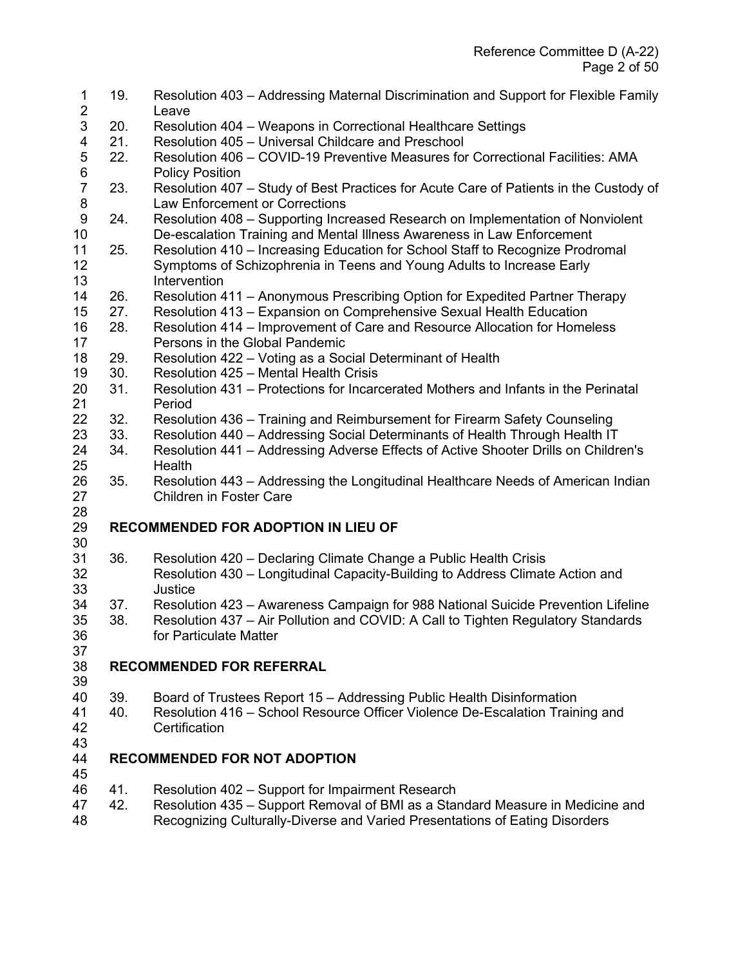| 1<br>$\overline{2}$ | 19. | Resolution 403 – Addressing Maternal Discrimination and Support for Flexible Family<br>Leave                       |
|---------------------|-----|--------------------------------------------------------------------------------------------------------------------|
| 3                   | 20. | Resolution 404 - Weapons in Correctional Healthcare Settings                                                       |
| 4                   | 21. | Resolution 405 - Universal Childcare and Preschool                                                                 |
| 5                   | 22. | Resolution 406 - COVID-19 Preventive Measures for Correctional Facilities: AMA                                     |
| $\,6$               |     | <b>Policy Position</b>                                                                                             |
| $\overline{7}$      | 23. | Resolution 407 - Study of Best Practices for Acute Care of Patients in the Custody of                              |
| $\bf 8$             |     | <b>Law Enforcement or Corrections</b>                                                                              |
| 9                   | 24. | Resolution 408 – Supporting Increased Research on Implementation of Nonviolent                                     |
| 10                  |     | De-escalation Training and Mental Illness Awareness in Law Enforcement                                             |
| 11                  | 25. | Resolution 410 - Increasing Education for School Staff to Recognize Prodromal                                      |
| 12                  |     | Symptoms of Schizophrenia in Teens and Young Adults to Increase Early                                              |
| 13                  |     | Intervention                                                                                                       |
| 14                  | 26. | Resolution 411 - Anonymous Prescribing Option for Expedited Partner Therapy                                        |
| 15                  | 27. | Resolution 413 - Expansion on Comprehensive Sexual Health Education                                                |
| 16                  | 28. | Resolution 414 – Improvement of Care and Resource Allocation for Homeless                                          |
| 17                  |     | Persons in the Global Pandemic                                                                                     |
| 18                  | 29. | Resolution 422 - Voting as a Social Determinant of Health                                                          |
| 19                  | 30. | Resolution 425 - Mental Health Crisis                                                                              |
| 20                  | 31. | Resolution 431 – Protections for Incarcerated Mothers and Infants in the Perinatal                                 |
| 21                  |     | Period                                                                                                             |
| 22                  | 32. | Resolution 436 - Training and Reimbursement for Firearm Safety Counseling                                          |
| 23                  | 33. | Resolution 440 – Addressing Social Determinants of Health Through Health IT                                        |
| 24                  | 34. | Resolution 441 - Addressing Adverse Effects of Active Shooter Drills on Children's                                 |
| 25                  | 35. | Health                                                                                                             |
| 26<br>27            |     | Resolution 443 – Addressing the Longitudinal Healthcare Needs of American Indian<br><b>Children in Foster Care</b> |
| 28                  |     |                                                                                                                    |
| 29                  |     | <b>RECOMMENDED FOR ADOPTION IN LIEU OF</b>                                                                         |
| 30                  |     |                                                                                                                    |
| 31                  | 36. | Resolution 420 - Declaring Climate Change a Public Health Crisis                                                   |
| 32                  |     | Resolution 430 – Longitudinal Capacity-Building to Address Climate Action and                                      |
| 33                  |     | Justice                                                                                                            |
| 34                  | 37. | Resolution 423 - Awareness Campaign for 988 National Suicide Prevention Lifeline                                   |
| 35                  | 38. | Resolution 437 – Air Pollution and COVID: A Call to Tighten Regulatory Standards                                   |
| 36                  |     | for Particulate Matter                                                                                             |
| 37                  |     |                                                                                                                    |
| 38                  |     | <b>RECOMMENDED FOR REFERRAL</b>                                                                                    |
| 39                  |     |                                                                                                                    |
| 40                  | 39. | Board of Trustees Report 15 - Addressing Public Health Disinformation                                              |
| 41                  | 40. | Resolution 416 - School Resource Officer Violence De-Escalation Training and                                       |
| 42                  |     | Certification                                                                                                      |
| 43                  |     |                                                                                                                    |
| 44                  |     | <b>RECOMMENDED FOR NOT ADOPTION</b>                                                                                |
| 45                  |     |                                                                                                                    |
| 46                  | 41. | Resolution 402 - Support for Impairment Research                                                                   |

- 42. Resolution 435 Support Removal of BMI as a Standard Measure in Medicine and
- Recognizing Culturally-Diverse and Varied Presentations of Eating Disorders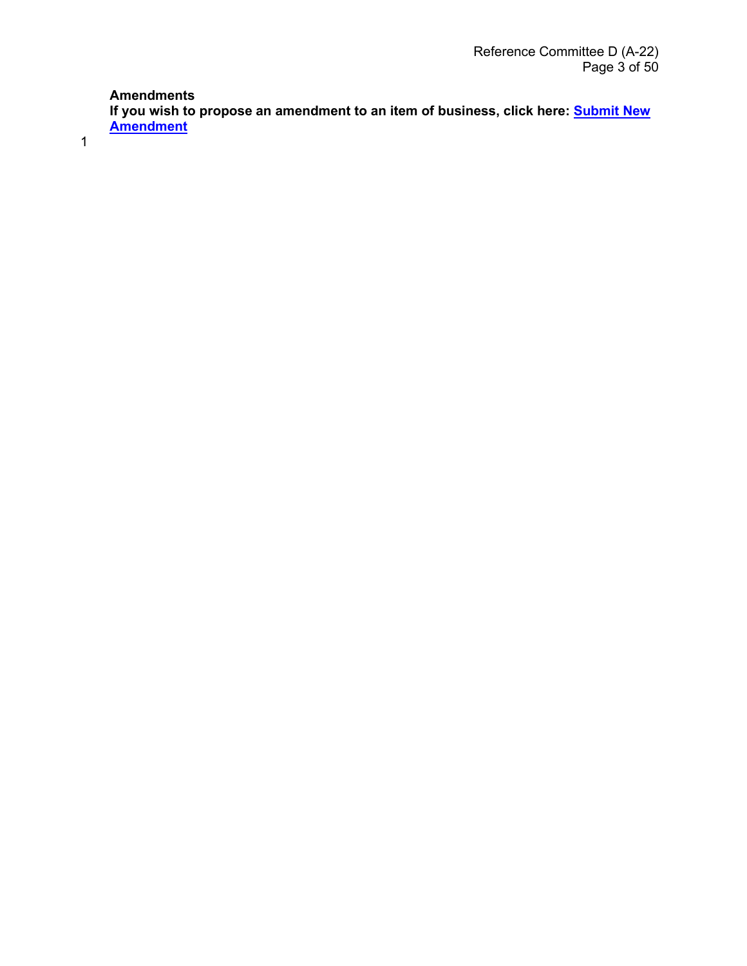## **Amendments**

**If you wish to propose an amendment to an item of business, click here: [Submit New](https://forms.office.com/Pages/ResponsePage.aspx?id=9mf-EVT9gUmSX5TDbtewhlljsixRHANIpoQXOENiFVdUNUZFTVRBVlVUSEZCRDlMVVJNRzJMNzJUMS4u&wdLOR=cB25C33F0-0EAE-4E59-BCEE-D5703F89D7C8)  [Amendment](https://forms.office.com/Pages/ResponsePage.aspx?id=9mf-EVT9gUmSX5TDbtewhlljsixRHANIpoQXOENiFVdUNUZFTVRBVlVUSEZCRDlMVVJNRzJMNzJUMS4u&wdLOR=cB25C33F0-0EAE-4E59-BCEE-D5703F89D7C8)**

1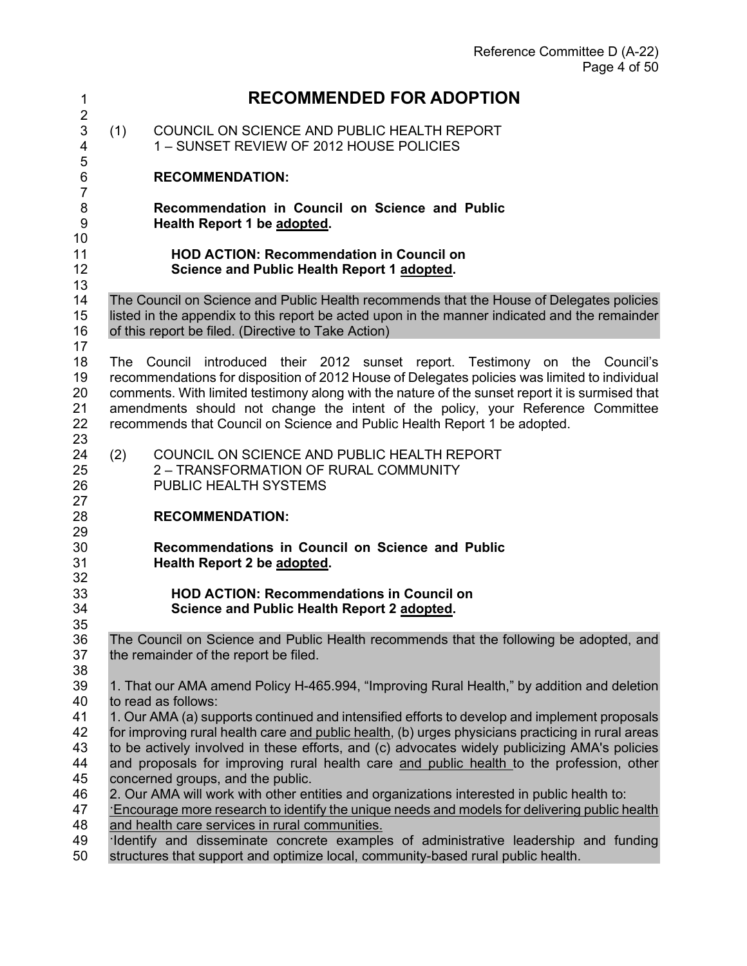| 1                          | <b>RECOMMENDED FOR ADOPTION</b>                                                                                                                                                                                                                                                                                                                                                                                                                 |
|----------------------------|-------------------------------------------------------------------------------------------------------------------------------------------------------------------------------------------------------------------------------------------------------------------------------------------------------------------------------------------------------------------------------------------------------------------------------------------------|
| $\overline{2}$<br>3<br>4   | COUNCIL ON SCIENCE AND PUBLIC HEALTH REPORT<br>(1)<br>1 - SUNSET REVIEW OF 2012 HOUSE POLICIES                                                                                                                                                                                                                                                                                                                                                  |
| 5<br>6<br>7                | <b>RECOMMENDATION:</b>                                                                                                                                                                                                                                                                                                                                                                                                                          |
| 8<br>9<br>10               | Recommendation in Council on Science and Public<br>Health Report 1 be adopted.                                                                                                                                                                                                                                                                                                                                                                  |
| 11<br>12<br>13             | <b>HOD ACTION: Recommendation in Council on</b><br>Science and Public Health Report 1 adopted.                                                                                                                                                                                                                                                                                                                                                  |
| 14<br>15<br>16<br>17       | The Council on Science and Public Health recommends that the House of Delegates policies<br>listed in the appendix to this report be acted upon in the manner indicated and the remainder<br>of this report be filed. (Directive to Take Action)                                                                                                                                                                                                |
| 18<br>19<br>20<br>21<br>22 | The Council introduced their 2012 sunset report. Testimony on the Council's<br>recommendations for disposition of 2012 House of Delegates policies was limited to individual<br>comments. With limited testimony along with the nature of the sunset report it is surmised that<br>amendments should not change the intent of the policy, your Reference Committee<br>recommends that Council on Science and Public Health Report 1 be adopted. |
| 23<br>24<br>25<br>26<br>27 | COUNCIL ON SCIENCE AND PUBLIC HEALTH REPORT<br>(2)<br>2 - TRANSFORMATION OF RURAL COMMUNITY<br>PUBLIC HEALTH SYSTEMS                                                                                                                                                                                                                                                                                                                            |
| 28<br>29                   | <b>RECOMMENDATION:</b>                                                                                                                                                                                                                                                                                                                                                                                                                          |
| 30<br>31<br>32             | Recommendations in Council on Science and Public<br>Health Report 2 be adopted.                                                                                                                                                                                                                                                                                                                                                                 |
| 33<br>34<br>35             | <b>HOD ACTION: Recommendations in Council on</b><br>Science and Public Health Report 2 adopted.                                                                                                                                                                                                                                                                                                                                                 |
| 36<br>37<br>38             | The Council on Science and Public Health recommends that the following be adopted, and<br>the remainder of the report be filed.                                                                                                                                                                                                                                                                                                                 |
| 39<br>40<br>41             | 1. That our AMA amend Policy H-465.994, "Improving Rural Health," by addition and deletion<br>to read as follows:<br>1. Our AMA (a) supports continued and intensified efforts to develop and implement proposals                                                                                                                                                                                                                               |
| 42<br>43<br>44<br>45       | for improving rural health care and public health, (b) urges physicians practicing in rural areas<br>to be actively involved in these efforts, and (c) advocates widely publicizing AMA's policies<br>and proposals for improving rural health care and public health to the profession, other<br>concerned groups, and the public.                                                                                                             |
| 46<br>47<br>48<br>49       | 2. Our AMA will work with other entities and organizations interested in public health to:<br>Encourage more research to identify the unique needs and models for delivering public health<br>and health care services in rural communities.<br>Identify and disseminate concrete examples of administrative leadership and funding                                                                                                             |

structures that support and optimize local, community-based rural public health.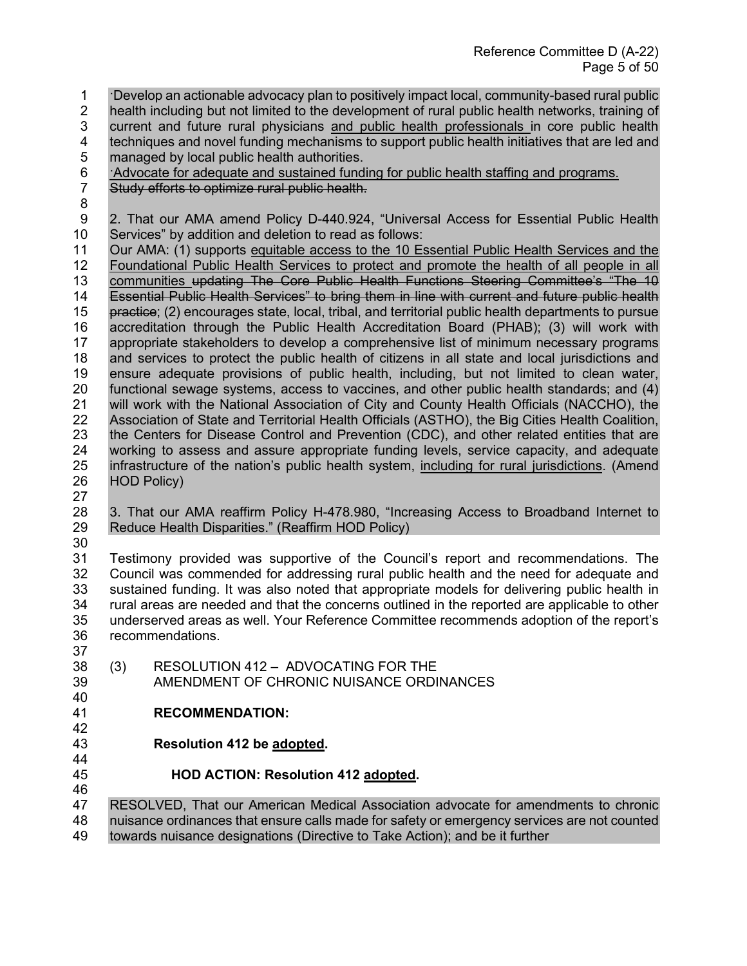- ·Develop an actionable advocacy plan to positively impact local, community-based rural public 2 health including but not limited to the development of rural public health networks, training of 3 current and future rural physicians and public health professionals in core public health<br>4 techniques and novel funding mechanisms to support public health initiatives that are led and techniques and novel funding mechanisms to support public health initiatives that are led and
- 5 managed by local public health authorities.
- 6 *Advocate for adequate and sustained funding for public health staffing and programs.*<br>7 Study efforts to optimize rural public health.
- Study efforts to optimize rural public health.
- 
- 9 2. That our AMA amend Policy D-440.924, "Universal Access for Essential Public Health 10 Services" by addition and deletion to read as follows:<br>11 Our AMA: (1) supports equitable access to the 10 Es
- Our AMA: (1) supports equitable access to the 10 Essential Public Health Services and the Foundational Public Health Services to protect and promote the health of all people in all communities updating The Core Public Health Functions Steering Committee's "The 10 Essential Public Health Services" to bring them in line with current and future public health 15 practice; (2) encourages state, local, tribal, and territorial public health departments to pursue<br>16 accreditation through the Public Health Accreditation Board (PHAB); (3) will work with accreditation through the Public Health Accreditation Board (PHAB); (3) will work with appropriate stakeholders to develop a comprehensive list of minimum necessary programs and services to protect the public health of citizens in all state and local jurisdictions and ensure adequate provisions of public health, including, but not limited to clean water, functional sewage systems, access to vaccines, and other public health standards; and (4) will work with the National Association of City and County Health Officials (NACCHO), the Association of State and Territorial Health Officials (ASTHO), the Big Cities Health Coalition, the Centers for Disease Control and Prevention (CDC), and other related entities that are working to assess and assure appropriate funding levels, service capacity, and adequate infrastructure of the nation's public health system, including for rural jurisdictions. (Amend HOD Policy)
- 
- 3. That our AMA reaffirm Policy H-478.980, "Increasing Access to Broadband Internet to Reduce Health Disparities." (Reaffirm HOD Policy)
- 

 Testimony provided was supportive of the Council's report and recommendations. The Council was commended for addressing rural public health and the need for adequate and sustained funding. It was also noted that appropriate models for delivering public health in rural areas are needed and that the concerns outlined in the reported are applicable to other underserved areas as well. Your Reference Committee recommends adoption of the report's recommendations.

- (3) RESOLUTION 412 ADVOCATING FOR THE
- AMENDMENT OF CHRONIC NUISANCE ORDINANCES
- **RECOMMENDATION:**
- 

**Resolution 412 be adopted.** 

## **HOD ACTION: Resolution 412 adopted.**

RESOLVED, That our American Medical Association advocate for amendments to chronic

 nuisance ordinances that ensure calls made for safety or emergency services are not counted towards nuisance designations (Directive to Take Action); and be it further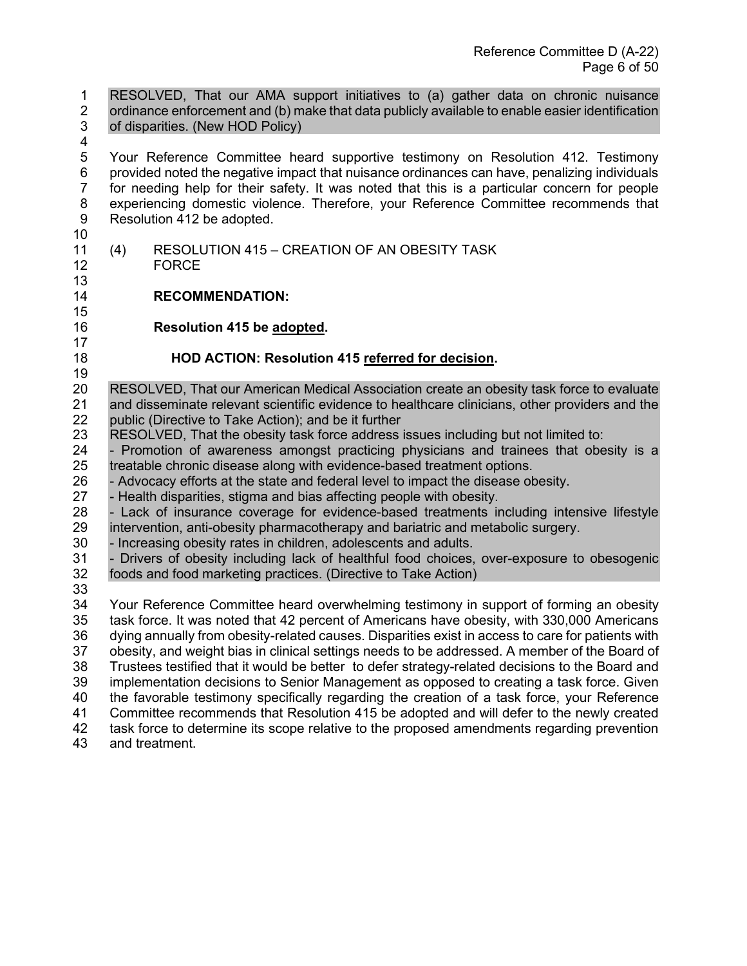1 RESOLVED, That our AMA support initiatives to (a) gather data on chronic nuisance 2 ordinance enforcement and (b) make that data publicly available to enable easier identification 3 of disparities. (New HOD Policy) 5 Your Reference Committee heard supportive testimony on Resolution 412. Testimony 6 provided noted the negative impact that nuisance ordinances can have, penalizing individuals 7 for needing help for their safety. It was noted that this is a particular concern for people 8 experiencing domestic violence. Therefore, your Reference Committee recommends that 9 Resolution 412 be adopted. <br> $11$ (4) RESOLUTION 415 – CREATION OF AN OBESITY TASK FORCE **RECOMMENDATION: Resolution 415 be adopted. HOD ACTION: Resolution 415 referred for decision.**  RESOLVED, That our American Medical Association create an obesity task force to evaluate and disseminate relevant scientific evidence to healthcare clinicians, other providers and the public (Directive to Take Action); and be it further RESOLVED, That the obesity task force address issues including but not limited to: - Promotion of awareness amongst practicing physicians and trainees that obesity is a treatable chronic disease along with evidence-based treatment options. 26 - Advocacy efforts at the state and federal level to impact the disease obesity.<br>27 - Health disparities, stigma and bias affecting people with obesity. - Health disparities, stigma and bias affecting people with obesity. - Lack of insurance coverage for evidence-based treatments including intensive lifestyle intervention, anti-obesity pharmacotherapy and bariatric and metabolic surgery. - Increasing obesity rates in children, adolescents and adults. - Drivers of obesity including lack of healthful food choices, over-exposure to obesogenic foods and food marketing practices. (Directive to Take Action) Your Reference Committee heard overwhelming testimony in support of forming an obesity task force. It was noted that 42 percent of Americans have obesity, with 330,000 Americans dying annually from obesity-related causes. Disparities exist in access to care for patients with obesity, and weight bias in clinical settings needs to be addressed. A member of the Board of Trustees testified that it would be better to defer strategy-related decisions to the Board and 39 implementation decisions to Senior Management as opposed to creating a task force. Given<br>40 the favorable testimony specifically regarding the creation of a task force, your Reference the favorable testimony specifically regarding the creation of a task force, your Reference Committee recommends that Resolution 415 be adopted and will defer to the newly created task force to determine its scope relative to the proposed amendments regarding prevention

and treatment.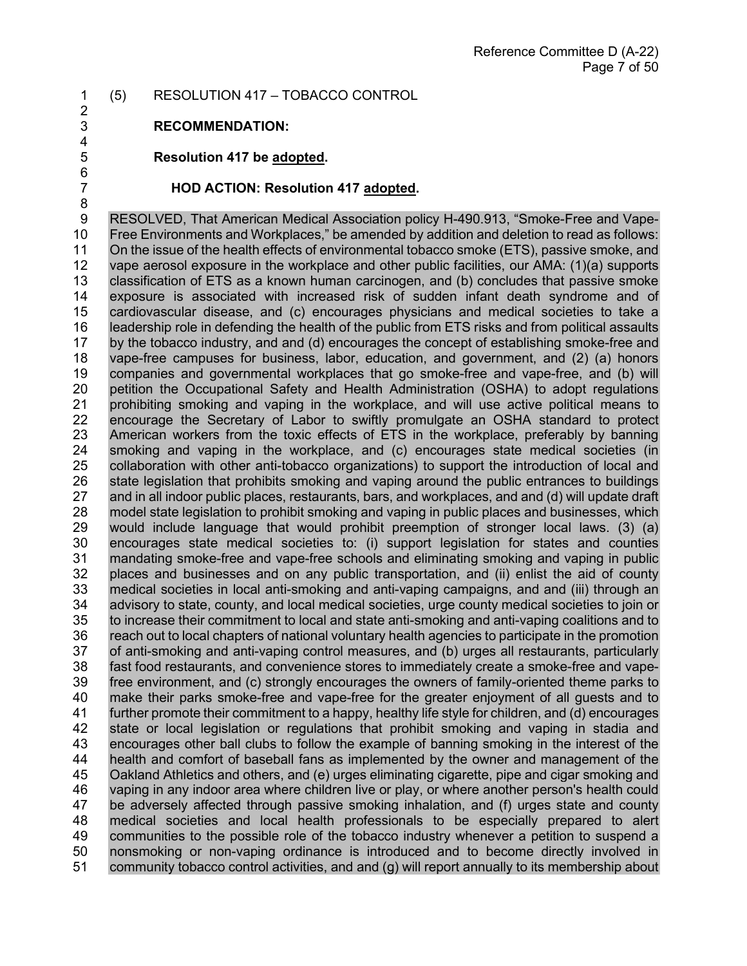#### 1 (5) RESOLUTION 417 – TOBACCO CONTROL 2

3 **RECOMMENDATION:**

4<br>5

6<br>7

8

5 **Resolution 417 be adopted.** 

#### 7 **HOD ACTION: Resolution 417 adopted.**

9 RESOLVED, That American Medical Association policy H-490.913, "Smoke-Free and Vape-10 Free Environments and Workplaces," be amended by addition and deletion to read as follows:<br>11 On the issue of the health effects of environmental tobacco smoke (ETS), passive smoke, and On the issue of the health effects of environmental tobacco smoke (ETS), passive smoke, and 12 vape aerosol exposure in the workplace and other public facilities, our AMA: (1)(a) supports 13 classification of ETS as a known human carcinogen, and (b) concludes that passive smoke exposure is associated with increased risk of sudden infant death syndrome and of 15 cardiovascular disease, and (c) encourages physicians and medical societies to take a 16 leadership role in defending the health of the public from ETS risks and from political assaults<br>17 by the tobacco industry, and and (d) encourages the concept of establishing smoke-free and 17 by the tobacco industry, and and (d) encourages the concept of establishing smoke-free and<br>18 vape-free campuses for business, labor, education, and government, and (2) (a) honors vape-free campuses for business, labor, education, and government, and (2) (a) honors 19 companies and governmental workplaces that go smoke-free and vape-free, and (b) will 20 petition the Occupational Safety and Health Administration (OSHA) to adopt regulations 21 prohibiting smoking and vaping in the workplace, and will use active political means to 22 encourage the Secretary of Labor to swiftly promulgate an OSHA standard to protect 23 American workers from the toxic effects of ETS in the workplace, preferably by banning<br>24 smoking and vaping in the workplace, and (c) encourages state medical societies (in smoking and vaping in the workplace, and (c) encourages state medical societies (in 25 collaboration with other anti-tobacco organizations) to support the introduction of local and<br>26 state legislation that prohibits smoking and vaping around the public entrances to buildings 26 state legislation that prohibits smoking and vaping around the public entrances to buildings<br>27 and in all indoor public places, restaurants, bars, and workplaces, and and (d) will update draft and in all indoor public places, restaurants, bars, and workplaces, and and (d) will update draft 28 model state legislation to prohibit smoking and vaping in public places and businesses, which<br>29 would include language that would prohibit preemption of stronger local laws. (3) (a) 29 would include language that would prohibit preemption of stronger local laws. (3) (a) 30 encourages state medical societies to: (i) support legislation for states and counties 31 mandating smoke-free and vape-free schools and eliminating smoking and vaping in public 32 places and businesses and on any public transportation, and (ii) enlist the aid of county<br>33 medical societies in local anti-smoking and anti-vaping campaigns, and and (iii) through an 33 medical societies in local anti-smoking and anti-vaping campaigns, and and (iii) through an<br>34 advisory to state, county, and local medical societies, urge county medical societies to join or advisory to state, county, and local medical societies, urge county medical societies to join or 35 to increase their commitment to local and state anti-smoking and anti-vaping coalitions and to 36 reach out to local chapters of national voluntary health agencies to participate in the promotion<br>37 of anti-smoking and anti-vaping control measures, and (b) urges all restaurants, particularly of anti-smoking and anti-vaping control measures, and (b) urges all restaurants, particularly 38 fast food restaurants, and convenience stores to immediately create a smoke-free and vape-39 free environment, and (c) strongly encourages the owners of family-oriented theme parks to<br>40 make their parks smoke-free and vape-free for the greater enjoyment of all quests and to 40 make their parks smoke-free and vape-free for the greater enjoyment of all guests and to 41 further promote their commitment to a happy, healthy life style for children, and (d) encourages further promote their commitment to a happy, healthy life style for children, and (d) encourages 42 state or local legislation or regulations that prohibit smoking and vaping in stadia and 43 encourages other ball clubs to follow the example of banning smoking in the interest of the 44 health and comfort of baseball fans as implemented by the owner and management of the health and comfort of baseball fans as implemented by the owner and management of the 45 Oakland Athletics and others, and (e) urges eliminating cigarette, pipe and cigar smoking and 46 vaping in any indoor area where children live or play, or where another person's health could 47 be adversely affected through passive smoking inhalation, and (f) urges state and county<br>48 medical societies and local health professionals to be especially prepared to alert 48 medical societies and local health professionals to be especially prepared to alert 49 communities to the possible role of the tobacco industry whenever a petition to suspend a 50 nonsmoking or non-vaping ordinance is introduced and to become directly involved in 51 community tobacco control activities, and and (g) will report annually to its membership about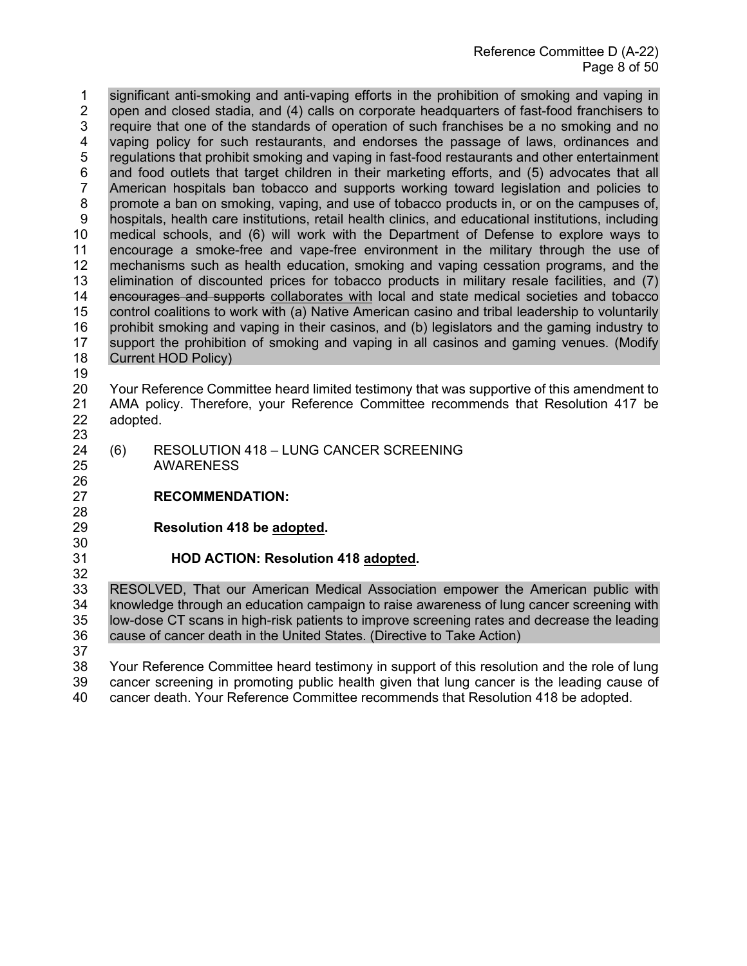1 significant anti-smoking and anti-vaping efforts in the prohibition of smoking and vaping in 2 open and closed stadia, and (4) calls on corporate headquarters of fast-food franchisers to 3 require that one of the standards of operation of such franchises be a no smoking and no<br>4 vaping policy for such restaurants, and endorses the passage of laws, ordinances and vaping policy for such restaurants, and endorses the passage of laws, ordinances and 5 regulations that prohibit smoking and vaping in fast-food restaurants and other entertainment 6 and food outlets that target children in their marketing efforts, and (5) advocates that all 67 American hospitals ban tobacco and supports working toward legislation and policies to American hospitals ban tobacco and supports working toward legislation and policies to 8 promote a ban on smoking, vaping, and use of tobacco products in, or on the campuses of, 9 hospitals, health care institutions, retail health clinics, and educational institutions, including 10 medical schools, and (6) will work with the Department of Defense to explore ways to 11 encourage a smoke-free and vape-free environment in the military through the use of encourage a smoke-free and vape-free environment in the military through the use of mechanisms such as health education, smoking and vaping cessation programs, and the elimination of discounted prices for tobacco products in military resale facilities, and (7) encourages and supports collaborates with local and state medical societies and tobacco control coalitions to work with (a) Native American casino and tribal leadership to voluntarily prohibit smoking and vaping in their casinos, and (b) legislators and the gaming industry to support the prohibition of smoking and vaping in all casinos and gaming venues. (Modify Current HOD Policy)

 Your Reference Committee heard limited testimony that was supportive of this amendment to AMA policy. Therefore, your Reference Committee recommends that Resolution 417 be adopted.

- (6) RESOLUTION 418 LUNG CANCER SCREENING AWARENESS
- **RECOMMENDATION:**
- 

**Resolution 418 be adopted.** 

# **HOD ACTION: Resolution 418 adopted.**

32<br>33 33 RESOLVED, That our American Medical Association empower the American public with 34 Interaction cannosing with knowledge through an education campaign to raise awareness of lung cancer screening with low-dose CT scans in high-risk patients to improve screening rates and decrease the leading cause of cancer death in the United States. (Directive to Take Action)

 Your Reference Committee heard testimony in support of this resolution and the role of lung cancer screening in promoting public health given that lung cancer is the leading cause of cancer death. Your Reference Committee recommends that Resolution 418 be adopted.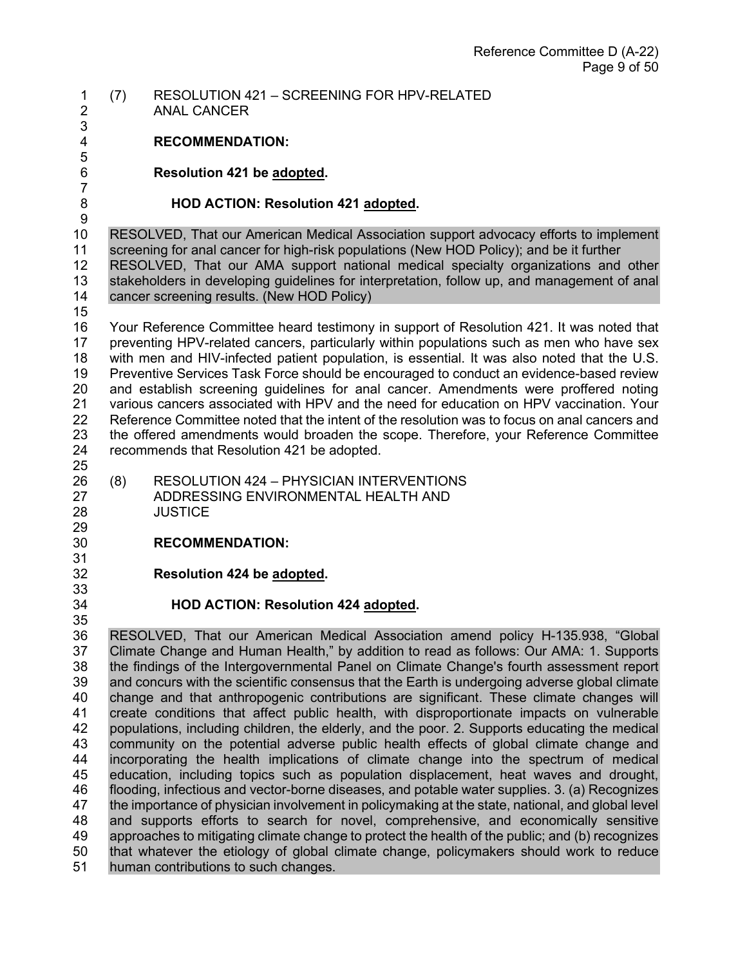#### 1 (7) RESOLUTION 421 – SCREENING FOR HPV-RELATED ANAL CANCER

3

5

# 4 **RECOMMENDATION:**

6 **Resolution 421 be adopted.** 

7

## 8 **HOD ACTION: Resolution 421 adopted.**

 $\frac{9}{10}$ 10 RESOLVED, That our American Medical Association support advocacy efforts to implement 11 screening for anal cancer for high-risk populations (New HOD Policy): and be it further screening for anal cancer for high-risk populations (New HOD Policy); and be it further 12 RESOLVED, That our AMA support national medical specialty organizations and other 13 stakeholders in developing guidelines for interpretation, follow up, and management of anal<br>14 cancer screening results. (New HOD Policy) cancer screening results. (New HOD Policy)

15

16 Your Reference Committee heard testimony in support of Resolution 421. It was noted that<br>17 preventing HPV-related cancers, particularly within populations such as men who have sex 17 preventing HPV-related cancers, particularly within populations such as men who have sex<br>18 with men and HIV-infected patient population, is essential. It was also noted that the U.S. with men and HIV-infected patient population, is essential. It was also noted that the U.S. 19 Preventive Services Task Force should be encouraged to conduct an evidence-based review 20 and establish screening guidelines for anal cancer. Amendments were proffered noting<br>21 various cancers associated with HPV and the need for education on HPV vaccination. Your various cancers associated with HPV and the need for education on HPV vaccination. Your 22 Reference Committee noted that the intent of the resolution was to focus on anal cancers and 23 the offered amendments would broaden the scope. Therefore, your Reference Committee<br>24 recommends that Resolution 421 be adopted. recommends that Resolution 421 be adopted. 25<br>26

- 26 (8) RESOLUTION 424 PHYSICIAN INTERVENTIONS<br>27 ADDRESSING ENVIRONMENTAL HEALTH AND ADDRESSING ENVIRONMENTAL HEALTH AND 28 JUSTICE
- 29<br>30 30 **RECOMMENDATION:**
- 31

33<br>34

35

32 **Resolution 424 be adopted.** 

## 34 **HOD ACTION: Resolution 424 adopted.**

36 RESOLVED, That our American Medical Association amend policy H-135.938, "Global<br>37 Climate Change and Human Health," by addition to read as follows: Our AMA: 1. Supports Climate Change and Human Health," by addition to read as follows: Our AMA: 1. Supports 38 the findings of the Intergovernmental Panel on Climate Change's fourth assessment report 39 and concurs with the scientific consensus that the Earth is undergoing adverse global climate<br>40 change and that anthropogenic contributions are significant. These climate changes will 40 change and that anthropogenic contributions are significant. These climate changes will<br>41 create conditions that affect public health, with disproportionate impacts on vulnerable 41 create conditions that affect public health, with disproportionate impacts on vulnerable 42 populations, including children, the elderly, and the poor. 2. Supports educating the medical 43 community on the potential adverse public health effects of global climate change and<br>44 incorporating the health implications of climate change into the spectrum of medical incorporating the health implications of climate change into the spectrum of medical 45 education, including topics such as population displacement, heat waves and drought, 46 flooding, infectious and vector-borne diseases, and potable water supplies. 3. (a) Recognizes 47 the importance of physician involvement in policymaking at the state, national, and global level<br>48 and supports efforts to search for novel, comprehensive, and economically sensitive and supports efforts to search for novel, comprehensive, and economically sensitive 49 approaches to mitigating climate change to protect the health of the public; and (b) recognizes 50 that whatever the etiology of global climate change, policymakers should work to reduce 51 human contributions to such changes.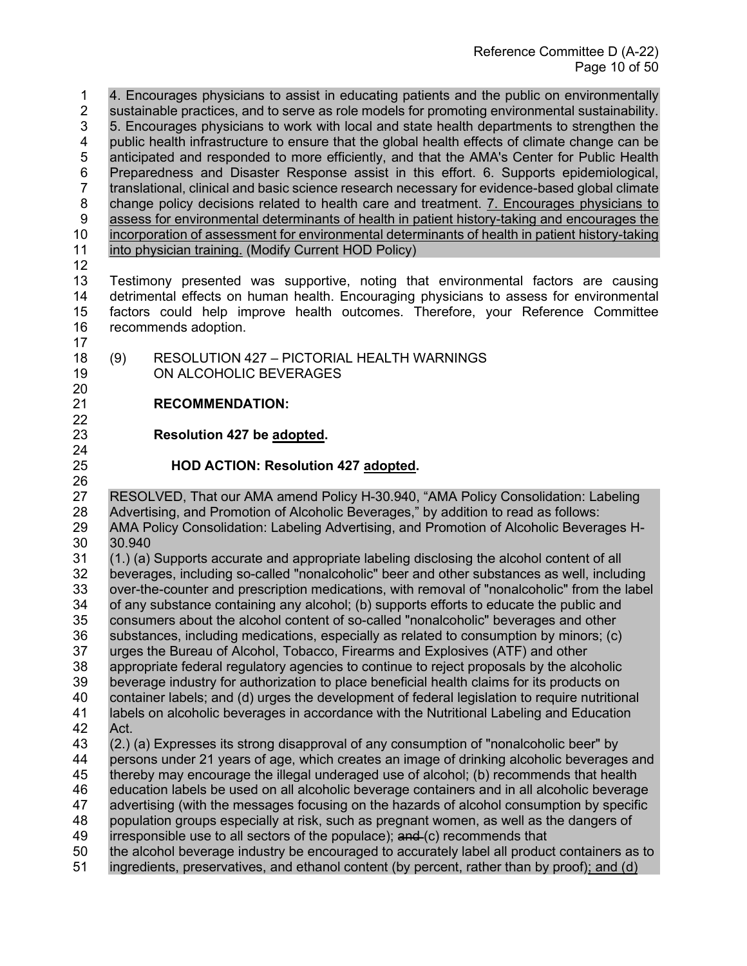1 4. Encourages physicians to assist in educating patients and the public on environmentally 2 sustainable practices, and to serve as role models for promoting environmental sustainability. 3 5. Encourages physicians to work with local and state health departments to strengthen the<br>4 public health infrastructure to ensure that the global health effects of climate change can be public health infrastructure to ensure that the global health effects of climate change can be 5 anticipated and responded to more efficiently, and that the AMA's Center for Public Health 6 Preparedness and Disaster Response assist in this effort. 6. Supports epidemiological,<br>7 translational, clinical and basic science research necessary for evidence-based global climate translational, clinical and basic science research necessary for evidence-based global climate 8 change policy decisions related to health care and treatment. 7. Encourages physicians to 9 assess for environmental determinants of health in patient history-taking and encourages the 10 incorporation of assessment for environmental determinants of health in patient history-taking<br>11 into physician training. (Modify Current HOD Policy) into physician training. (Modify Current HOD Policy)

12

20

22

24

13 Testimony presented was supportive, noting that environmental factors are causing 14 detrimental effects on human health. Encouraging physicians to assess for environmental 15 factors could help improve health outcomes. Therefore, your Reference Committee recommends adoption. 17

18 (9) RESOLUTION 427 – PICTORIAL HEALTH WARNINGS 19 ON ALCOHOLIC BEVERAGES

## 21 **RECOMMENDATION:**

23 **Resolution 427 be adopted.** 

## 25 **HOD ACTION: Resolution 427 adopted.**

26<br>27 RESOLVED, That our AMA amend Policy H-30.940, "AMA Policy Consolidation: Labeling 28 Advertising, and Promotion of Alcoholic Beverages," by addition to read as follows: 29 AMA Policy Consolidation: Labeling Advertising, and Promotion of Alcoholic Beverages H-30 30.940

31 (1.) (a) Supports accurate and appropriate labeling disclosing the alcohol content of all 32 beverages, including so-called "nonalcoholic" beer and other substances as well, including 33 over-the-counter and prescription medications, with removal of "nonalcoholic" from the label<br>34 of any substance containing any alcohol; (b) supports efforts to educate the public and of any substance containing any alcohol; (b) supports efforts to educate the public and 35 consumers about the alcohol content of so-called "nonalcoholic" beverages and other 36 substances, including medications, especially as related to consumption by minors; (c)<br>37 urges the Bureau of Alcohol, Tobacco, Firearms and Explosives (ATF) and other 37 urges the Bureau of Alcohol, Tobacco, Firearms and Explosives (ATF) and other 38 appropriate federal regulatory agencies to continue to reject proposals by the alcoholic 39 beverage industry for authorization to place beneficial health claims for its products on<br>40 container labels; and (d) urges the development of federal legislation to reguire nutrition 40 container labels; and (d) urges the development of federal legislation to require nutritional<br>41 labels on alcoholic beverages in accordance with the Nutritional Labeling and Education labels on alcoholic beverages in accordance with the Nutritional Labeling and Education 42 Act.

43 (2.) (a) Expresses its strong disapproval of any consumption of "nonalcoholic beer" by 44 persons under 21 years of age, which creates an image of drinking alcoholic beverages and

45 thereby may encourage the illegal underaged use of alcohol; (b) recommends that health

46 education labels be used on all alcoholic beverage containers and in all alcoholic beverage

47 advertising (with the messages focusing on the hazards of alcohol consumption by specific

48 population groups especially at risk, such as pregnant women, as well as the dangers of

49 irresponsible use to all sectors of the populace);  $and (c)$  recommends that

- 50 the alcohol beverage industry be encouraged to accurately label all product containers as to
- 51 ingredients, preservatives, and ethanol content (by percent, rather than by proof); and (d)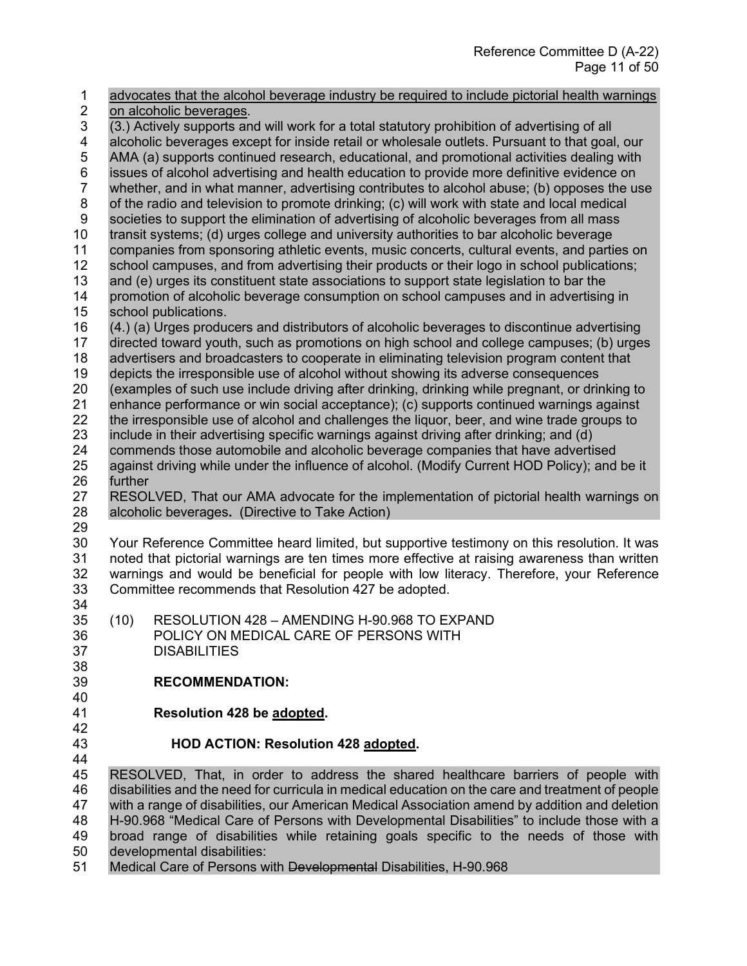| advocates that the alcohol beverage industry be required to include pictorial health warnings<br>1                               |                                                                                 |  |  |
|----------------------------------------------------------------------------------------------------------------------------------|---------------------------------------------------------------------------------|--|--|
| $\mathbf 2$<br>on alcoholic beverages.                                                                                           |                                                                                 |  |  |
| 3<br>(3.) Actively supports and will work for a total statutory prohibition of advertising of all                                |                                                                                 |  |  |
| 4<br>alcoholic beverages except for inside retail or wholesale outlets. Pursuant to that goal, our                               |                                                                                 |  |  |
| 5<br>AMA (a) supports continued research, educational, and promotional activities dealing with                                   |                                                                                 |  |  |
| 6<br>issues of alcohol advertising and health education to provide more definitive evidence on                                   |                                                                                 |  |  |
| $\overline{7}$<br>whether, and in what manner, advertising contributes to alcohol abuse; (b) opposes the use                     |                                                                                 |  |  |
| 8<br>of the radio and television to promote drinking; (c) will work with state and local medical                                 |                                                                                 |  |  |
| $\boldsymbol{9}$<br>societies to support the elimination of advertising of alcoholic beverages from all mass                     |                                                                                 |  |  |
| 10<br>transit systems; (d) urges college and university authorities to bar alcoholic beverage                                    |                                                                                 |  |  |
| 11<br>companies from sponsoring athletic events, music concerts, cultural events, and parties on                                 |                                                                                 |  |  |
| 12<br>school campuses, and from advertising their products or their logo in school publications;                                 |                                                                                 |  |  |
| 13<br>and (e) urges its constituent state associations to support state legislation to bar the                                   |                                                                                 |  |  |
| 14<br>promotion of alcoholic beverage consumption on school campuses and in advertising in                                       |                                                                                 |  |  |
| 15<br>school publications.                                                                                                       |                                                                                 |  |  |
| 16<br>(4.) (a) Urges producers and distributors of alcoholic beverages to discontinue advertising                                |                                                                                 |  |  |
| directed toward youth, such as promotions on high school and college campuses; (b) urges<br>17                                   |                                                                                 |  |  |
| 18<br>advertisers and broadcasters to cooperate in eliminating television program content that                                   |                                                                                 |  |  |
| 19<br>depicts the irresponsible use of alcohol without showing its adverse consequences                                          |                                                                                 |  |  |
| 20<br>(examples of such use include driving after drinking, drinking while pregnant, or drinking to                              |                                                                                 |  |  |
| 21<br>enhance performance or win social acceptance); (c) supports continued warnings against                                     |                                                                                 |  |  |
| 22<br>the irresponsible use of alcohol and challenges the liquor, beer, and wine trade groups to                                 |                                                                                 |  |  |
| 23<br>include in their advertising specific warnings against driving after drinking; and (d)                                     |                                                                                 |  |  |
| 24                                                                                                                               | commends those automobile and alcoholic beverage companies that have advertised |  |  |
| 25<br>against driving while under the influence of alcohol. (Modify Current HOD Policy); and be it                               |                                                                                 |  |  |
| 26<br>further                                                                                                                    |                                                                                 |  |  |
| 27<br>RESOLVED, That our AMA advocate for the implementation of pictorial health warnings on                                     |                                                                                 |  |  |
| 28<br>alcoholic beverages. (Directive to Take Action)                                                                            |                                                                                 |  |  |
| 29                                                                                                                               |                                                                                 |  |  |
| 30<br>Your Reference Committee heard limited, but supportive testimony on this resolution. It was                                |                                                                                 |  |  |
| 31<br>noted that pictorial warnings are ten times more effective at raising awareness than written                               |                                                                                 |  |  |
| 32<br>warnings and would be beneficial for people with low literacy. Therefore, your Reference                                   |                                                                                 |  |  |
| 33<br>Committee recommends that Resolution 427 be adopted.                                                                       |                                                                                 |  |  |
| 34                                                                                                                               |                                                                                 |  |  |
| 35<br>(10)<br>RESOLUTION 428 - AMENDING H-90.968 TO EXPAND                                                                       |                                                                                 |  |  |
| 36<br>POLICY ON MEDICAL CARE OF PERSONS WITH                                                                                     |                                                                                 |  |  |
| 37<br><b>DISABILITIES</b>                                                                                                        |                                                                                 |  |  |
| 38                                                                                                                               |                                                                                 |  |  |
| 39<br><b>RECOMMENDATION:</b>                                                                                                     |                                                                                 |  |  |
| 40                                                                                                                               |                                                                                 |  |  |
| 41<br>Resolution 428 be adopted.                                                                                                 |                                                                                 |  |  |
| 42                                                                                                                               |                                                                                 |  |  |
| 43<br><b>HOD ACTION: Resolution 428 adopted.</b>                                                                                 |                                                                                 |  |  |
| 44                                                                                                                               |                                                                                 |  |  |
| 45<br>RESOLVED, That, in order to address the shared healthcare barriers of people with                                          |                                                                                 |  |  |
|                                                                                                                                  |                                                                                 |  |  |
|                                                                                                                                  |                                                                                 |  |  |
| 46<br>disabilities and the need for curricula in medical education on the care and treatment of people                           |                                                                                 |  |  |
| 47<br>with a range of disabilities, our American Medical Association amend by addition and deletion                              |                                                                                 |  |  |
| 48<br>H-90.968 "Medical Care of Persons with Developmental Disabilities" to include those with a                                 |                                                                                 |  |  |
| 49<br>broad range of disabilities while retaining goals specific to the needs of those with<br>50<br>developmental disabilities: |                                                                                 |  |  |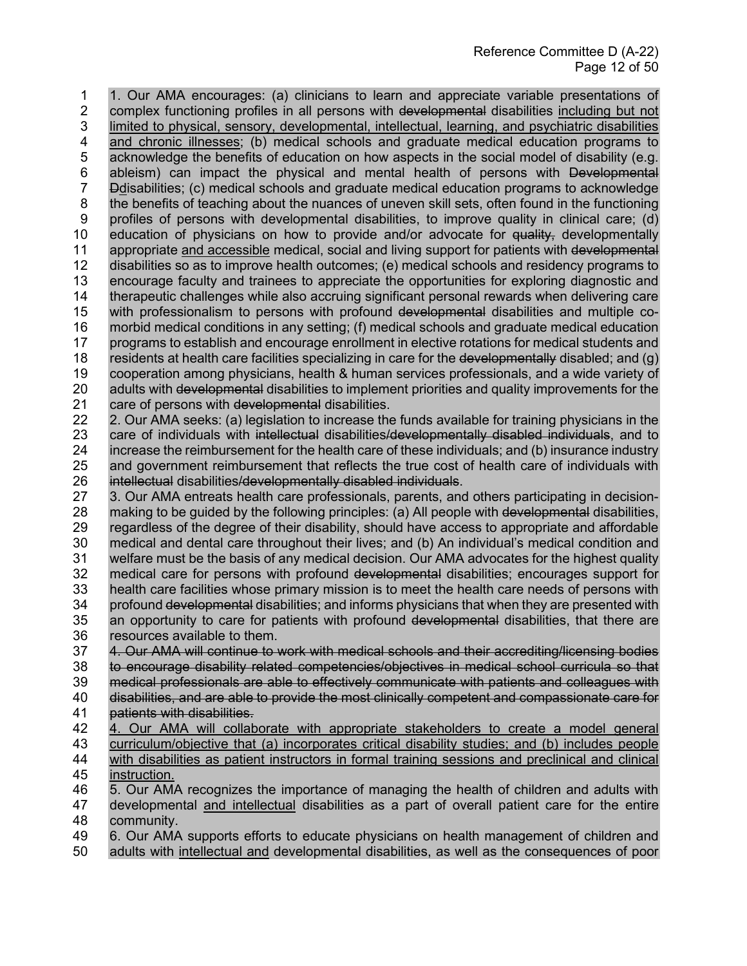1 1. Our AMA encourages: (a) clinicians to learn and appreciate variable presentations of 2 complex functioning profiles in all persons with developmental disabilities including but not 3 limited to physical, sensory, developmental, intellectual, learning, and psychiatric disabilities<br>4 and chronic illnesses; (b) medical schools and graduate medical education programs to and chronic illnesses; (b) medical schools and graduate medical education programs to 5 acknowledge the benefits of education on how aspects in the social model of disability (e.g. 6 ableism) can impact the physical and mental health of persons with <del>Developmental</del><br>7 Bolisabilities; (c) medical schools and graduate medical education programs to acknowledge 7 Ddisabilities; (c) medical schools and graduate medical education programs to acknowledge 8 the benefits of teaching about the nuances of uneven skill sets, often found in the functioning 9 profiles of persons with developmental disabilities, to improve quality in clinical care; (d) 10 education of physicians on how to provide and/or advocate for <del>quality,</del> developmentally<br>11 appropriate and accessible medical, social and living support for patients with developmental appropriate and accessible medical, social and living support for patients with developmental 12 disabilities so as to improve health outcomes; (e) medical schools and residency programs to 13 encourage faculty and trainees to appreciate the opportunities for exploring diagnostic and<br>14 therapeutic challenges while also accruing significant personal rewards when delivering care therapeutic challenges while also accruing significant personal rewards when delivering care 15 with professionalism to persons with profound developmental disabilities and multiple co-16 morbid medical conditions in any setting; (f) medical schools and graduate medical education<br>17 programs to establish and encourage enrollment in elective rotations for medical students and 17 programs to establish and encourage enrollment in elective rotations for medical students and  $\alpha$ )<br>18 residents at health care facilities specializing in care for the <del>developmentally</del> disabled: and  $\alpha$ ) residents at health care facilities specializing in care for the developmentally disabled; and  $(q)$ 19 cooperation among physicians, health & human services professionals, and a wide variety of 20 adults with developmental disabilities to implement priorities and quality improvements for the 21 care of persons with developmental disabilities. care of persons with developmental disabilities. 22 2. Our AMA seeks: (a) legislation to increase the funds available for training physicians in the

23 care of individuals with intellectual disabilities/developmentally disabled individuals, and to 24 increase the reimbursement for the health care of these individuals; and (b) insurance industry 25 and government reimbursement that reflects the true cost of health care of individuals with 26 intellectual disabilities/developmentally disabled individuals intellectual disabilities/developmentally disabled individual 26 intellectual disabilities/developmentally disabled individuals.<br>27 3. Our AMA entreats health care professionals, parents, and

3. Our AMA entreats health care professionals, parents, and others participating in decision-28 making to be guided by the following principles: (a) All people with developmental disabilities, 29 regardless of the degree of their disability, should have access to appropriate and affordable<br>30 medical and dental care throughout their lives; and (b) An individual's medical condition and medical and dental care throughout their lives; and (b) An individual's medical condition and 31 welfare must be the basis of any medical decision. Our AMA advocates for the highest quality 32 medical care for persons with profound developmental disabilities; encourages support for 33 health care facilities whose primary mission is to meet the health care of persons with 33 health care facilities whose primary mission is to meet the health care needs of persons with<br>34 profound developmental disabilities; and informs physicians that when they are presented with profound developmental disabilities; and informs physicians that when they are presented with 35 an opportunity to care for patients with profound developmental disabilities, that there are

36 resources available to them.<br>37 4. Our AMA will continue to v 4. Our AMA will continue to work with medical schools and their accrediting/licensing bodies 38 to encourage disability related competencies/objectives in medical school curricula so that 39 medical professionals are able to effectively communicate with patients and colleagues with<br>40 disabilities, and are able to provide the most clinically competent and compassionate care for 40 disabilities, and are able to provide the most clinically competent and compassionate care for<br>41 patients with disabilities. patients with disabilities.

42 4. Our AMA will collaborate with appropriate stakeholders to create a model general 43 curriculum/objective that (a) incorporates critical disability studies; and (b) includes people<br>44 with disabilities as patient instructors in formal training sessions and preclinical and clinical with disabilities as patient instructors in formal training sessions and preclinical and clinical 45 instruction.

46 5. Our AMA recognizes the importance of managing the health of children and adults with 47 developmental and intellectual disabilities as a part of overall patient care for the entire 48 community.

49 6. Our AMA supports efforts to educate physicians on health management of children and

50 adults with intellectual and developmental disabilities, as well as the consequences of poor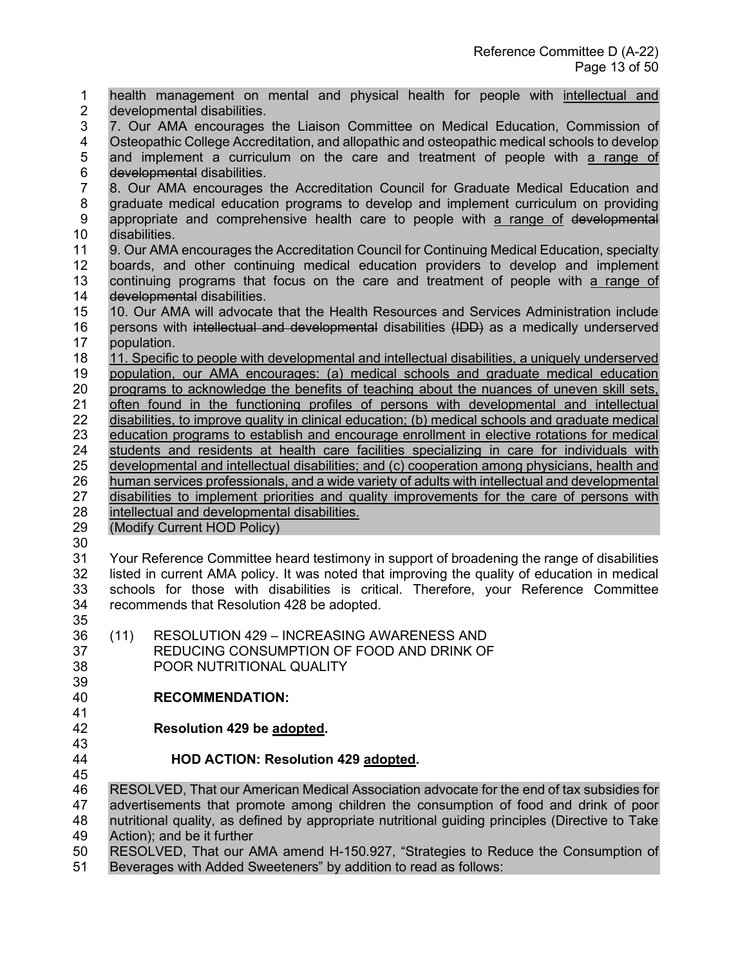1 health management on mental and physical health for people with intellectual and 2 developmental disabilities. 3 7. Our AMA encourages the Liaison Committee on Medical Education, Commission of 4 Osteopathic College Accreditation, and allopathic and osteopathic medical schools to develop 5 and implement a curriculum on the care and treatment of people with a range of 6 developmental disabilities.<br>7 8. Our AMA encourages 7 8. Our AMA encourages the Accreditation Council for Graduate Medical Education and 8 graduate medical education programs to develop and implement curriculum on providing 9 appropriate and comprehensive health care to people with a range of developmental 10 disabilities.<br>11 9. Our AMA 9. Our AMA encourages the Accreditation Council for Continuing Medical Education, specialty boards, and other continuing medical education providers to develop and implement continuing programs that focus on the care and treatment of people with a range of 14 developmental disabilities. 15 10. Our AMA will advocate that the Health Resources and Services Administration include<br>16 persons with intellectual and developmental disabilities (IDD) as a medically underserved persons with intellectual and developmental disabilities (IDD) as a medically underserved population. 11. Specific to people with developmental and intellectual disabilities, a uniquely underserved population, our AMA encourages: (a) medical schools and graduate medical education programs to acknowledge the benefits of teaching about the nuances of uneven skill sets, often found in the functioning profiles of persons with developmental and intellectual disabilities, to improve quality in clinical education; (b) medical schools and graduate medical education programs to establish and encourage enrollment in elective rotations for medical students and residents at health care facilities specializing in care for individuals with developmental and intellectual disabilities; and (c) cooperation among physicians, health and 26 human services professionals, and a wide variety of adults with intellectual and developmental<br>27 disabilities to implement priorities and quality improvements for the care of persons with disabilities to implement priorities and quality improvements for the care of persons with intellectual and developmental disabilities. (Modify Current HOD Policy) Your Reference Committee heard testimony in support of broadening the range of disabilities listed in current AMA policy. It was noted that improving the quality of education in medical schools for those with disabilities is critical. Therefore, your Reference Committee recommends that Resolution 428 be adopted. (11) RESOLUTION 429 – INCREASING AWARENESS AND REDUCING CONSUMPTION OF FOOD AND DRINK OF POOR NUTRITIONAL QUALITY 39<br>40 **RECOMMENDATION: Resolution 429 be adopted.**  43<br>44 **HOD ACTION: Resolution 429 adopted.**  RESOLVED, That our American Medical Association advocate for the end of tax subsidies for advertisements that promote among children the consumption of food and drink of poor nutritional quality, as defined by appropriate nutritional guiding principles (Directive to Take Action); and be it further RESOLVED, That our AMA amend H-150.927, "Strategies to Reduce the Consumption of

Beverages with Added Sweeteners" by addition to read as follows: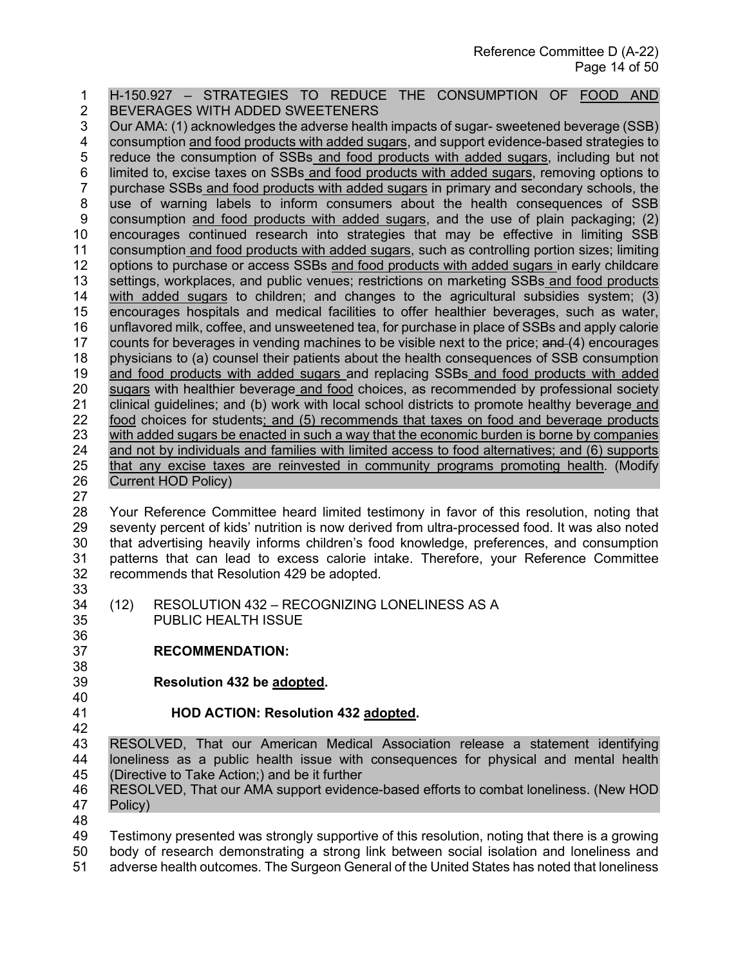1 H-150.927 – STRATEGIES TO REDUCE THE CONSUMPTION OF FOOD AND 2 BEVERAGES WITH ADDED SWEETENERS 3 Our AMA: (1) acknowledges the adverse health impacts of sugar- sweetened beverage (SSB)<br>4 consumption and food products with added sugars, and support evidence-based strategies to 4 consumption and food products with added sugars, and support evidence-based strategies to 5 reduce the consumption of SSBs and food products with added sugars, including but not 6 limited to, excise taxes on SSBs and food products with added sugars, removing options to<br>7 purchase SSBs and food products with added sugars in primary and secondary schools, the purchase SSBs and food products with added sugars in primary and secondary schools, the 8 use of warning labels to inform consumers about the health consequences of SSB 9 consumption and food products with added sugars, and the use of plain packaging; (2) 10 encourages continued research into strategies that may be effective in limiting SSB<br>11 consumption and food products with added sugars, such as controlling portion sizes; limiting 11 consumption and food products with added sugars, such as controlling portion sizes; limiting 12 options to purchase or access SSBs and food products with added sugars in early childcare 13 settings, workplaces, and public venues; restrictions on marketing SSBs and food products 14 with added sugars to children; and changes to the agricultural subsidies system; (3) 15 encourages hospitals and medical facilities to offer healthier beverages, such as water, 16 unflavored milk, coffee, and unsweetened tea, for purchase in place of SSBs and apply calorie 17 counts for beverages in vending machines to be visible next to the price; and (4) encourages<br>18 physicians to (a) counsel their patients about the health consequences of SSB consumption 18 physicians to (a) counsel their patients about the health consequences of SSB consumption 19 and food products with added sugars and replacing SSBs and food products with added 20 sugars with healthier beverage and food choices, as recommended by professional society<br>21 clinical quidelines: and (b) work with local school districts to promote healthy beverage and 21 clinical guidelines; and (b) work with local school districts to promote healthy beverage and 22 food choices for students; and (5) recommends that taxes on food and beverage products 23 with added sugars be enacted in such a way that the economic burden is borne by companies<br>24 and not by individuals and families with limited access to food alternatives; and (6) supports and not by individuals and families with limited access to food alternatives; and (6) supports 25 that any excise taxes are reinvested in community programs promoting health. (Modify 26 Current HOD Policy) 27 28 Your Reference Committee heard limited testimony in favor of this resolution, noting that 29 seventy percent of kids' nutrition is now derived from ultra-processed food. It was also noted<br>30 that advertising heavily informs children's food knowledge, preferences, and consumption that advertising heavily informs children's food knowledge, preferences, and consumption 31 patterns that can lead to excess calorie intake. Therefore, your Reference Committee 32 recommends that Resolution 429 be adopted. 33<br>34 (12) RESOLUTION 432 – RECOGNIZING LONELINESS AS A 35 PUBLIC HEALTH ISSUE 36 37 **RECOMMENDATION:** 38 39 **Resolution 432 be adopted.**  40<br>41 41 **HOD ACTION: Resolution 432 adopted.**  42 43 RESOLVED, That our American Medical Association release a statement identifying 44 loneliness as a public health issue with consequences for physical and mental health 45 (Directive to Take Action;) and be it further 46 RESOLVED, That our AMA support evidence-based efforts to combat loneliness. (New HOD 47 Policy) 48 49 Testimony presented was strongly supportive of this resolution, noting that there is a growing 50 body of research demonstrating a strong link between social isolation and loneliness and

51 adverse health outcomes. The Surgeon General of the United States has noted that loneliness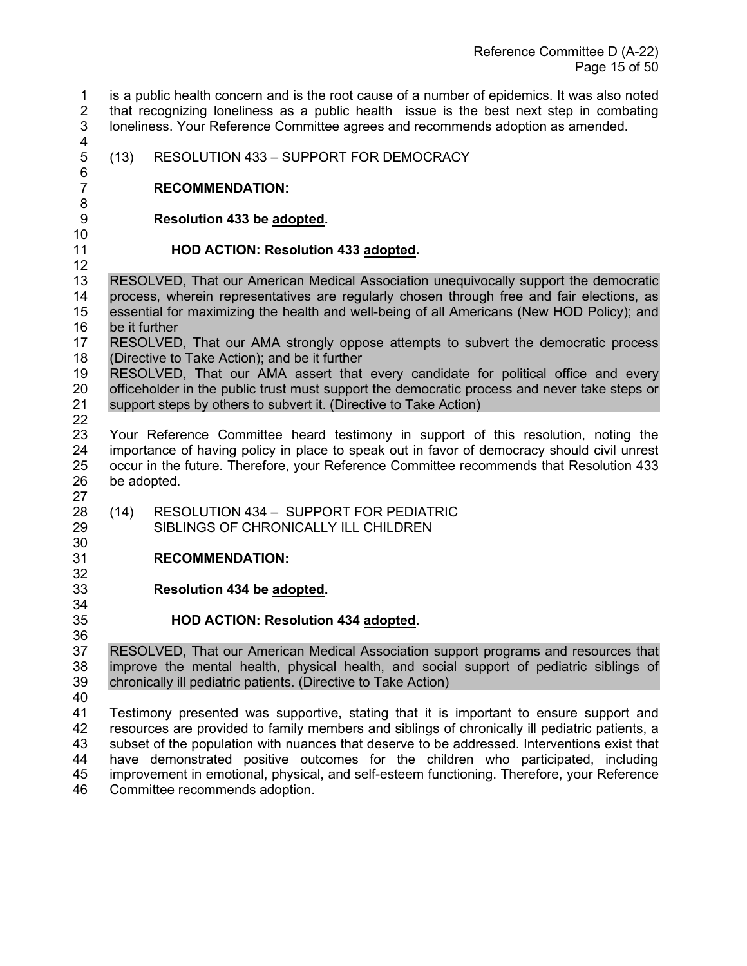1 is a public health concern and is the root cause of a number of epidemics. It was also noted 2 that recognizing loneliness as a public health issue is the best next step in combating 3 loneliness. Your Reference Committee agrees and recommends adoption as amended. 

5 (13) RESOLUTION 433 – SUPPORT FOR DEMOCRACY

#### **RECOMMENDATION:**

6<br>7

**Resolution 433 be adopted.** 

 

## **HOD ACTION: Resolution 433 adopted.**

 RESOLVED, That our American Medical Association unequivocally support the democratic process, wherein representatives are regularly chosen through free and fair elections, as essential for maximizing the health and well-being of all Americans (New HOD Policy); and be it further

 RESOLVED, That our AMA strongly oppose attempts to subvert the democratic process (Directive to Take Action); and be it further

 RESOLVED, That our AMA assert that every candidate for political office and every 20 officeholder in the public trust must support the democratic process and never take steps or 21 support steps or support steps by others to subvert it. (Directive to Take Action)

32<br>33

 Your Reference Committee heard testimony in support of this resolution, noting the importance of having policy in place to speak out in favor of democracy should civil unrest occur in the future. Therefore, your Reference Committee recommends that Resolution 433 be adopted. 

 (14) RESOLUTION 434 – SUPPORT FOR PEDIATRIC SIBLINGS OF CHRONICALLY ILL CHILDREN

## **RECOMMENDATION:**

**Resolution 434 be adopted.** 

## **HOD ACTION: Resolution 434 adopted.**

36<br>37 RESOLVED, That our American Medical Association support programs and resources that improve the mental health, physical health, and social support of pediatric siblings of chronically ill pediatric patients. (Directive to Take Action)

40<br>41

Testimony presented was supportive, stating that it is important to ensure support and resources are provided to family members and siblings of chronically ill pediatric patients, a subset of the population with nuances that deserve to be addressed. Interventions exist that have demonstrated positive outcomes for the children who participated, including improvement in emotional, physical, and self-esteem functioning. Therefore, your Reference Committee recommends adoption.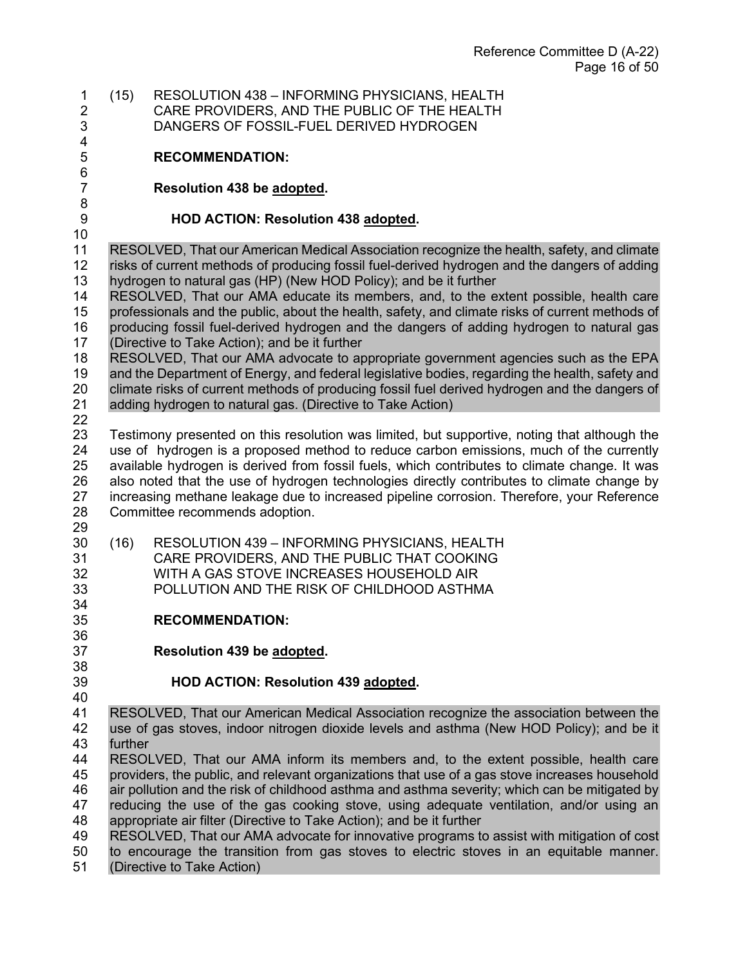1 (15) RESOLUTION 438 – INFORMING PHYSICIANS, HEALTH 2 CARE PROVIDERS, AND THE PUBLIC OF THE HEALTH 3 DANGERS OF FOSSIL-FUEL DERIVED HYDROGEN

#### **RECOMMENDATION:**

#### **Resolution 438 be adopted.**

#### **HOD ACTION: Resolution 438 adopted.**

10<br>11 RESOLVED, That our American Medical Association recognize the health, safety, and climate risks of current methods of producing fossil fuel-derived hydrogen and the dangers of adding hydrogen to natural gas (HP) (New HOD Policy); and be it further

 RESOLVED, That our AMA educate its members, and, to the extent possible, health care professionals and the public, about the health, safety, and climate risks of current methods of producing fossil fuel-derived hydrogen and the dangers of adding hydrogen to natural gas (Directive to Take Action); and be it further

 RESOLVED, That our AMA advocate to appropriate government agencies such as the EPA and the Department of Energy, and federal legislative bodies, regarding the health, safety and 20 climate risks of current methods of producing fossil fuel derived hydrogen and the dangers of 21 adding hydrogen to natural gas. (Directive to Take Action) adding hydrogen to natural gas. (Directive to Take Action)

6<br>7

 Testimony presented on this resolution was limited, but supportive, noting that although the use of hydrogen is a proposed method to reduce carbon emissions, much of the currently available hydrogen is derived from fossil fuels, which contributes to climate change. It was 26 also noted that the use of hydrogen technologies directly contributes to climate change by<br>27 increasing methane leakage due to increased pipeline corrosion. Therefore, your Reference increasing methane leakage due to increased pipeline corrosion. Therefore, your Reference Committee recommends adoption.

- 29<br>30
- (16) RESOLUTION 439 INFORMING PHYSICIANS, HEALTH CARE PROVIDERS, AND THE PUBLIC THAT COOKING WITH A GAS STOVE INCREASES HOUSEHOLD AIR POLLUTION AND THE RISK OF CHILDHOOD ASTHMA
- **RECOMMENDATION:**
- **Resolution 439 be adopted.**
- 

## **HOD ACTION: Resolution 439 adopted.**

40<br>41 RESOLVED, That our American Medical Association recognize the association between the use of gas stoves, indoor nitrogen dioxide levels and asthma (New HOD Policy); and be it further

 RESOLVED, That our AMA inform its members and, to the extent possible, health care providers, the public, and relevant organizations that use of a gas stove increases household air pollution and the risk of childhood asthma and asthma severity; which can be mitigated by reducing the use of the gas cooking stove, using adequate ventilation, and/or using an

 appropriate air filter (Directive to Take Action); and be it further RESOLVED, That our AMA advocate for innovative programs to assist with mitigation of cost to encourage the transition from gas stoves to electric stoves in an equitable manner.

(Directive to Take Action)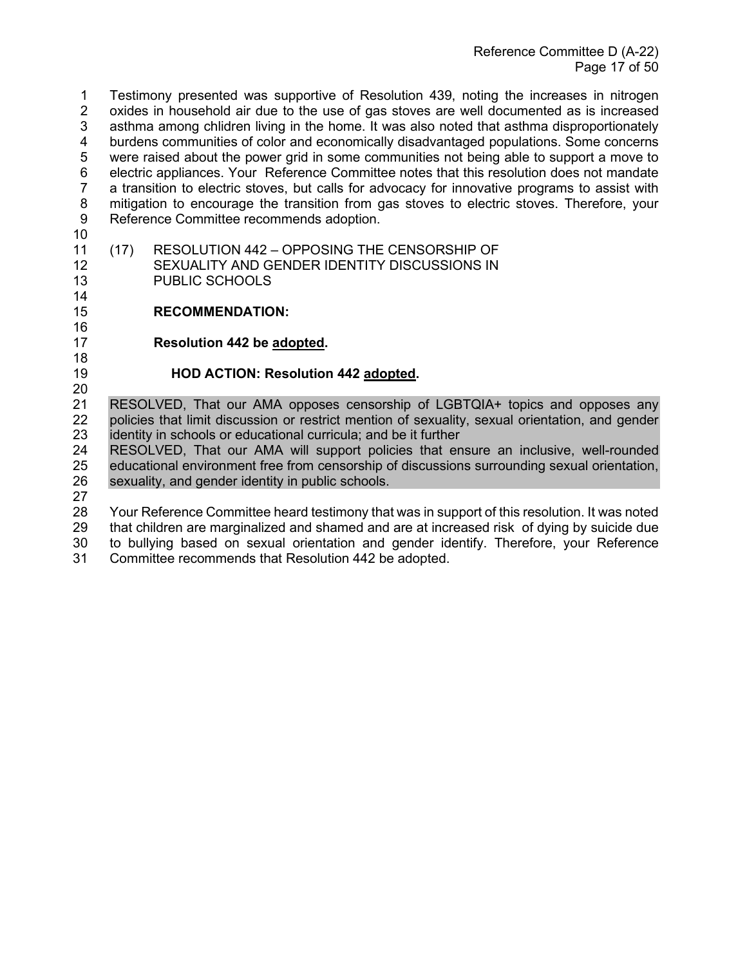1 Testimony presented was supportive of Resolution 439, noting the increases in nitrogen 2 oxides in household air due to the use of gas stoves are well documented as is increased 3 asthma among chlidren living in the home. It was also noted that asthma disproportionately<br>4 burdens communities of color and economically disadvantaged populations. Some concerns 4 burdens communities of color and economically disadvantaged populations. Some concerns 5 were raised about the power grid in some communities not being able to support a move to 6 electric appliances. Your Reference Committee notes that this resolution does not mandate 7 a transition to electric stoves, but calls for advocacy for innovative programs to assist with 8 mitigation to encourage the transition from gas stoves to electric stoves. Therefore, your 9 Reference Committee recommends adoption.

- 10
- (17) RESOLUTION 442 OPPOSING THE CENSORSHIP OF 12 SEXUALITY AND GENDER IDENTITY DISCUSSIONS IN 13 PUBLIC SCHOOLS
- 14
- 15 **RECOMMENDATION:**
- 16

18

17 **Resolution 442 be adopted.** 

## 19 **HOD ACTION: Resolution 442 adopted.**

20<br>21 RESOLVED, That our AMA opposes censorship of LGBTQIA+ topics and opposes any 22 policies that limit discussion or restrict mention of sexuality, sexual orientation, and gender 23 identity in schools or educational curricula; and be it further

24 RESOLVED, That our AMA will support policies that ensure an inclusive, well-rounded 25 educational environment free from censorship of discussions surrounding sexual orientation, 26 sexuality, and gender identity in public schools.

27

 Your Reference Committee heard testimony that was in support of this resolution. It was noted that children are marginalized and shamed and are at increased risk of dying by suicide due to bullying based on sexual orientation and gender identify. Therefore, your Reference Committee recommends that Resolution 442 be adopted.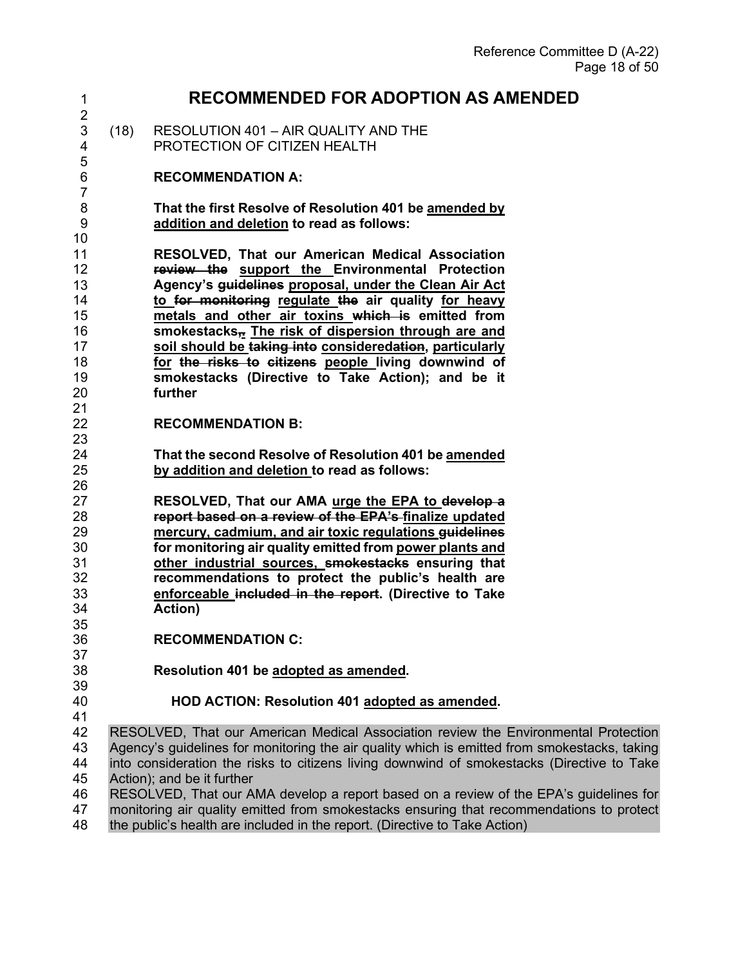| 1                                                        |      | <b>RECOMMENDED FOR ADOPTION AS AMENDED</b>                                                                                                                                                                                                                                                                                                                                                                                                                                                                                            |
|----------------------------------------------------------|------|---------------------------------------------------------------------------------------------------------------------------------------------------------------------------------------------------------------------------------------------------------------------------------------------------------------------------------------------------------------------------------------------------------------------------------------------------------------------------------------------------------------------------------------|
| $\overline{c}$<br>$\mathsf 3$<br>4                       | (18) | RESOLUTION 401 - AIR QUALITY AND THE<br>PROTECTION OF CITIZEN HEALTH                                                                                                                                                                                                                                                                                                                                                                                                                                                                  |
| 5<br>6<br>$\overline{7}$                                 |      | <b>RECOMMENDATION A:</b>                                                                                                                                                                                                                                                                                                                                                                                                                                                                                                              |
| 8<br>$\boldsymbol{9}$<br>10                              |      | That the first Resolve of Resolution 401 be amended by<br>addition and deletion to read as follows:                                                                                                                                                                                                                                                                                                                                                                                                                                   |
| 11<br>12<br>13<br>14<br>15<br>16<br>17<br>18<br>19<br>20 |      | <b>RESOLVED, That our American Medical Association</b><br>review the support the Environmental Protection<br>Agency's guidelines proposal, under the Clean Air Act<br>to for monitoring regulate the air quality for heavy<br>metals and other air toxins which is emitted from<br>smokestacks <sub>3</sub> The risk of dispersion through are and<br>soil should be taking into consideredation, particularly<br>for the risks to citizens people living downwind of<br>smokestacks (Directive to Take Action); and be it<br>further |
| 21<br>22<br>23                                           |      | <b>RECOMMENDATION B:</b>                                                                                                                                                                                                                                                                                                                                                                                                                                                                                                              |
| 24<br>25<br>26                                           |      | That the second Resolve of Resolution 401 be amended<br>by addition and deletion to read as follows:                                                                                                                                                                                                                                                                                                                                                                                                                                  |
| 27<br>28<br>29<br>30<br>31<br>32<br>33<br>34             |      | RESOLVED, That our AMA urge the EPA to develop a<br>report based on a review of the EPA's-finalize updated<br>mercury, cadmium, and air toxic regulations guidelines<br>for monitoring air quality emitted from power plants and<br>other industrial sources, smokestacks ensuring that<br>recommendations to protect the public's health are<br>enforceable included in the report. (Directive to Take<br>Action)                                                                                                                    |
| 35<br>36                                                 |      | <b>RECOMMENDATION C:</b>                                                                                                                                                                                                                                                                                                                                                                                                                                                                                                              |
| 37<br>38<br>39                                           |      | Resolution 401 be adopted as amended.                                                                                                                                                                                                                                                                                                                                                                                                                                                                                                 |
| 40<br>41                                                 |      | HOD ACTION: Resolution 401 adopted as amended.                                                                                                                                                                                                                                                                                                                                                                                                                                                                                        |
| 42<br>43<br>44<br>45                                     |      | RESOLVED, That our American Medical Association review the Environmental Protection<br>Agency's guidelines for monitoring the air quality which is emitted from smokestacks, taking<br>into consideration the risks to citizens living downwind of smokestacks (Directive to Take<br>Action); and be it further                                                                                                                                                                                                                       |
| 46<br>47<br>48                                           |      | RESOLVED, That our AMA develop a report based on a review of the EPA's guidelines for<br>monitoring air quality emitted from smokestacks ensuring that recommendations to protect<br>the public's health are included in the report. (Directive to Take Action)                                                                                                                                                                                                                                                                       |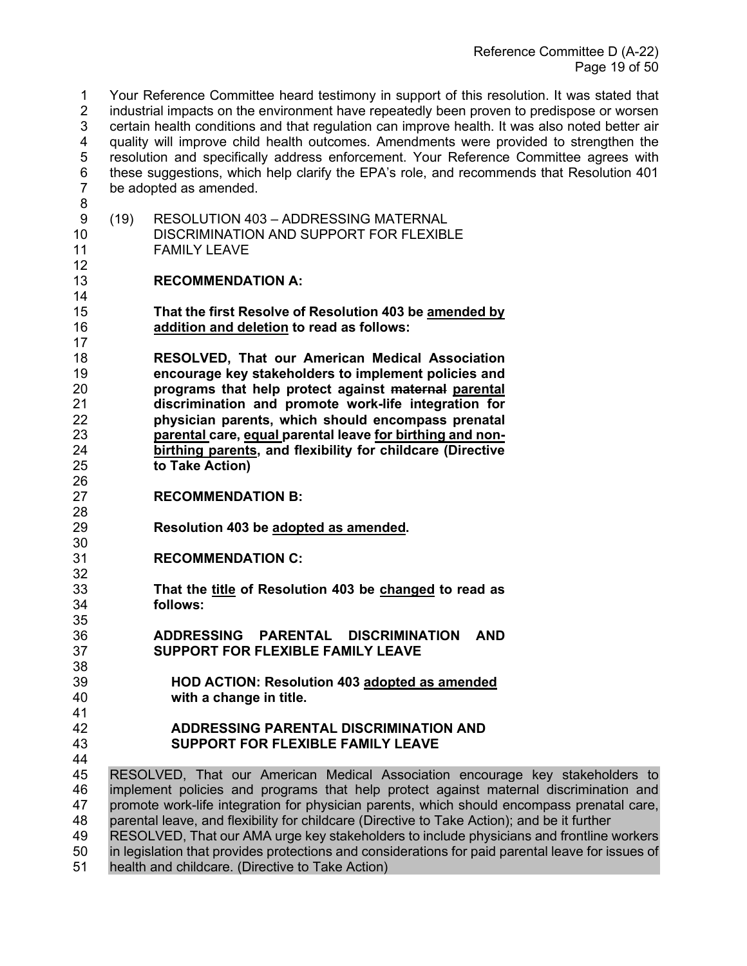1 Your Reference Committee heard testimony in support of this resolution. It was stated that 2 industrial impacts on the environment have repeatedly been proven to predispose or worsen 3 certain health conditions and that regulation can improve health. It was also noted better air<br>4 auality will improve child health outcomes. Amendments were provided to strengthen the quality will improve child health outcomes. Amendments were provided to strengthen the 5 resolution and specifically address enforcement. Your Reference Committee agrees with 6 these suggestions, which help clarify the EPA's role, and recommends that Resolution 401 be adopted as amended.

 9 (19) RESOLUTION 403 – ADDRESSING MATERNAL 10 DISCRIMINATION AND SUPPORT FOR FLEXIBLE<br>11 FAMILY LEAVE FAMILY LEAVE 

#### **RECOMMENDATION A:**

- **That the first Resolve of Resolution 403 be amended by addition and deletion to read as follows:**
- **RESOLVED, That our American Medical Association encourage key stakeholders to implement policies and programs that help protect against maternal parental discrimination and promote work-life integration for physician parents, which should encompass prenatal parental care, equal parental leave for birthing and non- birthing parents, and flexibility for childcare (Directive to Take Action)**
- 26<br>27 **RECOMMENDATION B:**
- **Resolution 403 be adopted as amended.**
- **RECOMMENDATION C:**

- 32<br>33 **That the title of Resolution 403 be changed to read as**  follows:
- **ADDRESSING PARENTAL DISCRIMINATION AND SUPPORT FOR FLEXIBLE FAMILY LEAVE**
- **HOD ACTION: Resolution 403 adopted as amended** with a change in title.
- **ADDRESSING PARENTAL DISCRIMINATION AND SUPPORT FOR FLEXIBLE FAMILY LEAVE**
- RESOLVED, That our American Medical Association encourage key stakeholders to implement policies and programs that help protect against maternal discrimination and 47 promote work-life integration for physician parents, which should encompass prenatal care,<br>48 parental leave, and flexibility for childcare (Directive to Take Action): and be it further parental leave, and flexibility for childcare (Directive to Take Action); and be it further RESOLVED, That our AMA urge key stakeholders to include physicians and frontline workers in legislation that provides protections and considerations for paid parental leave for issues of health and childcare. (Directive to Take Action)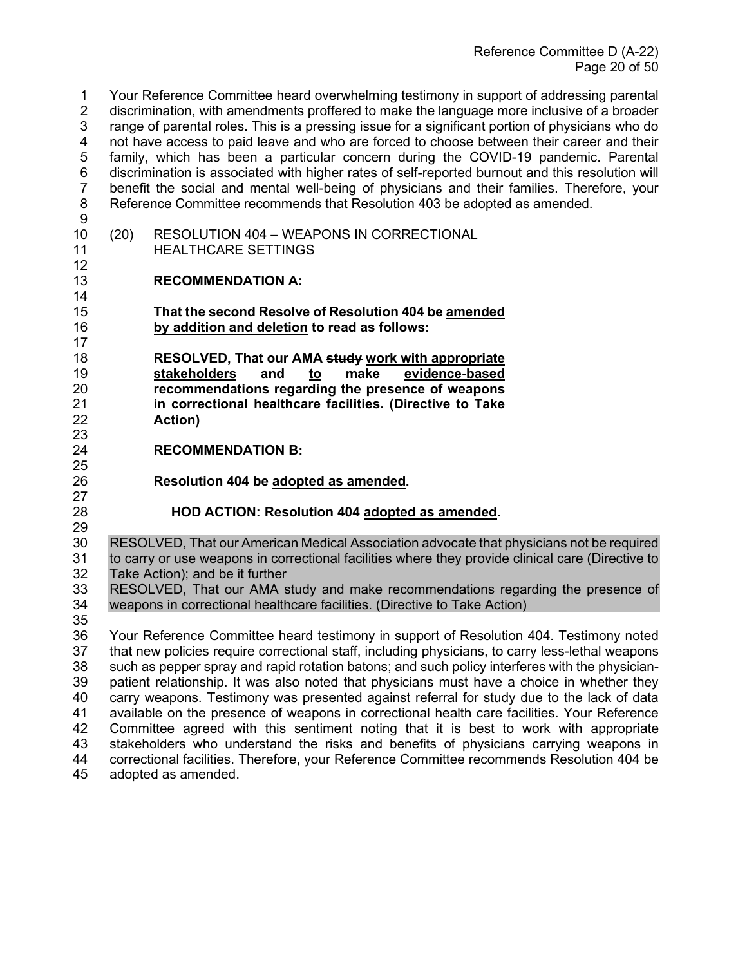1 Your Reference Committee heard overwhelming testimony in support of addressing parental 2 discrimination, with amendments proffered to make the language more inclusive of a broader 3 range of parental roles. This is a pressing issue for a significant portion of physicians who do<br>4 not have access to paid leave and who are forced to choose between their career and their not have access to paid leave and who are forced to choose between their career and their 5 family, which has been a particular concern during the COVID-19 pandemic. Parental 6 discrimination is associated with higher rates of self-reported burnout and this resolution will 7 benefit the social and mental well-being of physicians and their families. Therefore, your 8 Reference Committee recommends that Resolution 403 be adopted as amended. 9

- 10 (20) RESOLUTION 404 WEAPONS IN CORRECTIONAL<br>11 THEALTHCARE SETTINGS
	- **HEALTHCARE SETTINGS**

## 13 **RECOMMENDATION A:**

- 15 **That the second Resolve of Resolution 404 be amended**  16 **by addition and deletion to read as follows:**
- 18 **RESOLVED, That our AMA study work with appropriate**  19 **stakeholders and to make evidence-based** 20 **recommendations regarding the presence of weapons**  21 **in correctional healthcare facilities. (Directive to Take**  22 **Action)**

## **RECOMMENDATION B:**

- 26 **Resolution 404 be adopted as amended.**
- 27

23<br>24

25

12

14

17

## 28 **HOD ACTION: Resolution 404 adopted as amended.**

29<br>30 RESOLVED, That our American Medical Association advocate that physicians not be required 31 to carry or use weapons in correctional facilities where they provide clinical care (Directive to 32 Take Action); and be it further<br>33 RESOLVED. That our AMA s

33 RESOLVED, That our AMA study and make recommendations regarding the presence of 34 verapons in correctional healthcare facilities. (Directive to Take Action) weapons in correctional healthcare facilities. (Directive to Take Action)

35 Your Reference Committee heard testimony in support of Resolution 404. Testimony noted that new policies require correctional staff, including physicians, to carry less-lethal weapons such as pepper spray and rapid rotation batons; and such policy interferes with the physician-39 patient relationship. It was also noted that physicians must have a choice in whether they<br>40 carry weapons. Testimony was presented against referral for study due to the lack of data 40 carry weapons. Testimony was presented against referral for study due to the lack of data<br>41 available on the presence of weapons in correctional health care facilities. Your Reference available on the presence of weapons in correctional health care facilities. Your Reference Committee agreed with this sentiment noting that it is best to work with appropriate stakeholders who understand the risks and benefits of physicians carrying weapons in correctional facilities. Therefore, your Reference Committee recommends Resolution 404 be adopted as amended.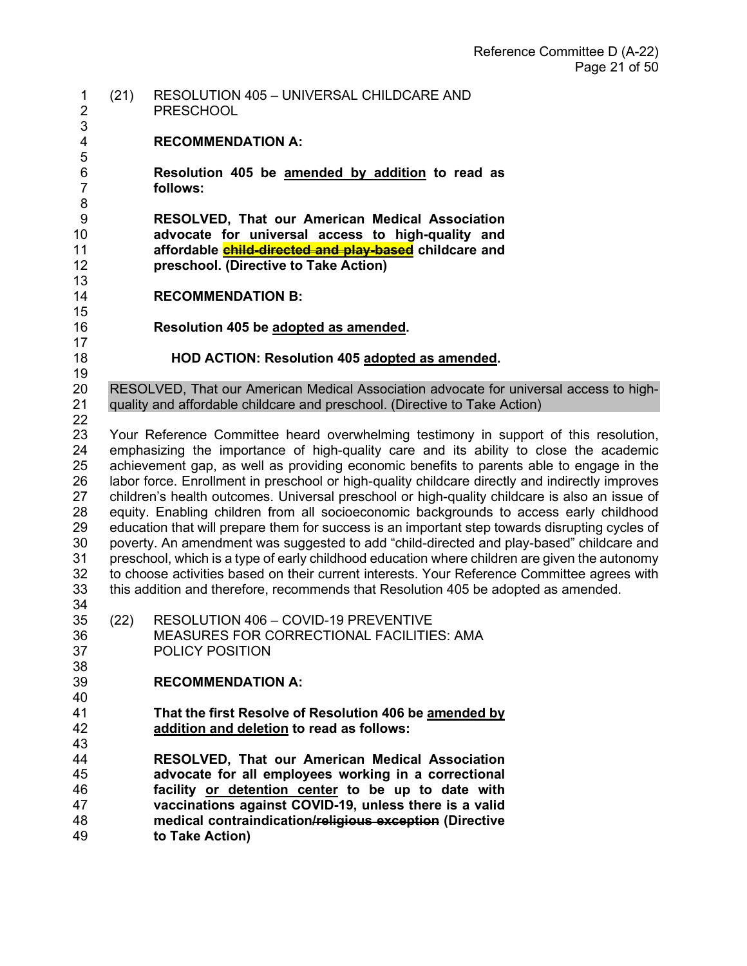- 1 (21) RESOLUTION 405 UNIVERSAL CHILDCARE AND 2 PRESCHOOL **RECOMMENDATION A: Resolution 405 be amended by addition to read as follows: RESOLVED, That our American Medical Association advocate for universal access to high-quality and affordable child-directed and play-based childcare and preschool. (Directive to Take Action) RECOMMENDATION B: Resolution 405 be adopted as amended.**   $\frac{17}{18}$  **HOD ACTION: Resolution 405 adopted as amended.**  20 RESOLVED, That our American Medical Association advocate for universal access to high-<br>21 auality and affordable childcare and preschool. (Directive to Take Action) quality and affordable childcare and preschool. (Directive to Take Action) Your Reference Committee heard overwhelming testimony in support of this resolution, emphasizing the importance of high-quality care and its ability to close the academic achievement gap, as well as providing economic benefits to parents able to engage in the labor force. Enrollment in preschool or high-quality childcare directly and indirectly improves children's health outcomes. Universal preschool or high-quality childcare is also an issue of equity. Enabling children from all socioeconomic backgrounds to access early childhood education that will prepare them for success is an important step towards disrupting cycles of poverty. An amendment was suggested to add "child-directed and play-based" childcare and preschool, which is a type of early childhood education where children are given the autonomy 32 to choose activities based on their current interests. Your Reference Committee agrees with 33 this addition and therefore, recommends that Resolution 405 be adopted as amended. this addition and therefore, recommends that Resolution 405 be adopted as amended. (22) RESOLUTION 406 – COVID-19 PREVENTIVE MEASURES FOR CORRECTIONAL FACILITIES: AMA POLICY POSITION 38<br>39 **RECOMMENDATION A: That the first Resolve of Resolution 406 be amended by addition and deletion to read as follows:** 43<br>44 **RESOLVED, That our American Medical Association advocate for all employees working in a correctional**
- **facility or detention center to be up to date with vaccinations against COVID-19, unless there is a valid medical contraindication/religious exception (Directive to Take Action)**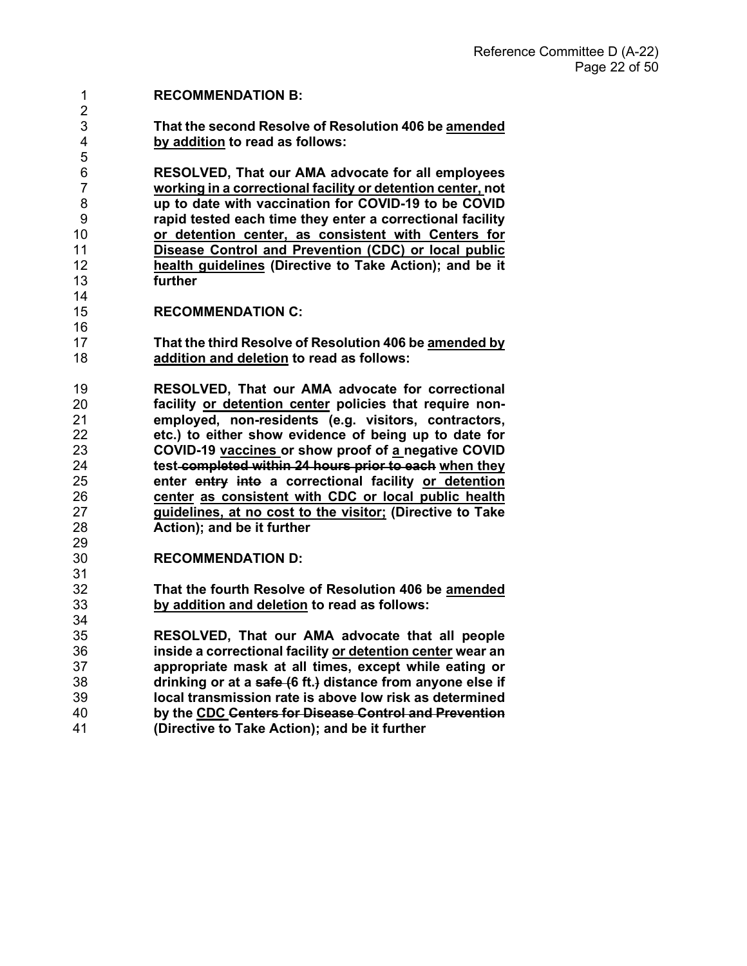#### **RECOMMENDATION B:**

**That the second Resolve of Resolution 406 be amended by addition to read as follows:**

**RESOLVED, That our AMA advocate for all employees working in a correctional facility or detention center, not up to date with vaccination for COVID-19 to be COVID rapid tested each time they enter a correctional facility or detention center, as consistent with Centers for Disease Control and Prevention (CDC) or local public health guidelines (Directive to Take Action); and be it**  further 

- **RECOMMENDATION C:**
- **That the third Resolve of Resolution 406 be amended by addition and deletion to read as follows:**
- **RESOLVED, That our AMA advocate for correctional**  facility or detention center policies that require non- **employed, non-residents (e.g. visitors, contractors, etc.) to either show evidence of being up to date for COVID-19 vaccines or show proof of a negative COVID test completed within 24 hours prior to each when they enter entry into a correctional facility or detention center as consistent with CDC or local public health guidelines, at no cost to the visitor; (Directive to Take Action); and be it further**
- **RECOMMENDATION D:**
- **That the fourth Resolve of Resolution 406 be amended by addition and deletion to read as follows:**

 **RESOLVED, That our AMA advocate that all people inside a correctional facility or detention center wear an appropriate mask at all times, except while eating or drinking or at a safe (6 ft.) distance from anyone else if local transmission rate is above low risk as determined by the CDC Centers for Disease Control and Prevention (Directive to Take Action); and be it further**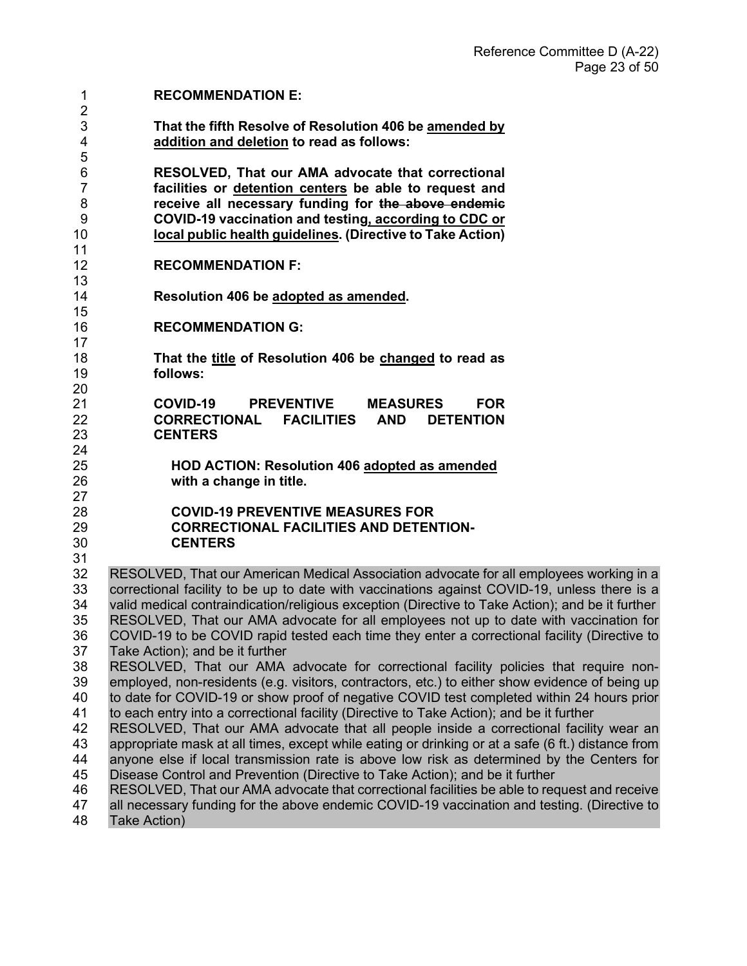| 1<br>$\overline{2}$                 | <b>RECOMMENDATION E:</b>                                                                                                                                                                                                                                                                  |
|-------------------------------------|-------------------------------------------------------------------------------------------------------------------------------------------------------------------------------------------------------------------------------------------------------------------------------------------|
| 3<br>4<br>5                         | That the fifth Resolve of Resolution 406 be amended by<br>addition and deletion to read as follows:                                                                                                                                                                                       |
| 6<br>$\overline{7}$<br>8<br>9<br>10 | RESOLVED, That our AMA advocate that correctional<br>facilities or detention centers be able to request and<br>receive all necessary funding for the above endemic<br>COVID-19 vaccination and testing, according to CDC or<br>local public health guidelines. (Directive to Take Action) |
| 11<br>12<br>13                      | <b>RECOMMENDATION F:</b>                                                                                                                                                                                                                                                                  |
| 14<br>15                            | Resolution 406 be adopted as amended.                                                                                                                                                                                                                                                     |
| 16<br>17                            | <b>RECOMMENDATION G:</b>                                                                                                                                                                                                                                                                  |
| 18<br>19<br>20                      | That the title of Resolution 406 be changed to read as<br>follows:                                                                                                                                                                                                                        |
| 21<br>22<br>23                      | <b>COVID-19</b><br><b>PREVENTIVE</b><br><b>MEASURES</b><br><b>FOR</b><br>CORRECTIONAL FACILITIES AND<br><b>DETENTION</b><br><b>CENTERS</b>                                                                                                                                                |
| 24<br>25<br>26<br>27                | <b>HOD ACTION: Resolution 406 adopted as amended</b><br>with a change in title.                                                                                                                                                                                                           |
| 28<br>29<br>30<br>31                | <b>COVID-19 PREVENTIVE MEASURES FOR</b><br><b>CORRECTIONAL FACILITIES AND DETENTION-</b><br><b>CENTERS</b>                                                                                                                                                                                |
| 32                                  | RESOLVED, That our American Medical Association advocate for all employees working in a                                                                                                                                                                                                   |
| 33                                  | correctional facility to be up to date with vaccinations against COVID-19, unless there is a                                                                                                                                                                                              |
| 34                                  | valid medical contraindication/religious exception (Directive to Take Action); and be it further                                                                                                                                                                                          |
| 35                                  | RESOLVED, That our AMA advocate for all employees not up to date with vaccination for                                                                                                                                                                                                     |
| 36                                  | COVID-19 to be COVID rapid tested each time they enter a correctional facility (Directive to                                                                                                                                                                                              |
| 37                                  | Take Action); and be it further                                                                                                                                                                                                                                                           |
| 38<br>39                            | RESOLVED, That our AMA advocate for correctional facility policies that require non-<br>employed, non-residents (e.g. visitors, contractors, etc.) to either show evidence of being up                                                                                                    |
| 40                                  | to date for COVID-19 or show proof of negative COVID test completed within 24 hours prior                                                                                                                                                                                                 |
| 41                                  | to each entry into a correctional facility (Directive to Take Action); and be it further                                                                                                                                                                                                  |
| 42                                  | RESOLVED, That our AMA advocate that all people inside a correctional facility wear an                                                                                                                                                                                                    |
| 43                                  | appropriate mask at all times, except while eating or drinking or at a safe (6 ft.) distance from                                                                                                                                                                                         |
| 44                                  | anyone else if local transmission rate is above low risk as determined by the Centers for                                                                                                                                                                                                 |
| 45                                  | Disease Control and Prevention (Directive to Take Action); and be it further                                                                                                                                                                                                              |
| 46<br>47<br>48                      | RESOLVED, That our AMA advocate that correctional facilities be able to request and receive<br>all necessary funding for the above endemic COVID-19 vaccination and testing. (Directive to<br>Take Action)                                                                                |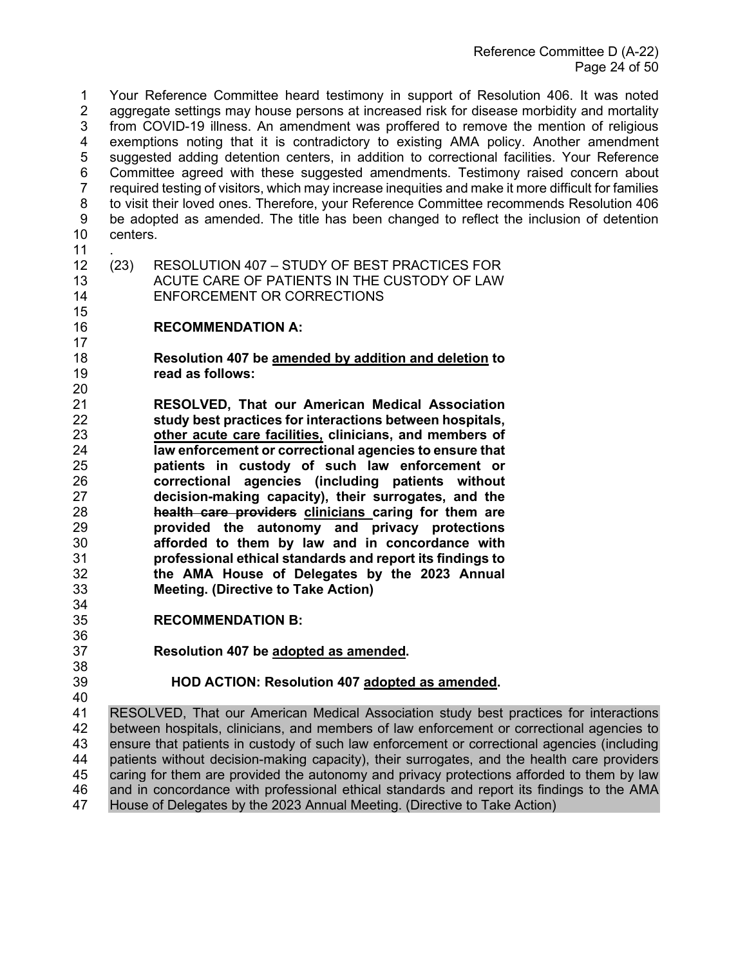1 Your Reference Committee heard testimony in support of Resolution 406. It was noted 2 aggregate settings may house persons at increased risk for disease morbidity and mortality 3 from COVID-19 illness. An amendment was proffered to remove the mention of religious 4 exemptions noting that it is contradictory to existing AMA policy. Another amendment 5 suggested adding detention centers, in addition to correctional facilities. Your Reference 6 Committee agreed with these suggested amendments. Testimony raised concern about required testing of visitors, which may increase inequities and make it more difficult for families 8 to visit their loved ones. Therefore, your Reference Committee recommends Resolution 406 9 be adopted as amended. The title has been changed to reflect the inclusion of detention centers.

.

- (23) RESOLUTION 407 STUDY OF BEST PRACTICES FOR ACUTE CARE OF PATIENTS IN THE CUSTODY OF LAW ENFORCEMENT OR CORRECTIONS
- **RECOMMENDATION A:**
- **Resolution 407 be amended by addition and deletion to read as follows:**
- **RESOLVED, That our American Medical Association study best practices for interactions between hospitals, other acute care facilities, clinicians, and members of law enforcement or correctional agencies to ensure that patients in custody of such law enforcement or correctional agencies (including patients without decision-making capacity), their surrogates, and the health care providers clinicians caring for them are provided the autonomy and privacy protections afforded to them by law and in concordance with professional ethical standards and report its findings to the AMA House of Delegates by the 2023 Annual Meeting. (Directive to Take Action)**
- **RECOMMENDATION B:**
- **Resolution 407 be adopted as amended.**
- 

# **HOD ACTION: Resolution 407 adopted as amended.**

40<br>41 RESOLVED, That our American Medical Association study best practices for interactions between hospitals, clinicians, and members of law enforcement or correctional agencies to ensure that patients in custody of such law enforcement or correctional agencies (including patients without decision-making capacity), their surrogates, and the health care providers caring for them are provided the autonomy and privacy protections afforded to them by law and in concordance with professional ethical standards and report its findings to the AMA House of Delegates by the 2023 Annual Meeting. (Directive to Take Action)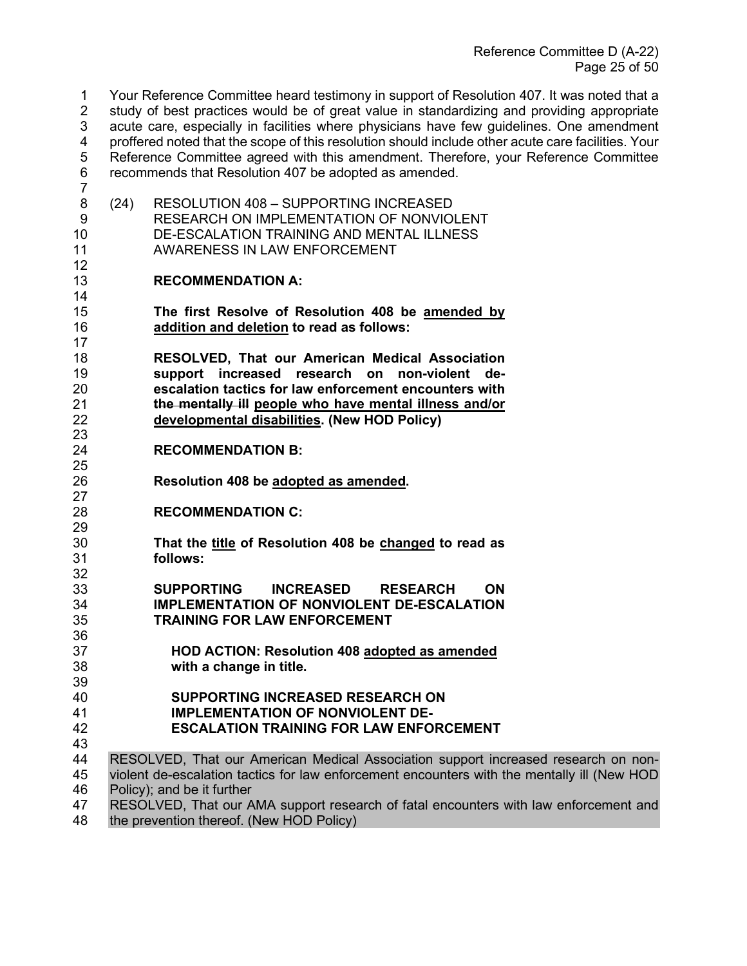1 Your Reference Committee heard testimony in support of Resolution 407. It was noted that a 2 study of best practices would be of great value in standardizing and providing appropriate 3 acute care, especially in facilities where physicians have few guidelines. One amendment <br>4 oroffered noted that the scope of this resolution should include other acute care facilities. Your 4 proffered noted that the scope of this resolution should include other acute care facilities. Your 5 Reference Committee agreed with this amendment. Therefore, your Reference Committee 6 recommends that Resolution 407 be adopted as amended. 7

8 (24) RESOLUTION 408 – SUPPORTING INCREASED 9 RESEARCH ON IMPLEMENTATION OF NONVIOLENT 10 DE-ESCALATION TRAINING AND MENTAL ILLNESS<br>11 AWARENESS IN LAW ENFORCEMENT AWARENESS IN LAW ENFORCEMENT

## 13 **RECOMMENDATION A:**

12

14

17

25

36

- 15 **The first Resolve of Resolution 408 be amended by**  16 **addition and deletion to read as follows:**
- 18 **RESOLVED, That our American Medical Association**  19 **support increased research on non-violent de-**20 **escalation tactics for law enforcement encounters with**  21 **the mentally ill people who have mental illness and/or**  22 **developmental disabilities. (New HOD Policy)**
- 23<br>24 **RECOMMENDATION B:**
- 26 **Resolution 408 be adopted as amended.**  27
- 28 **RECOMMENDATION C:**
- 29<br>30 30 **That the title of Resolution 408 be changed to read as**  31 **follows:**
- 32<br>33 33 **SUPPORTING INCREASED RESEARCH ON**  34 **IMPLEMENTATION OF NONVIOLENT DE-ESCALATION**  35 **TRAINING FOR LAW ENFORCEMENT**
- 37 **HOD ACTION: Resolution 408 adopted as amended** 38 **with a change in title.**
- 39 40 **SUPPORTING INCREASED RESEARCH ON**  41 **IMPLEMENTATION OF NONVIOLENT DE-**
- 42 **ESCALATION TRAINING FOR LAW ENFORCEMENT**
- 43<br>44 RESOLVED, That our American Medical Association support increased research on non-45 violent de-escalation tactics for law enforcement encounters with the mentally ill (New HOD 46 Policy); and be it further
- 47 RESOLVED, That our AMA support research of fatal encounters with law enforcement and 48 the prevention thereof. (New HOD Policy) the prevention thereof. (New HOD Policy)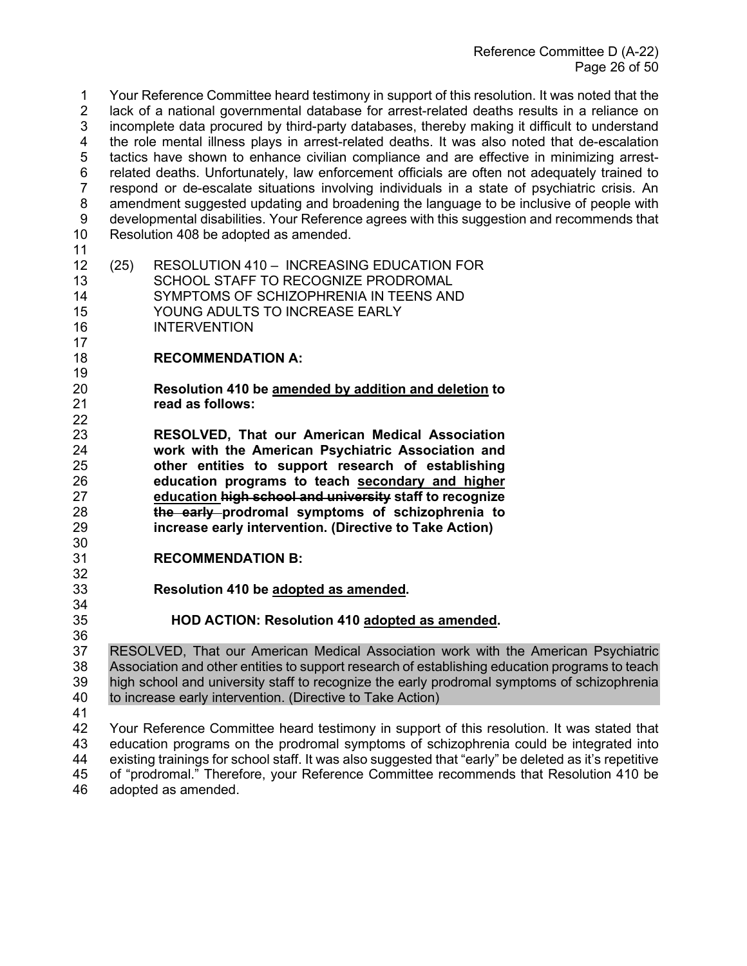1 Your Reference Committee heard testimony in support of this resolution. It was noted that the 2 lack of a national governmental database for arrest-related deaths results in a reliance on 3 incomplete data procured by third-party databases, thereby making it difficult to understand 4 the role mental illness plays in arrest-related deaths. It was also noted that de-escalation 5 tactics have shown to enhance civilian compliance and are effective in minimizing arrest-6 related deaths. Unfortunately, law enforcement officials are often not adequately trained to 7 respond or de-escalate situations involving individuals in a state of psychiatric crisis. An 8 amendment suggested updating and broadening the language to be inclusive of people with 9 developmental disabilities. Your Reference agrees with this suggestion and recommends that Resolution 408 be adopted as amended. (25) RESOLUTION 410 – INCREASING EDUCATION FOR SCHOOL STAFF TO RECOGNIZE PRODROMAL SYMPTOMS OF SCHIZOPHRENIA IN TEENS AND YOUNG ADULTS TO INCREASE EARLY INTERVENTION

- $\frac{17}{18}$ **RECOMMENDATION A:**
- **Resolution 410 be amended by addition and deletion to**  read as follows:
- **RESOLVED, That our American Medical Association work with the American Psychiatric Association and other entities to support research of establishing education programs to teach secondary and higher education high school and university staff to recognize the early prodromal symptoms of schizophrenia to increase early intervention. (Directive to Take Action)**
- **RECOMMENDATION B:**
- 32<br>33 **Resolution 410 be adopted as amended.**
- **HOD ACTION: Resolution 410 adopted as amended.**
- 36<br>37 RESOLVED, That our American Medical Association work with the American Psychiatric Association and other entities to support research of establishing education programs to teach high school and university staff to recognize the early prodromal symptoms of schizophrenia to increase early intervention. (Directive to Take Action)
- 

 Your Reference Committee heard testimony in support of this resolution. It was stated that education programs on the prodromal symptoms of schizophrenia could be integrated into existing trainings for school staff. It was also suggested that "early" be deleted as it's repetitive of "prodromal." Therefore, your Reference Committee recommends that Resolution 410 be adopted as amended.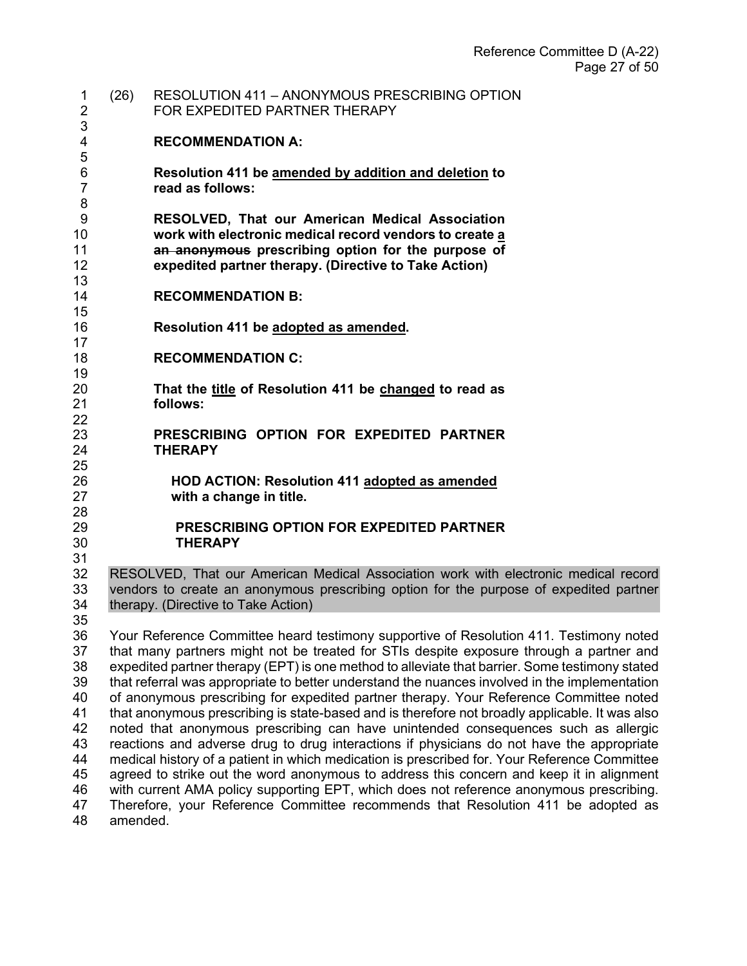| 1<br>$\overline{2}$      | (26) | <b>RESOLUTION 411 - ANONYMOUS PRESCRIBING OPTION</b><br>FOR EXPEDITED PARTNER THERAPY                                                                                                                                                                                                                                                                                           |
|--------------------------|------|---------------------------------------------------------------------------------------------------------------------------------------------------------------------------------------------------------------------------------------------------------------------------------------------------------------------------------------------------------------------------------|
| 3<br>4                   |      | <b>RECOMMENDATION A:</b>                                                                                                                                                                                                                                                                                                                                                        |
| 5<br>6<br>$\overline{7}$ |      | Resolution 411 be amended by addition and deletion to<br>read as follows:                                                                                                                                                                                                                                                                                                       |
| 8<br>9<br>10<br>11<br>12 |      | RESOLVED, That our American Medical Association<br>work with electronic medical record vendors to create a<br>an anonymous prescribing option for the purpose of<br>expedited partner therapy. (Directive to Take Action)                                                                                                                                                       |
| 13<br>14                 |      | <b>RECOMMENDATION B:</b>                                                                                                                                                                                                                                                                                                                                                        |
| 15<br>16<br>17           |      | Resolution 411 be adopted as amended.                                                                                                                                                                                                                                                                                                                                           |
| 18<br>19                 |      | <b>RECOMMENDATION C:</b>                                                                                                                                                                                                                                                                                                                                                        |
| 20<br>21                 |      | That the title of Resolution 411 be changed to read as<br>follows:                                                                                                                                                                                                                                                                                                              |
| 22<br>23<br>24           |      | PRESCRIBING OPTION FOR EXPEDITED PARTNER<br><b>THERAPY</b>                                                                                                                                                                                                                                                                                                                      |
| 25<br>26<br>27           |      | <b>HOD ACTION: Resolution 411 adopted as amended</b><br>with a change in title.                                                                                                                                                                                                                                                                                                 |
| 28<br>29<br>30<br>31     |      | <b>PRESCRIBING OPTION FOR EXPEDITED PARTNER</b><br><b>THERAPY</b>                                                                                                                                                                                                                                                                                                               |
| 32<br>33<br>34<br>35     |      | RESOLVED, That our American Medical Association work with electronic medical record<br>vendors to create an anonymous prescribing option for the purpose of expedited partner<br>therapy. (Directive to Take Action)                                                                                                                                                            |
| 36<br>37<br>38           |      | Your Reference Committee heard testimony supportive of Resolution 411. Testimony noted<br>that many partners might not be treated for STIs despite exposure through a partner and<br>expedited partner therapy (EPT) is one method to alleviate that barrier. Some testimony stated                                                                                             |
| 39<br>40<br>41<br>42     |      | that referral was appropriate to better understand the nuances involved in the implementation<br>of anonymous prescribing for expedited partner therapy. Your Reference Committee noted<br>that anonymous prescribing is state-based and is therefore not broadly applicable. It was also<br>noted that anonymous prescribing can have unintended consequences such as allergic |
| 43<br>44<br>45           |      | reactions and adverse drug to drug interactions if physicians do not have the appropriate<br>medical history of a patient in which medication is prescribed for. Your Reference Committee<br>agreed to strike out the word anonymous to address this concern and keep it in alignment                                                                                           |
| 46                       |      | with current AMA policy supporting EPT, which does not reference anonymous prescribing.                                                                                                                                                                                                                                                                                         |

 Therefore, your Reference Committee recommends that Resolution 411 be adopted as amended.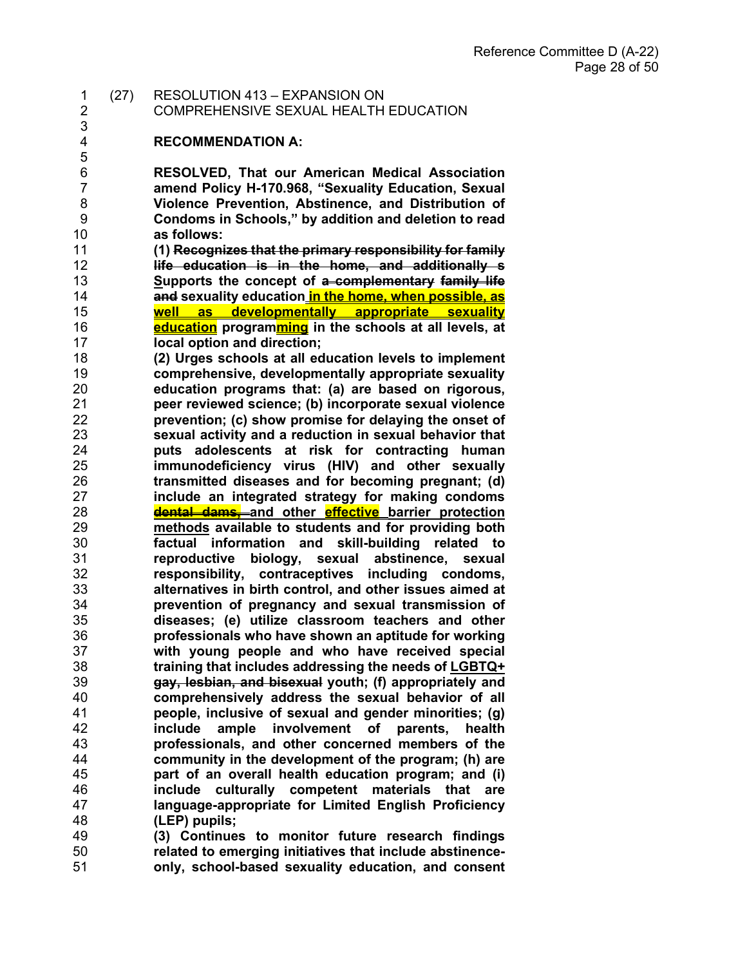1 (27) RESOLUTION 413 – EXPANSION ON

2 COMPREHENSIVE SEXUAL HEALTH EDUCATION

#### **RECOMMENDATION A:**

3<br>4

**RESOLVED, That our American Medical Association amend Policy H-170.968, "Sexuality Education, Sexual Violence Prevention, Abstinence, and Distribution of Condoms in Schools," by addition and deletion to read as follows:**

 **(1) Recognizes that the primary responsibility for family life education is in the home, and additionally s Supports the concept of a complementary family life and sexuality education in the home, when possible, as well as developmentally appropriate sexuality education programming in the schools at all levels, at local option and direction;**

 **(2) Urges schools at all education levels to implement comprehensive, developmentally appropriate sexuality education programs that: (a) are based on rigorous, peer reviewed science; (b) incorporate sexual violence prevention; (c) show promise for delaying the onset of sexual activity and a reduction in sexual behavior that puts adolescents at risk for contracting human immunodeficiency virus (HIV) and other sexually transmitted diseases and for becoming pregnant; (d) include an integrated strategy for making condoms dental dams, and other effective barrier protection methods available to students and for providing both factual information and skill-building related to reproductive biology, sexual abstinence, sexual responsibility, contraceptives including condoms, alternatives in birth control, and other issues aimed at prevention of pregnancy and sexual transmission of diseases; (e) utilize classroom teachers and other professionals who have shown an aptitude for working with young people and who have received special training that includes addressing the needs of LGBTQ+ gay, lesbian, and bisexual youth; (f) appropriately and comprehensively address the sexual behavior of all people, inclusive of sexual and gender minorities; (g) include ample involvement of parents, health professionals, and other concerned members of the community in the development of the program; (h) are part of an overall health education program; and (i) include culturally competent materials that are language-appropriate for Limited English Proficiency (LEP) pupils;**

 **(3) Continues to monitor future research findings related to emerging initiatives that include abstinence-only, school-based sexuality education, and consent**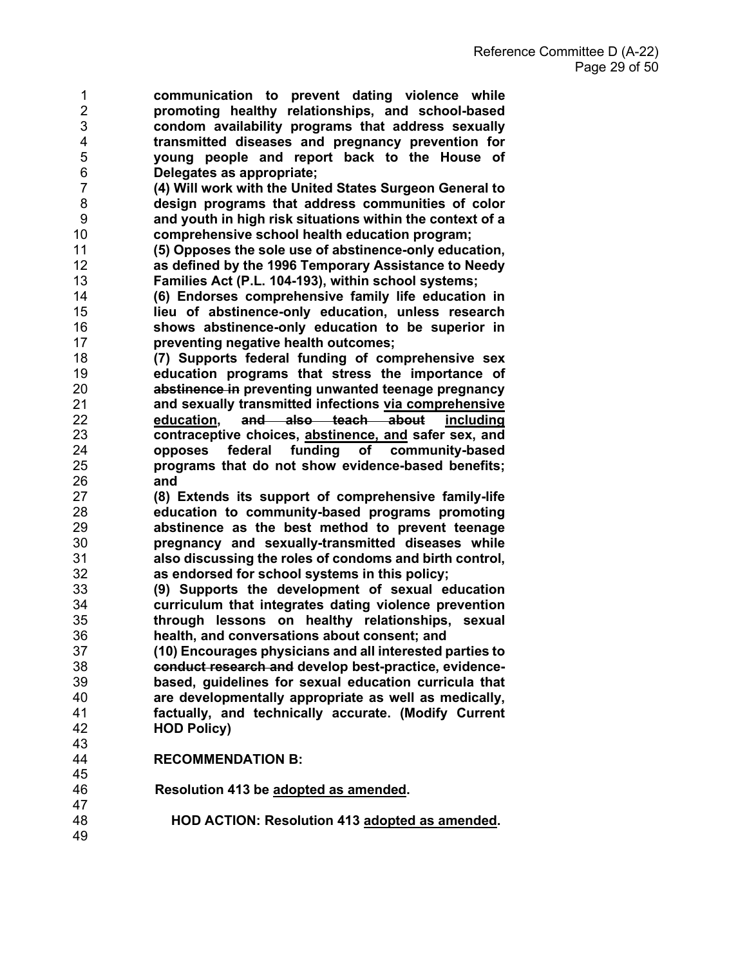- **communication to prevent dating violence while promoting healthy relationships, and school-based condom availability programs that address sexually transmitted diseases and pregnancy prevention for young people and report back to the House of Delegates as appropriate;**
- **(4) Will work with the United States Surgeon General to design programs that address communities of color and youth in high risk situations within the context of a comprehensive school health education program;**
- **(5) Opposes the sole use of abstinence-only education, as defined by the 1996 Temporary Assistance to Needy Families Act (P.L. 104-193), within school systems;**
- **(6) Endorses comprehensive family life education in lieu of abstinence-only education, unless research shows abstinence-only education to be superior in preventing negative health outcomes;**
- **(7) Supports federal funding of comprehensive sex education programs that stress the importance of abstinence in preventing unwanted teenage pregnancy and sexually transmitted infections via comprehensive education, and also teach about including contraceptive choices, abstinence, and safer sex, and opposes federal funding of community-based programs that do not show evidence-based benefits; and**
- **(8) Extends its support of comprehensive family-life education to community-based programs promoting abstinence as the best method to prevent teenage pregnancy and sexually-transmitted diseases while also discussing the roles of condoms and birth control, as endorsed for school systems in this policy;**
- **(9) Supports the development of sexual education curriculum that integrates dating violence prevention through lessons on healthy relationships, sexual health, and conversations about consent; and**
- **(10) Encourages physicians and all interested parties to conduct research and develop best-practice, evidence- based, guidelines for sexual education curricula that are developmentally appropriate as well as medically, factually, and technically accurate. (Modify Current HOD Policy)**
- 43<br>44 **RECOMMENDATION B:**
- **Resolution 413 be adopted as amended.** 
	- **HOD ACTION: Resolution 413 adopted as amended.**
- 47<br>48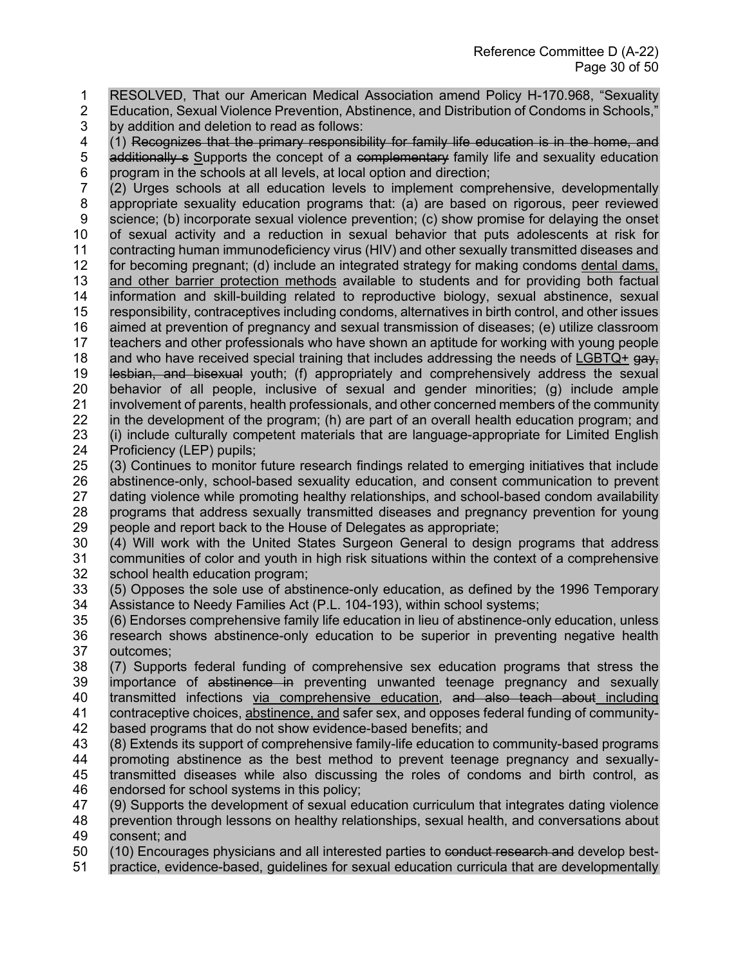- 1 RESOLVED, That our American Medical Association amend Policy H-170.968, "Sexuality
- 2 Education, Sexual Violence Prevention, Abstinence, and Distribution of Condoms in Schools,"
- 3 by addition and deletion to read as follows:<br>4 (1) Recognizes that the primary responsib

(1) Recognizes that the primary responsibility for family life education is in the home, and 5 additionally s Supports the concept of a complementary family life and sexuality education

6 program in the schools at all levels, at local option and direction;<br>7 (2) Urges schools at all education levels to implement comp (2) Urges schools at all education levels to implement comprehensive, developmentally 8 appropriate sexuality education programs that: (a) are based on rigorous, peer reviewed 9 science; (b) incorporate sexual violence prevention; (c) show promise for delaying the onset 10 of sexual activity and a reduction in sexual behavior that puts adolescents at risk for 11 contracting human immunodeficiency virus (HIV) and other sexually transmitted diseases and contracting human immunodeficiency virus (HIV) and other sexually transmitted diseases and for becoming pregnant; (d) include an integrated strategy for making condoms dental dams, and other barrier protection methods available to students and for providing both factual information and skill-building related to reproductive biology, sexual abstinence, sexual responsibility, contraceptives including condoms, alternatives in birth control, and other issues aimed at prevention of pregnancy and sexual transmission of diseases; (e) utilize classroom teachers and other professionals who have shown an aptitude for working with young people 18 and who have received special training that includes addressing the needs of LGBTQ+  $\frac{1}{9}$  lesbian, and bisexual youth; (f) appropriately and comprehensively address the sexual behavior of all people, inclusive of sexual and gender minorities; (g) include ample involvement of parents, health professionals, and other concerned members of the community in the development of the program; (h) are part of an overall health education program; and (i) include culturally competent materials that are language-appropriate for Limited English Proficiency (LEP) pupils;

25 (3) Continues to monitor future research findings related to emerging initiatives that include 26 abstinence-only, school-based sexuality education, and consent communication to prevent<br>27 dating violence while promoting healthy relationships, and school-based condom availability dating violence while promoting healthy relationships, and school-based condom availability 28 programs that address sexually transmitted diseases and pregnancy prevention for young 29 people and report back to the House of Delegates as appropriate;<br>30 (4) Will work with the United States Surgeon General to desig

(4) Will work with the United States Surgeon General to design programs that address 31 communities of color and youth in high risk situations within the context of a comprehensive 32 school health education program;<br>33 (5) Opposes the sole use of absti

- 33 (5) Opposes the sole use of abstinence-only education, as defined by the 1996 Temporary Assistance to Needy Families Act (P.L. 104-193), within school systems;
- 35 (6) Endorses comprehensive family life education in lieu of abstinence-only education, unless 36 research shows abstinence-only education to be superior in preventing negative health 37 outcomes;
- 38 (7) Supports federal funding of comprehensive sex education programs that stress the 39 importance of abstinence in preventing unwanted teenage pregnancy and sexually 40 transmitted infections via comprehensive education, and also teach about including<br>41 contraceptive choices, abstinence, and safer sex, and opposes federal funding of communitycontraceptive choices, abstinence, and safer sex, and opposes federal funding of community-42 based programs that do not show evidence-based benefits; and
- 43 (8) Extends its support of comprehensive family-life education to community-based programs
- 44 promoting abstinence as the best method to prevent teenage pregnancy and sexually-45 transmitted diseases while also discussing the roles of condoms and birth control, as 46 endorsed for school systems in this policy;
- 47 (9) Supports the development of sexual education curriculum that integrates dating violence 48 prevention through lessons on healthy relationships, sexual health, and conversations about 49 consent; and
- 50 (10) Encourages physicians and all interested parties to conduct research and develop best-
- 51 practice, evidence-based, guidelines for sexual education curricula that are developmentally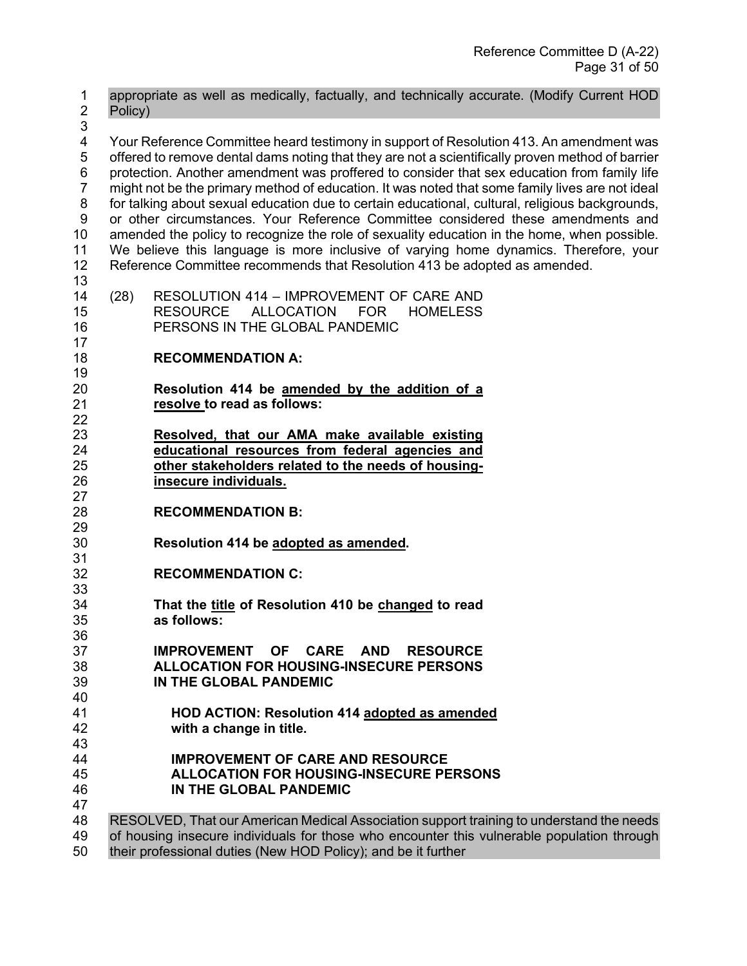1 appropriate as well as medically, factually, and technically accurate. (Modify Current HOD 2 Policy) 3<br>4 4 Your Reference Committee heard testimony in support of Resolution 413. An amendment was 5 offered to remove dental dams noting that they are not a scientifically proven method of barrier 6 protection. Another amendment was proffered to consider that sex education from family life 7 might not be the primary method of education. It was noted that some family lives are not ideal 8 for talking about sexual education due to certain educational, cultural, religious backgrounds, 9 or other circumstances. Your Reference Committee considered these amendments and 10 amended the policy to recognize the role of sexuality education in the home, when possible.<br>11 We believe this language is more inclusive of varving home dynamics. Therefore, your We believe this language is more inclusive of varying home dynamics. Therefore, your Reference Committee recommends that Resolution 413 be adopted as amended. (28) RESOLUTION 414 – IMPROVEMENT OF CARE AND RESOURCE ALLOCATION FOR HOMELESS PERSONS IN THE GLOBAL PANDEMIC **RECOMMENDATION A: Resolution 414 be amended by the addition of a**  resolve to read as follows: **Resolved, that our AMA make available existing educational resources from federal agencies and other stakeholders related to the needs of housing- insecure individuals. RECOMMENDATION B:**  29<br>30 **Resolution 414 be adopted as amended. RECOMMENDATION C:**  33<br>34 **That the title of Resolution 410 be changed to read**  as follows: **IMPROVEMENT OF CARE AND RESOURCE ALLOCATION FOR HOUSING-INSECURE PERSONS IN THE GLOBAL PANDEMIC** 40<br>41 **HOD ACTION: Resolution 414 adopted as amended** with a change in title. **IMPROVEMENT OF CARE AND RESOURCE ALLOCATION FOR HOUSING-INSECURE PERSONS IN THE GLOBAL PANDEMIC** RESOLVED, That our American Medical Association support training to understand the needs of housing insecure individuals for those who encounter this vulnerable population through

their professional duties (New HOD Policy); and be it further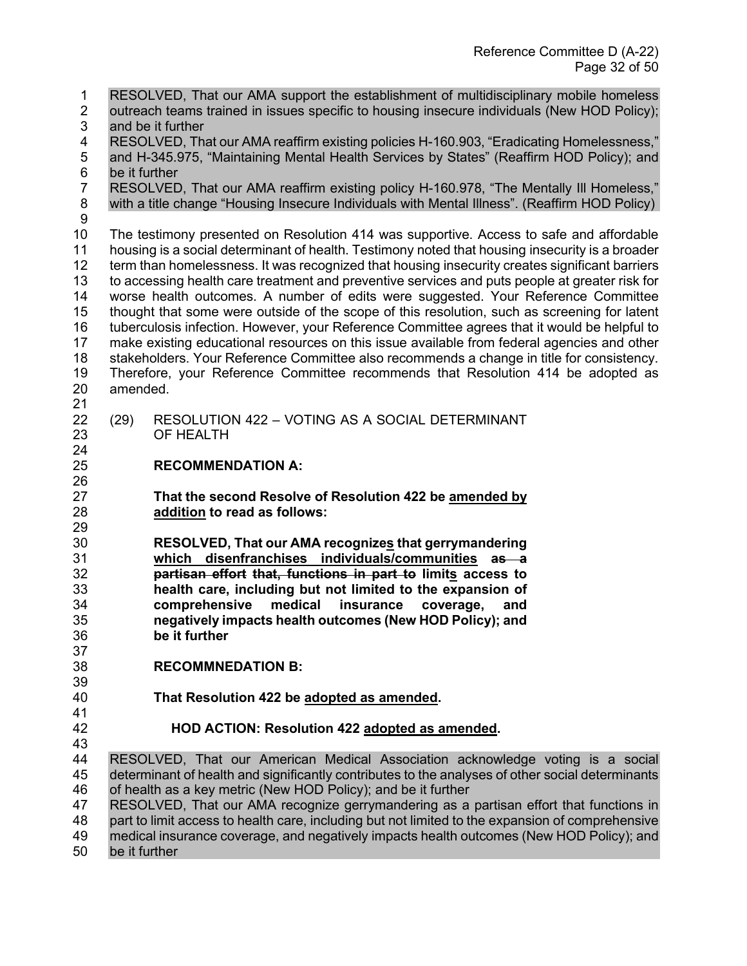1 RESOLVED, That our AMA support the establishment of multidisciplinary mobile homeless 2 outreach teams trained in issues specific to housing insecure individuals (New HOD Policy); 3 and be it further<br>4 RESOLVED, Tha RESOLVED, That our AMA reaffirm existing policies H-160.903, "Eradicating Homelessness," 5 and H-345.975, "Maintaining Mental Health Services by States" (Reaffirm HOD Policy); and 6 be it further<br>7 RESOLVED RESOLVED, That our AMA reaffirm existing policy H-160.978, "The Mentally III Homeless," 8 with a title change "Housing Insecure Individuals with Mental Illness". (Reaffirm HOD Policy) 10 The testimony presented on Resolution 414 was supportive. Access to safe and affordable<br>11 housing is a social determinant of health. Testimony noted that housing insecurity is a broader housing is a social determinant of health. Testimony noted that housing insecurity is a broader term than homelessness. It was recognized that housing insecurity creates significant barriers to accessing health care treatment and preventive services and puts people at greater risk for worse health outcomes. A number of edits were suggested. Your Reference Committee 15 thought that some were outside of the scope of this resolution, such as screening for latent<br>16 tuberculosis infection. However, your Reference Committee agrees that it would be helpful to tuberculosis infection. However, your Reference Committee agrees that it would be helpful to make existing educational resources on this issue available from federal agencies and other stakeholders. Your Reference Committee also recommends a change in title for consistency. Therefore, your Reference Committee recommends that Resolution 414 be adopted as amended. (29) RESOLUTION 422 – VOTING AS A SOCIAL DETERMINANT OF HEALTH **RECOMMENDATION A:**  26<br>27 **That the second Resolve of Resolution 422 be amended by addition to read as follows:** 29<br>30 **RESOLVED, That our AMA recognizes that gerrymandering which disenfranchises individuals/communities as a partisan effort that, functions in part to limits access to health care, including but not limited to the expansion of comprehensive medical insurance coverage, and negatively impacts health outcomes (New HOD Policy); and be it further RECOMMNEDATION B: That Resolution 422 be adopted as amended. HOD ACTION: Resolution 422 adopted as amended.**  43<br>44 RESOLVED, That our American Medical Association acknowledge voting is a social determinant of health and significantly contributes to the analyses of other social determinants of health as a key metric (New HOD Policy); and be it further RESOLVED, That our AMA recognize gerrymandering as a partisan effort that functions in part to limit access to health care, including but not limited to the expansion of comprehensive medical insurance coverage, and negatively impacts health outcomes (New HOD Policy); and be it further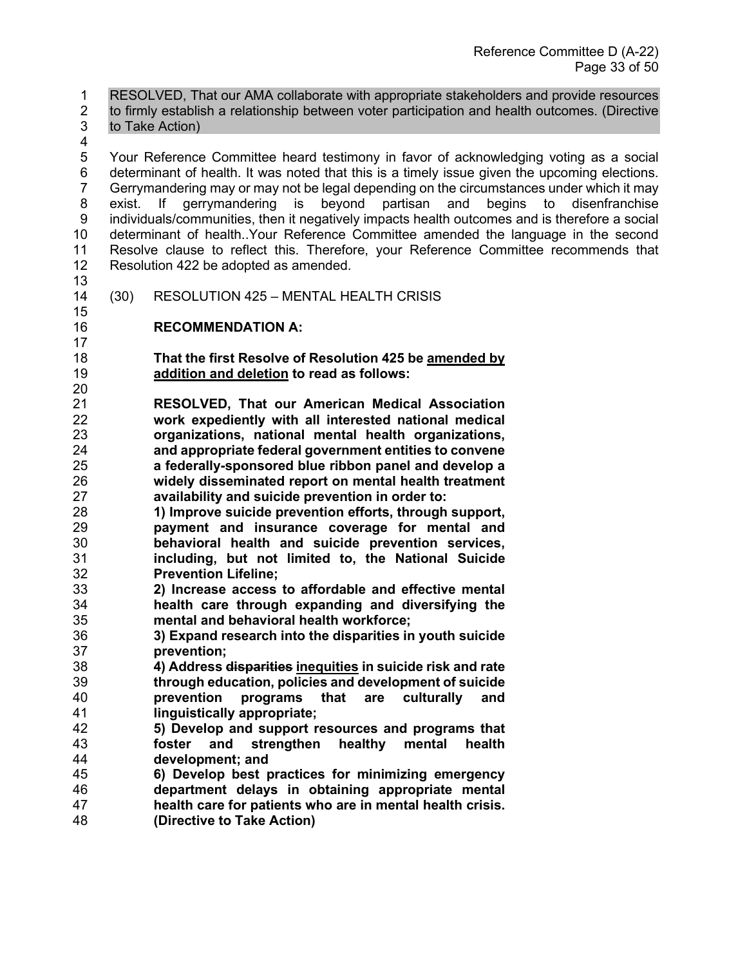1 RESOLVED, That our AMA collaborate with appropriate stakeholders and provide resources

2 to firmly establish a relationship between voter participation and health outcomes. (Directive 3 to Take Action)

 5 Your Reference Committee heard testimony in favor of acknowledging voting as a social 6 determinant of health. It was noted that this is a timely issue given the upcoming elections. 7 Gerrymandering may or may not be legal depending on the circumstances under which it may 8 exist. If gerrymandering is beyond partisan and begins to disenfranchise 9 individuals/communities, then it negatively impacts health outcomes and is therefore a social 10 determinant of health..Your Reference Committee amended the language in the second<br>11 Resolve clause to reflect this. Therefore, your Reference Committee recommends that Resolve clause to reflect this. Therefore, your Reference Committee recommends that Resolution 422 be adopted as amended.

 

(30) RESOLUTION 425 – MENTAL HEALTH CRISIS

## **RECOMMENDATION A:**

 **That the first Resolve of Resolution 425 be amended by addition and deletion to read as follows:** 

 **RESOLVED, That our American Medical Association work expediently with all interested national medical organizations, national mental health organizations, and appropriate federal government entities to convene a federally-sponsored blue ribbon panel and develop a widely disseminated report on mental health treatment availability and suicide prevention in order to:**

 **1) Improve suicide prevention efforts, through support, payment and insurance coverage for mental and**  behavioral health and suicide prevention services, **including, but not limited to, the National Suicide Prevention Lifeline;**

- **2) Increase access to affordable and effective mental health care through expanding and diversifying the mental and behavioral health workforce;**
- **3) Expand research into the disparities in youth suicide prevention;**
- **4) Address disparities inequities in suicide risk and rate through education, policies and development of suicide prevention programs that are culturally and linguistically appropriate;**
- **5) Develop and support resources and programs that foster and strengthen healthy mental health development; and**
- **6) Develop best practices for minimizing emergency department delays in obtaining appropriate mental health care for patients who are in mental health crisis. (Directive to Take Action)**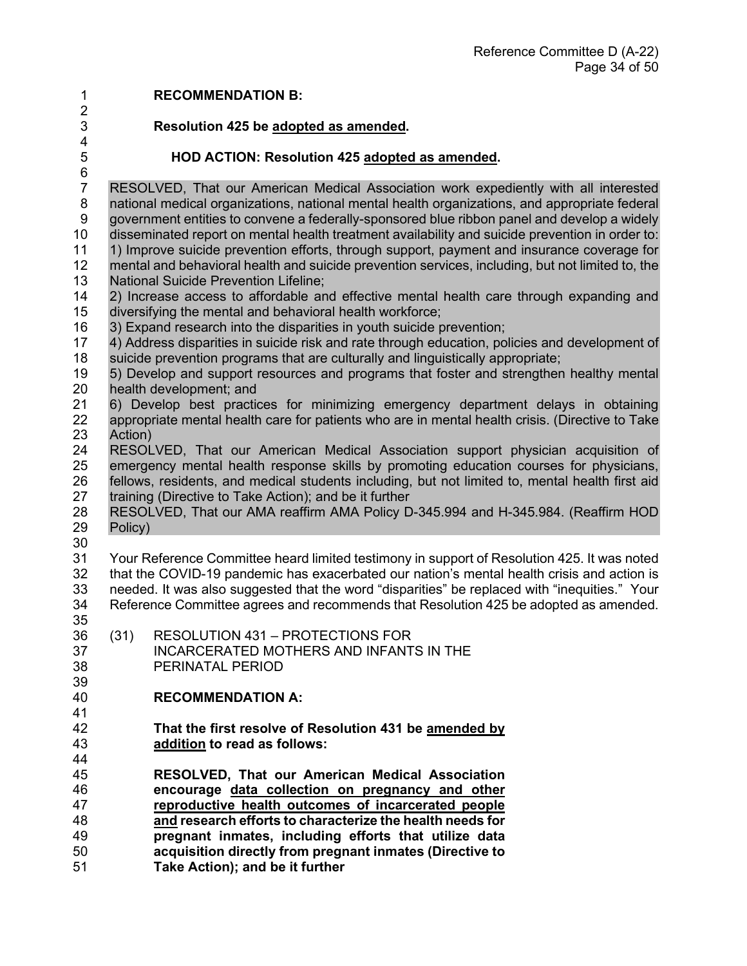**RECOMMENDATION B: Resolution 425 be adopted as amended.**   $\frac{4}{5}$ **HOD ACTION: Resolution 425 adopted as amended.**  6<br>7 RESOLVED, That our American Medical Association work expediently with all interested 8 national medical organizations, national mental health organizations, and appropriate federal 9 government entities to convene a federally-sponsored blue ribbon panel and develop a widely 10 disseminated report on mental health treatment availability and suicide prevention in order to:<br>11 1) Improve suicide prevention efforts, through support, payment and insurance coverage for 1) Improve suicide prevention efforts, through support, payment and insurance coverage for mental and behavioral health and suicide prevention services, including, but not limited to, the National Suicide Prevention Lifeline; 2) Increase access to affordable and effective mental health care through expanding and 15 diversifying the mental and behavioral health workforce;<br>16 3) Expand research into the disparities in youth suicide p 3) Expand research into the disparities in youth suicide prevention; 4) Address disparities in suicide risk and rate through education, policies and development of suicide prevention programs that are culturally and linguistically appropriate; 5) Develop and support resources and programs that foster and strengthen healthy mental health development; and 6) Develop best practices for minimizing emergency department delays in obtaining appropriate mental health care for patients who are in mental health crisis. (Directive to Take 23 Action)<br>24 RESOL RESOLVED, That our American Medical Association support physician acquisition of emergency mental health response skills by promoting education courses for physicians, 26 fellows, residents, and medical students including, but not limited to, mental health first aid<br>27 training (Directive to Take Action); and be it further training (Directive to Take Action); and be it further RESOLVED, That our AMA reaffirm AMA Policy D-345.994 and H-345.984. (Reaffirm HOD Policy) Your Reference Committee heard limited testimony in support of Resolution 425. It was noted that the COVID-19 pandemic has exacerbated our nation's mental health crisis and action is needed. It was also suggested that the word "disparities" be replaced with "inequities." Your Reference Committee agrees and recommends that Resolution 425 be adopted as amended. (31) RESOLUTION 431 – PROTECTIONS FOR INCARCERATED MOTHERS AND INFANTS IN THE PERINATAL PERIOD 39<br>40 **RECOMMENDATION A: That the first resolve of Resolution 431 be amended by addition to read as follows: RESOLVED, That our American Medical Association encourage data collection on pregnancy and other reproductive health outcomes of incarcerated people and research efforts to characterize the health needs for pregnant inmates, including efforts that utilize data acquisition directly from pregnant inmates (Directive to Take Action); and be it further**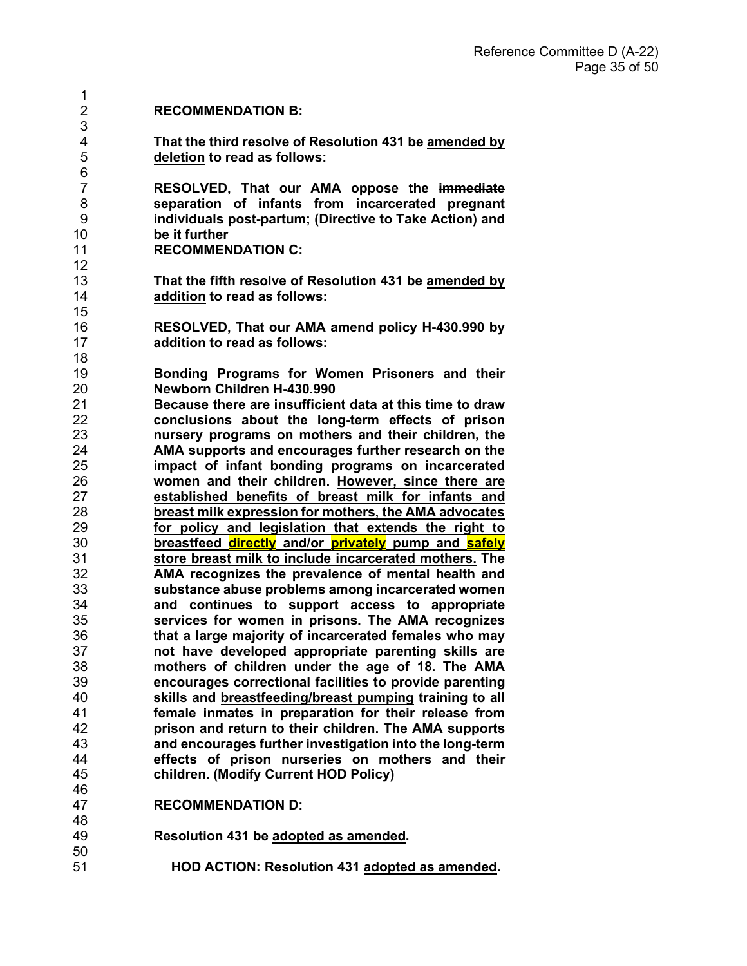| 1              |                                                          |
|----------------|----------------------------------------------------------|
| $\overline{2}$ | <b>RECOMMENDATION B:</b>                                 |
| 3              |                                                          |
| $\overline{4}$ |                                                          |
|                | That the third resolve of Resolution 431 be amended by   |
| 5              | deletion to read as follows:                             |
| $\,6$          |                                                          |
| $\overline{7}$ | RESOLVED, That our AMA oppose the immediate              |
| 8              | separation of infants from incarcerated pregnant         |
| 9              | individuals post-partum; (Directive to Take Action) and  |
| 10             | be it further                                            |
| 11             | <b>RECOMMENDATION C:</b>                                 |
| 12             |                                                          |
| 13             | That the fifth resolve of Resolution 431 be amended by   |
| 14             | addition to read as follows:                             |
| 15             |                                                          |
| 16             |                                                          |
|                | RESOLVED, That our AMA amend policy H-430.990 by         |
| 17             | addition to read as follows:                             |
| 18             |                                                          |
| 19             | Bonding Programs for Women Prisoners and their           |
| 20             | Newborn Children H-430.990                               |
| 21             | Because there are insufficient data at this time to draw |
| 22             | conclusions about the long-term effects of prison        |
| 23             | nursery programs on mothers and their children, the      |
| 24             | AMA supports and encourages further research on the      |
| 25             | impact of infant bonding programs on incarcerated        |
| 26             | women and their children. However, since there are       |
| 27             | established benefits of breast milk for infants and      |
| 28             | breast milk expression for mothers, the AMA advocates    |
| 29             | for policy and legislation that extends the right to     |
| 30             | breastfeed directly and/or privately pump and safely     |
| 31             | store breast milk to include incarcerated mothers. The   |
| 32             |                                                          |
|                | AMA recognizes the prevalence of mental health and       |
| 33             | substance abuse problems among incarcerated women        |
| 34             | and continues to support access to appropriate           |
| 35             | services for women in prisons. The AMA recognizes        |
| 36             | that a large majority of incarcerated females who mav    |
| 37             | not have developed appropriate parenting skills are      |
| 38             | mothers of children under the age of 18. The AMA         |
| 39             | encourages correctional facilities to provide parenting  |
| 40             | skills and breastfeeding/breast pumping training to all  |
| 41             | female inmates in preparation for their release from     |
| 42             | prison and return to their children. The AMA supports    |
| 43             | and encourages further investigation into the long-term  |
| 44             | effects of prison nurseries on mothers and their         |
| 45             | children. (Modify Current HOD Policy)                    |
| 46             |                                                          |
| 47             |                                                          |
| $\Lambda$ O    | <b>RECOMMENDATION D:</b>                                 |

- 48<br>49 **Resolution 431 be adopted as amended.** 
	- **HOD ACTION: Resolution 431 adopted as amended.**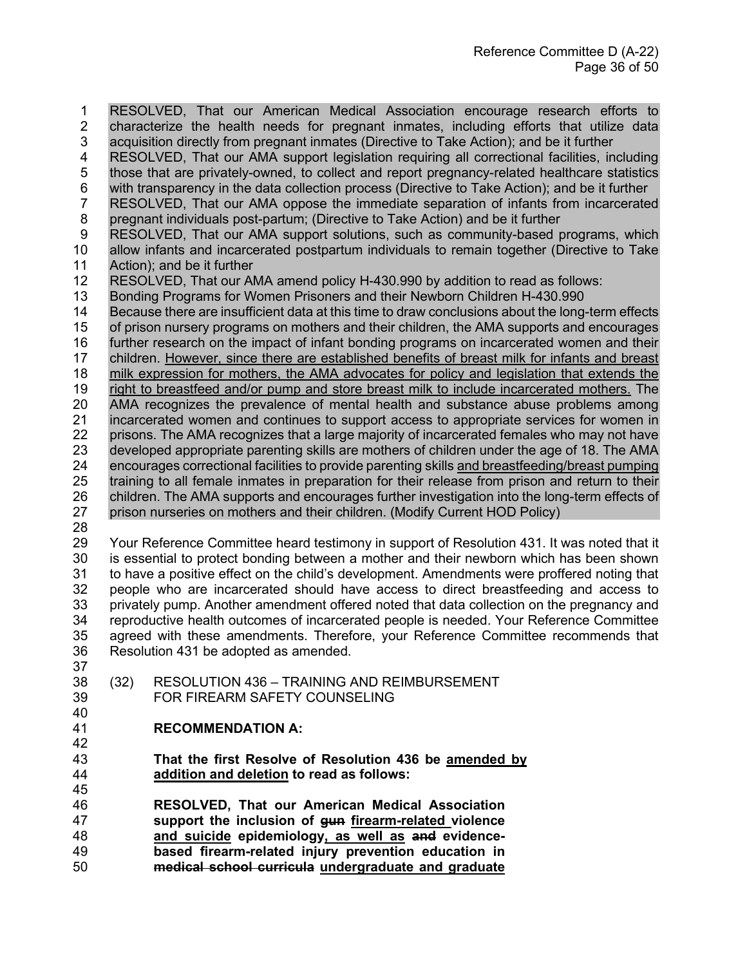1 RESOLVED, That our American Medical Association encourage research efforts to 2 characterize the health needs for pregnant inmates, including efforts that utilize data<br>3 acquisition directly from pregnant inmates (Directive to Take Action); and be it further acquisition directly from pregnant inmates (Directive to Take Action); and be it further RESOLVED, That our AMA support legislation requiring all correctional facilities, including 5 those that are privately-owned, to collect and report pregnancy-related healthcare statistics 6 with transparency in the data collection process (Directive to Take Action); and be it further 7 RESOLVED, That our AMA oppose the immediate separation of infants from incarcerated 8 pregnant individuals post-partum; (Directive to Take Action) and be it further 9 RESOLVED, That our AMA support solutions, such as community-based programs, which<br>10 allow infants and incarcerated postpartum individuals to remain together (Directive to Take allow infants and incarcerated postpartum individuals to remain together (Directive to Take Action); and be it further 12 RESOLVED, That our AMA amend policy H-430.990 by addition to read as follows:<br>13 Bonding Programs for Women Prisoners and their Newborn Children H-430.990 Bonding Programs for Women Prisoners and their Newborn Children H-430.990 Because there are insufficient data at this time to draw conclusions about the long-term effects of prison nursery programs on mothers and their children, the AMA supports and encourages further research on the impact of infant bonding programs on incarcerated women and their children. However, since there are established benefits of breast milk for infants and breast milk expression for mothers, the AMA advocates for policy and legislation that extends the 19 right to breastfeed and/or pump and store breast milk to include incarcerated mothers. The AMA recognizes the prevalence of mental health and substance abuse problems among incarcerated women and continues to support access to appropriate services for women in 22 prisons. The AMA recognizes that a large majority of incarcerated females who may not have<br>23 developed appropriate parenting skills are mothers of children under the age of 18. The AMA developed appropriate parenting skills are mothers of children under the age of 18. The AMA 24 encourages correctional facilities to provide parenting skills and breastfeeding/breast pumping<br>25 training to all female inmates in preparation for their release from prison and return to their training to all female inmates in preparation for their release from prison and return to their 26 children. The AMA supports and encourages further investigation into the long-term effects of prison nurseries on mothers and their children. (Modify Current HOD Policy) Your Reference Committee heard testimony in support of Resolution 431. It was noted that it is essential to protect bonding between a mother and their newborn which has been shown to have a positive effect on the child's development. Amendments were proffered noting that people who are incarcerated should have access to direct breastfeeding and access to privately pump. Another amendment offered noted that data collection on the pregnancy and reproductive health outcomes of incarcerated people is needed. Your Reference Committee agreed with these amendments. Therefore, your Reference Committee recommends that Resolution 431 be adopted as amended.

- (32) RESOLUTION 436 TRAINING AND REIMBURSEMENT FOR FIREARM SAFETY COUNSELING
- 

- **RECOMMENDATION A:**
- **That the first Resolve of Resolution 436 be amended by addition and deletion to read as follows:**
- **RESOLVED, That our American Medical Association support the inclusion of gun firearm-related violence and suicide epidemiology, as well as and evidence- based firearm-related injury prevention education in medical school curricula undergraduate and graduate**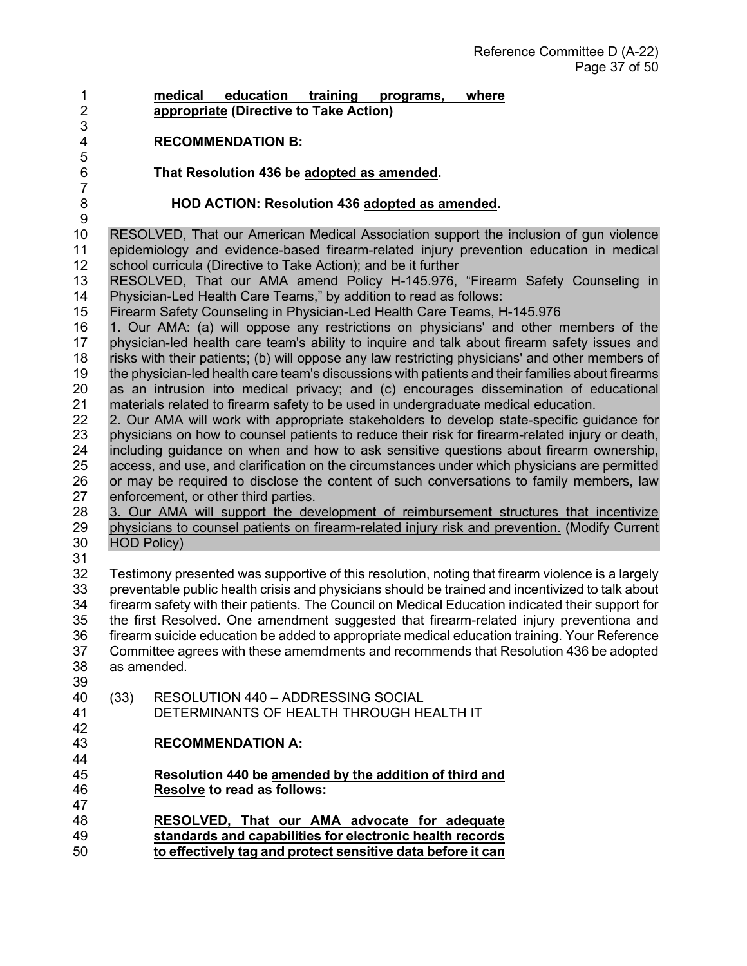- **medical education training programs, where appropriate (Directive to Take Action)**
	- **RECOMMENDATION B:**

#### **That Resolution 436 be adopted as amended.**

3<br>4

#### **HOD ACTION: Resolution 436 adopted as amended.**

 $\frac{9}{10}$ 10 RESOLVED, That our American Medical Association support the inclusion of gun violence<br>11 epidemiology and evidence-based firearm-related iniury prevention education in medical epidemiology and evidence-based firearm-related injury prevention education in medical school curricula (Directive to Take Action); and be it further

 RESOLVED, That our AMA amend Policy H-145.976, "Firearm Safety Counseling in Physician-Led Health Care Teams," by addition to read as follows:

Firearm Safety Counseling in Physician-Led Health Care Teams, H-145.976

 1. Our AMA: (a) will oppose any restrictions on physicians' and other members of the 17 physician-led health care team's ability to inquire and talk about firearm safety issues and risks with their patients; (b) will oppose any law restricting physicians' and other members of the physician-led health care team's discussions with patients and their families about firearms as an intrusion into medical privacy; and (c) encourages dissemination of educational materials related to firearm safety to be used in undergraduate medical education.

- 2. Our AMA will work with appropriate stakeholders to develop state-specific guidance for 23 physicians on how to counsel patients to reduce their risk for firearm-related injury or death,<br>24 including quidance on when and how to ask sensitive questions about firearm ownership. including guidance on when and how to ask sensitive questions about firearm ownership, access, and use, and clarification on the circumstances under which physicians are permitted 26 or may be required to disclose the content of such conversations to family members, law<br>27 enforcement, or other third parties. enforcement, or other third parties.
- 3. Our AMA will support the development of reimbursement structures that incentivize 29 physicians to counsel patients on firearm-related injury risk and prevention. (Modify Current 30<br>30 HOD Policy) HOD Policy)
- 

 Testimony presented was supportive of this resolution, noting that firearm violence is a largely preventable public health crisis and physicians should be trained and incentivized to talk about firearm safety with their patients. The Council on Medical Education indicated their support for the first Resolved. One amendment suggested that firearm-related injury preventiona and firearm suicide education be added to appropriate medical education training. Your Reference Committee agrees with these amemdments and recommends that Resolution 436 be adopted as amended.

- 39<br>40 (33) RESOLUTION 440 – ADDRESSING SOCIAL DETERMINANTS OF HEALTH THROUGH HEALTH IT
- 

- **RECOMMENDATION A:**
- **Resolution 440 be amended by the addition of third and Resolve to read as follows:**
- **RESOLVED, That our AMA advocate for adequate standards and capabilities for electronic health records to effectively tag and protect sensitive data before it can**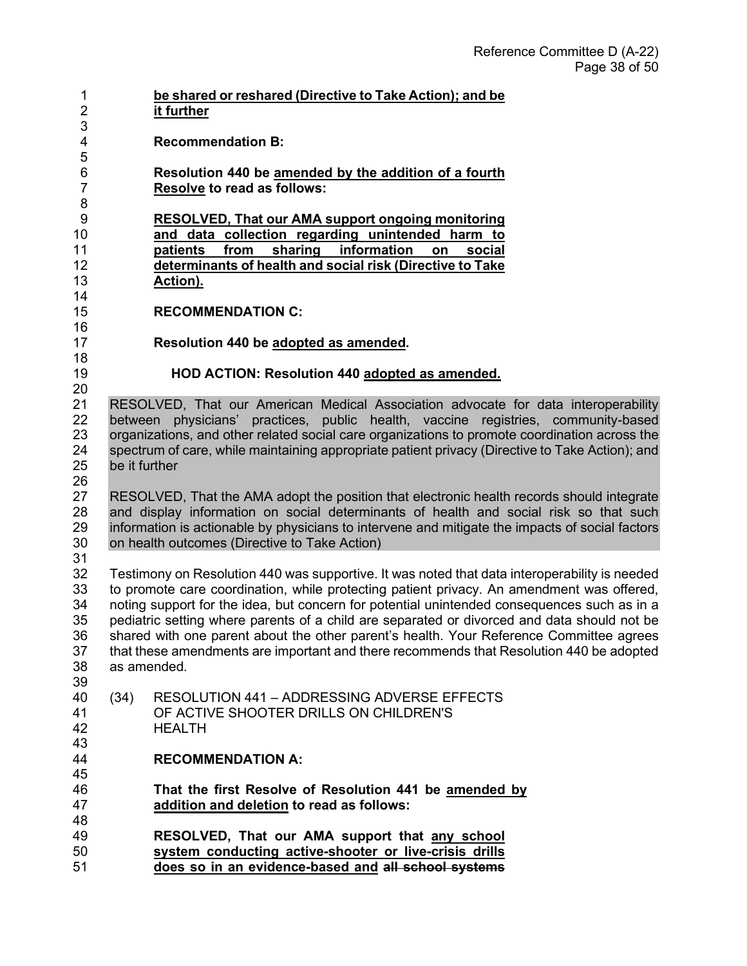| 1<br>$\overline{2}$ |               | be shared or reshared (Directive to Take Action); and be<br>it further                          |
|---------------------|---------------|-------------------------------------------------------------------------------------------------|
| 3                   |               |                                                                                                 |
| 4                   |               | <b>Recommendation B:</b>                                                                        |
| 5<br>6              |               | Resolution 440 be amended by the addition of a fourth                                           |
| $\overline{7}$      |               | <b>Resolve to read as follows:</b>                                                              |
| 8                   |               |                                                                                                 |
| 9                   |               | RESOLVED, That our AMA support ongoing monitoring                                               |
| 10                  |               | and data collection regarding unintended harm to                                                |
| 11                  |               | information<br>sharing<br>patients<br>from<br>social<br>on                                      |
| 12                  |               | determinants of health and social risk (Directive to Take                                       |
| 13                  |               | Action).                                                                                        |
| 14                  |               |                                                                                                 |
| 15                  |               | <b>RECOMMENDATION C:</b>                                                                        |
| 16                  |               |                                                                                                 |
| 17                  |               | Resolution 440 be adopted as amended.                                                           |
| 18<br>19            |               |                                                                                                 |
| 20                  |               | HOD ACTION: Resolution 440 adopted as amended.                                                  |
| 21                  |               | RESOLVED, That our American Medical Association advocate for data interoperability              |
| 22                  |               | between physicians' practices, public health, vaccine registries, community-based               |
| 23                  |               | organizations, and other related social care organizations to promote coordination across the   |
| 24                  |               | spectrum of care, while maintaining appropriate patient privacy (Directive to Take Action); and |
| 25                  | be it further |                                                                                                 |
| 26                  |               |                                                                                                 |
| 27                  |               | RESOLVED, That the AMA adopt the position that electronic health records should integrate       |
| 28                  |               | and display information on social determinants of health and social risk so that such           |
| 29                  |               | information is actionable by physicians to intervene and mitigate the impacts of social factors |
| 30                  |               | on health outcomes (Directive to Take Action)                                                   |
| 31                  |               |                                                                                                 |
| 32                  |               | Testimony on Resolution 440 was supportive. It was noted that data interoperability is needed   |
| 33                  |               | to promote care coordination, while protecting patient privacy. An amendment was offered,       |
| 34                  |               | noting support for the idea, but concern for potential unintended consequences such as in a     |
| 35                  |               | pediatric setting where parents of a child are separated or divorced and data should not be     |
| 36                  |               | shared with one parent about the other parent's health. Your Reference Committee agrees         |
| 37<br>38            | as amended.   | that these amendments are important and there recommends that Resolution 440 be adopted         |
| 39                  |               |                                                                                                 |
| 40                  | (34)          | RESOLUTION 441 - ADDRESSING ADVERSE EFFECTS                                                     |
| 41                  |               | OF ACTIVE SHOOTER DRILLS ON CHILDREN'S                                                          |
| 42                  |               | <b>HEALTH</b>                                                                                   |
| 43                  |               |                                                                                                 |
| 44                  |               | <b>RECOMMENDATION A:</b>                                                                        |
| 45                  |               |                                                                                                 |
| 46                  |               | That the first Resolve of Resolution 441 be amended by                                          |
| 47                  |               | addition and deletion to read as follows:                                                       |
| 48                  |               |                                                                                                 |
| 49                  |               | RESOLVED, That our AMA support that any school                                                  |
| 50                  |               | system conducting active-shooter or live-crisis drills                                          |
| 51                  |               | does so in an evidence-based and all school systems                                             |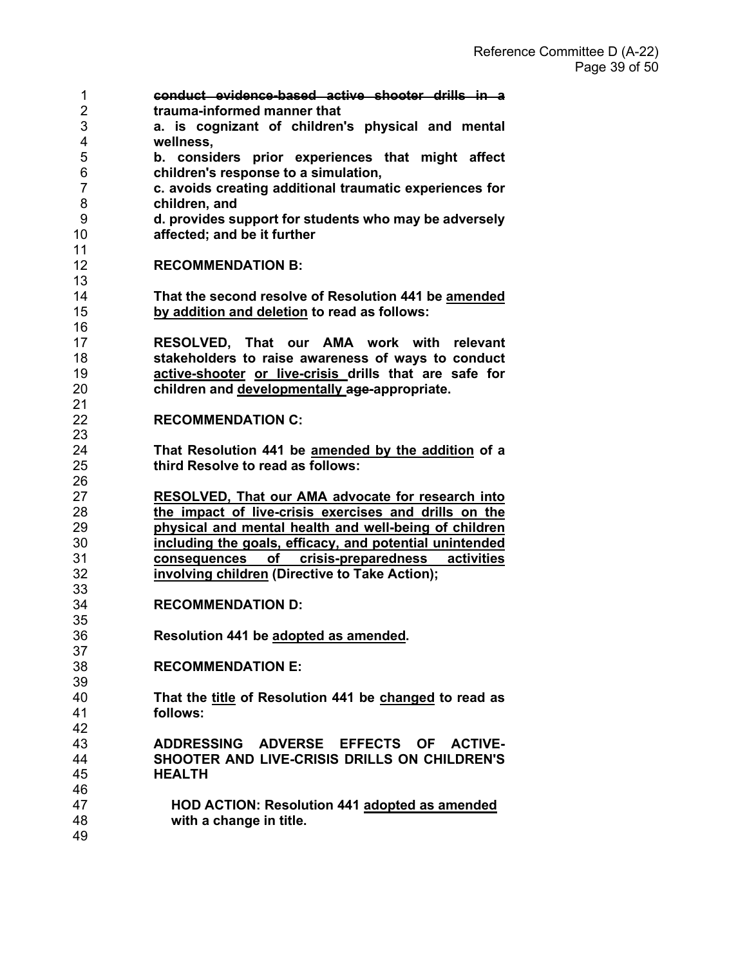| 1                   | conduct evidence-based active shooter drills in a                        |
|---------------------|--------------------------------------------------------------------------|
| 2                   | trauma-informed manner that                                              |
| 3                   | a. is cognizant of children's physical and mental                        |
| 4                   | wellness,                                                                |
| 5                   | b. considers prior experiences that might affect                         |
| 6<br>$\overline{7}$ | children's response to a simulation,                                     |
| 8                   | c. avoids creating additional traumatic experiences for<br>children, and |
| 9                   | d. provides support for students who may be adversely                    |
| 10                  | affected; and be it further                                              |
| 11                  |                                                                          |
| 12                  | <b>RECOMMENDATION B:</b>                                                 |
| 13                  |                                                                          |
| 14                  | That the second resolve of Resolution 441 be amended                     |
| 15                  | by addition and deletion to read as follows:                             |
| 16                  |                                                                          |
| 17                  | RESOLVED, That our AMA work with relevant                                |
| 18                  | stakeholders to raise awareness of ways to conduct                       |
| 19                  | active-shooter or live-crisis drills that are safe for                   |
| 20                  | children and developmentally age-appropriate.                            |
| 21<br>22            | <b>RECOMMENDATION C:</b>                                                 |
| 23                  |                                                                          |
| 24                  | That Resolution 441 be amended by the addition of a                      |
| 25                  | third Resolve to read as follows:                                        |
| 26                  |                                                                          |
| 27                  | <b>RESOLVED, That our AMA advocate for research into</b>                 |
| 28                  | the impact of live-crisis exercises and drills on the                    |
| 29                  | physical and mental health and well-being of children                    |
| 30                  | including the goals, efficacy, and potential unintended                  |
| 31                  | consequences of crisis-preparedness activities                           |
| 32                  | involving children (Directive to Take Action);                           |
| 33                  |                                                                          |
| 34<br>35            | <b>RECOMMENDATION D:</b>                                                 |
| 36                  | Resolution 441 be adopted as amended.                                    |
| 37                  |                                                                          |
| 38                  | <b>RECOMMENDATION E:</b>                                                 |
| 39                  |                                                                          |
| 40                  | That the title of Resolution 441 be changed to read as                   |
| 41                  | follows:                                                                 |
| 42                  |                                                                          |
| 43                  | ADDRESSING ADVERSE EFFECTS OF ACTIVE-                                    |
| 44                  | SHOOTER AND LIVE-CRISIS DRILLS ON CHILDREN'S                             |
| 45                  | <b>HEALTH</b>                                                            |
| 46                  |                                                                          |
| 47                  | <b>HOD ACTION: Resolution 441 adopted as amended</b>                     |
| 48                  | with a change in title.                                                  |
| 49                  |                                                                          |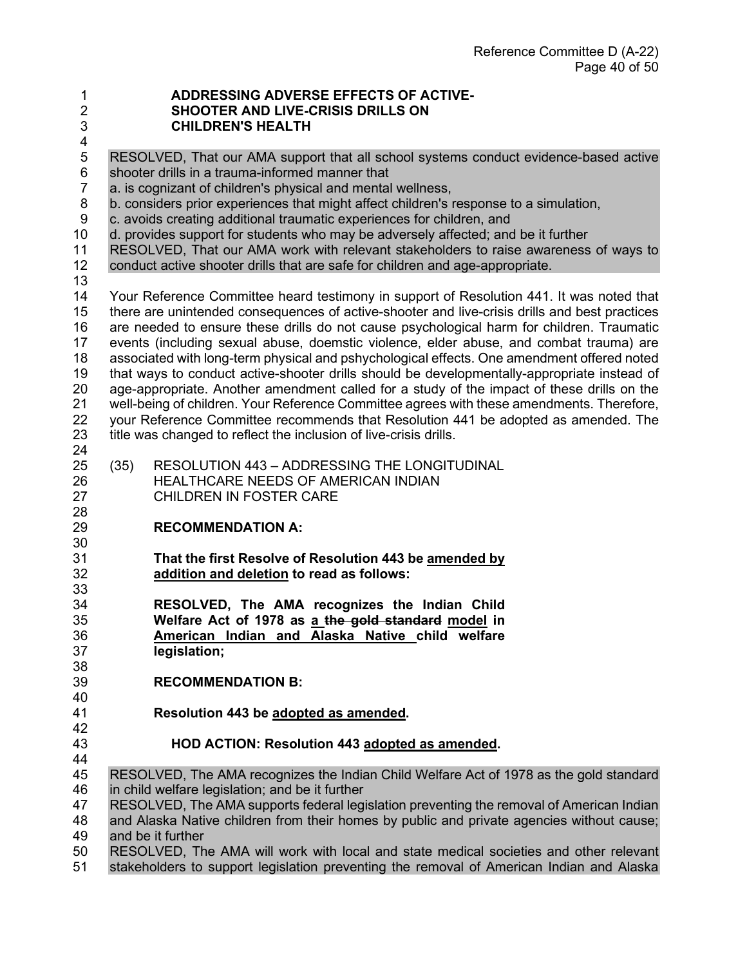#### **ADDRESSING ADVERSE EFFECTS OF ACTIVE-SHOOTER AND LIVE-CRISIS DRILLS ON**

- **CHILDREN'S HEALTH**
- 4<br>5

# 5 RESOLVED, That our AMA support that all school systems conduct evidence-based active

- 6 shooter drills in a trauma-informed manner that<br>7 a. is cognizant of children's physical and mental a. is cognizant of children's physical and mental wellness,
- 8 b. considers prior experiences that might affect children's response to a simulation,
- 9 c. avoids creating additional traumatic experiences for children, and
- 10 d. provides support for students who may be adversely affected; and be it further<br>11 RESOLVED. That our AMA work with relevant stakeholders to raise awareness
- RESOLVED, That our AMA work with relevant stakeholders to raise awareness of ways to
- conduct active shooter drills that are safe for children and age-appropriate.
- 

 Your Reference Committee heard testimony in support of Resolution 441. It was noted that there are unintended consequences of active-shooter and live-crisis drills and best practices are needed to ensure these drills do not cause psychological harm for children. Traumatic events (including sexual abuse, doemstic violence, elder abuse, and combat trauma) are associated with long-term physical and pshychological effects. One amendment offered noted that ways to conduct active-shooter drills should be developmentally-appropriate instead of 20 age-appropriate. Another amendment called for a study of the impact of these drills on the 21 well-being of children. Your Reference Committee agrees with these amendments. Therefore. well-being of children. Your Reference Committee agrees with these amendments. Therefore, your Reference Committee recommends that Resolution 441 be adopted as amended. The title was changed to reflect the inclusion of live-crisis drills. 

- (35) RESOLUTION 443 ADDRESSING THE LONGITUDINAL HEALTHCARE NEEDS OF AMERICAN INDIAN CHILDREN IN FOSTER CARE
- **RECOMMENDATION A:**
- **That the first Resolve of Resolution 443 be amended by addition and deletion to read as follows:**
- 33<br>34 **RESOLVED, The AMA recognizes the Indian Child Welfare Act of 1978 as a the gold standard model in American Indian and Alaska Native child welfare legislation;**
- **RECOMMENDATION B:**
- 40<br>41 **Resolution 443 be adopted as amended.**
- **HOD ACTION: Resolution 443 adopted as amended.**
- RESOLVED, The AMA recognizes the Indian Child Welfare Act of 1978 as the gold standard in child welfare legislation; and be it further
- 47 RESOLVED, The AMA supports federal legislation preventing the removal of American Indian

 and Alaska Native children from their homes by public and private agencies without cause; and be it further

 RESOLVED, The AMA will work with local and state medical societies and other relevant stakeholders to support legislation preventing the removal of American Indian and Alaska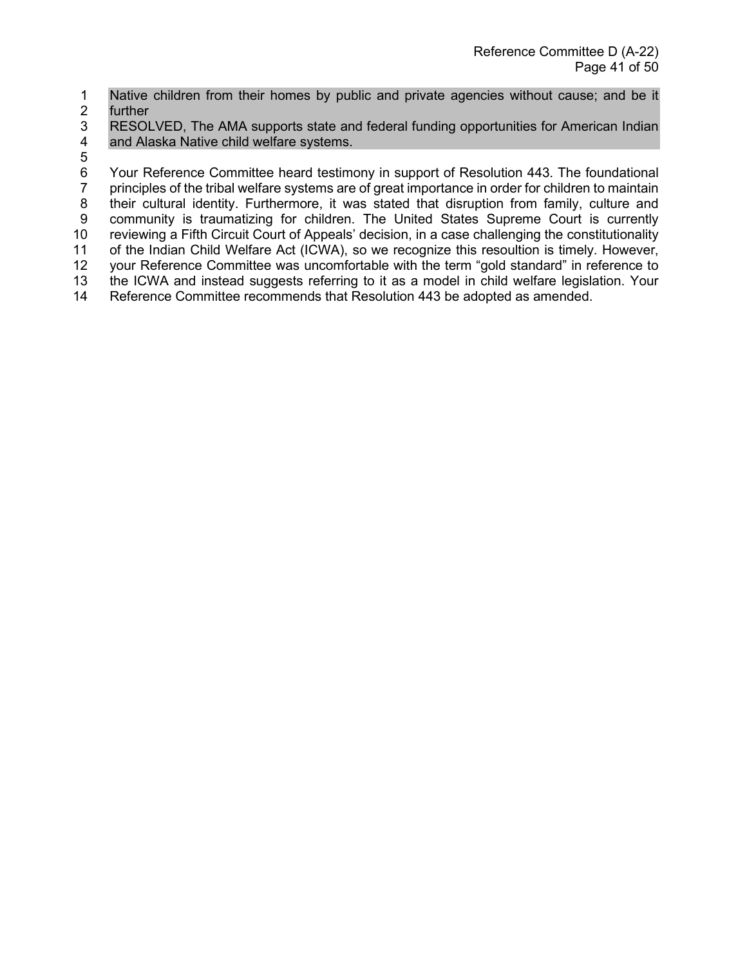1 Native children from their homes by public and private agencies without cause; and be it 2 further

- 3 RESOLVED, The AMA supports state and federal funding opportunities for American Indian<br>4 and Alaska Native child welfare systems. and Alaska Native child welfare systems.
- 5

6 Your Reference Committee heard testimony in support of Resolution 443. The foundational<br>7 principles of the tribal welfare systems are of great importance in order for children to maintain principles of the tribal welfare systems are of great importance in order for children to maintain 8 their cultural identity. Furthermore, it was stated that disruption from family, culture and 9 community is traumatizing for children. The United States Supreme Court is currently 10 reviewing a Fifth Circuit Court of Appeals' decision, in a case challenging the constitutionality<br>11 of the Indian Child Welfare Act (ICWA), so we recognize this resoultion is timely. However, of the Indian Child Welfare Act (ICWA), so we recognize this resoultion is timely. However, 12 your Reference Committee was uncomfortable with the term "gold standard" in reference to 13 the ICWA and instead suggests referring to it as a model in child welfare legislation. Your<br>14 Reference Committee recommends that Resolution 443 be adopted as amended. Reference Committee recommends that Resolution 443 be adopted as amended.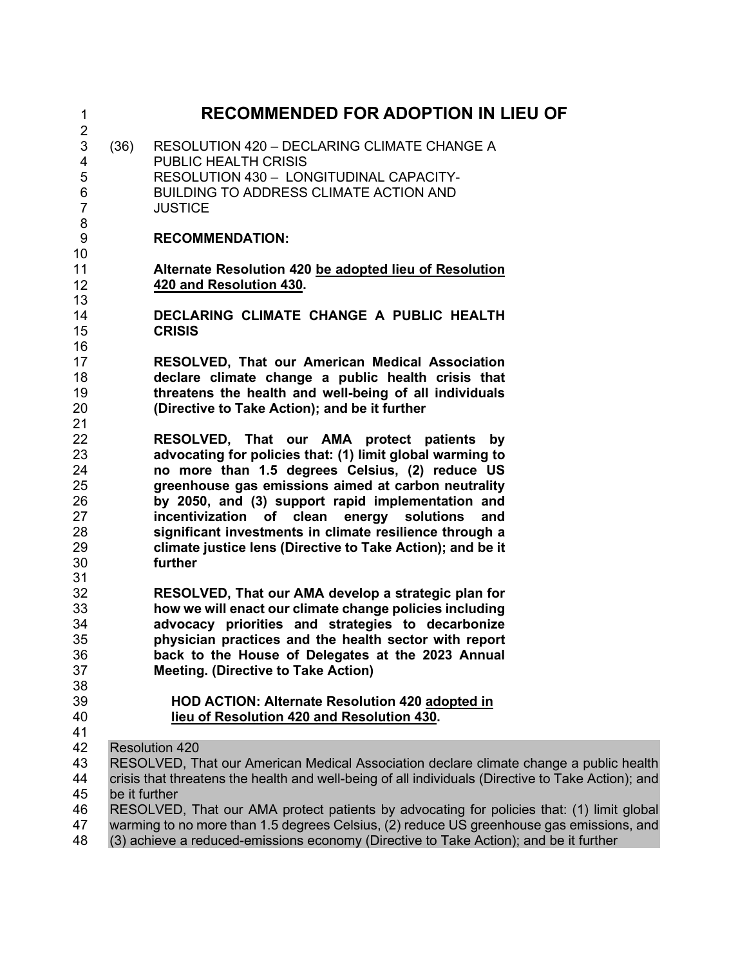| 1                                                         | <b>RECOMMENDED FOR ADOPTION IN LIEU OF</b> |                                                                                                                                                                                                                                                                                                                                                                                                                                                     |  |
|-----------------------------------------------------------|--------------------------------------------|-----------------------------------------------------------------------------------------------------------------------------------------------------------------------------------------------------------------------------------------------------------------------------------------------------------------------------------------------------------------------------------------------------------------------------------------------------|--|
| $\overline{2}$<br>3<br>4<br>5<br>6<br>$\overline{7}$<br>8 | (36)                                       | RESOLUTION 420 - DECLARING CLIMATE CHANGE A<br><b>PUBLIC HEALTH CRISIS</b><br>RESOLUTION 430 - LONGITUDINAL CAPACITY-<br>BUILDING TO ADDRESS CLIMATE ACTION AND<br><b>JUSTICE</b>                                                                                                                                                                                                                                                                   |  |
| 9<br>10                                                   |                                            | <b>RECOMMENDATION:</b>                                                                                                                                                                                                                                                                                                                                                                                                                              |  |
| 11<br>12<br>13                                            |                                            | Alternate Resolution 420 be adopted lieu of Resolution<br>420 and Resolution 430.                                                                                                                                                                                                                                                                                                                                                                   |  |
| 14<br>15<br>16                                            |                                            | DECLARING CLIMATE CHANGE A PUBLIC HEALTH<br><b>CRISIS</b>                                                                                                                                                                                                                                                                                                                                                                                           |  |
| 17<br>18<br>19<br>20<br>21                                |                                            | RESOLVED, That our American Medical Association<br>declare climate change a public health crisis that<br>threatens the health and well-being of all individuals<br>(Directive to Take Action); and be it further                                                                                                                                                                                                                                    |  |
| 22<br>23<br>24<br>25<br>26<br>27<br>28<br>29              |                                            | RESOLVED, That our AMA protect patients by<br>advocating for policies that: (1) limit global warming to<br>no more than 1.5 degrees Celsius, (2) reduce US<br>greenhouse gas emissions aimed at carbon neutrality<br>by 2050, and (3) support rapid implementation and<br>incentivization of clean energy solutions<br>and<br>significant investments in climate resilience through a<br>climate justice lens (Directive to Take Action); and be it |  |
| 30<br>31                                                  |                                            | further                                                                                                                                                                                                                                                                                                                                                                                                                                             |  |
| 32<br>33<br>34<br>35<br>36<br>37<br>38                    |                                            | RESOLVED, That our AMA develop a strategic plan for<br>how we will enact our climate change policies including<br>advocacy priorities and strategies to decarbonize<br>physician practices and the health sector with report<br>back to the House of Delegates at the 2023 Annual<br><b>Meeting. (Directive to Take Action)</b>                                                                                                                     |  |
| 39<br>40<br>41                                            |                                            | HOD ACTION: Alternate Resolution 420 adopted in<br>lieu of Resolution 420 and Resolution 430.                                                                                                                                                                                                                                                                                                                                                       |  |
| 42<br>43<br>44<br>45<br>46<br>47                          | be it further                              | <b>Resolution 420</b><br>RESOLVED, That our American Medical Association declare climate change a public health<br>crisis that threatens the health and well-being of all individuals (Directive to Take Action); and<br>RESOLVED, That our AMA protect patients by advocating for policies that: (1) limit global<br>warming to no more than 1.5 degrees Celsius, (2) reduce US greenhouse gas emissions, and                                      |  |
| 48                                                        |                                            | (3) achieve a reduced-emissions economy (Directive to Take Action); and be it further                                                                                                                                                                                                                                                                                                                                                               |  |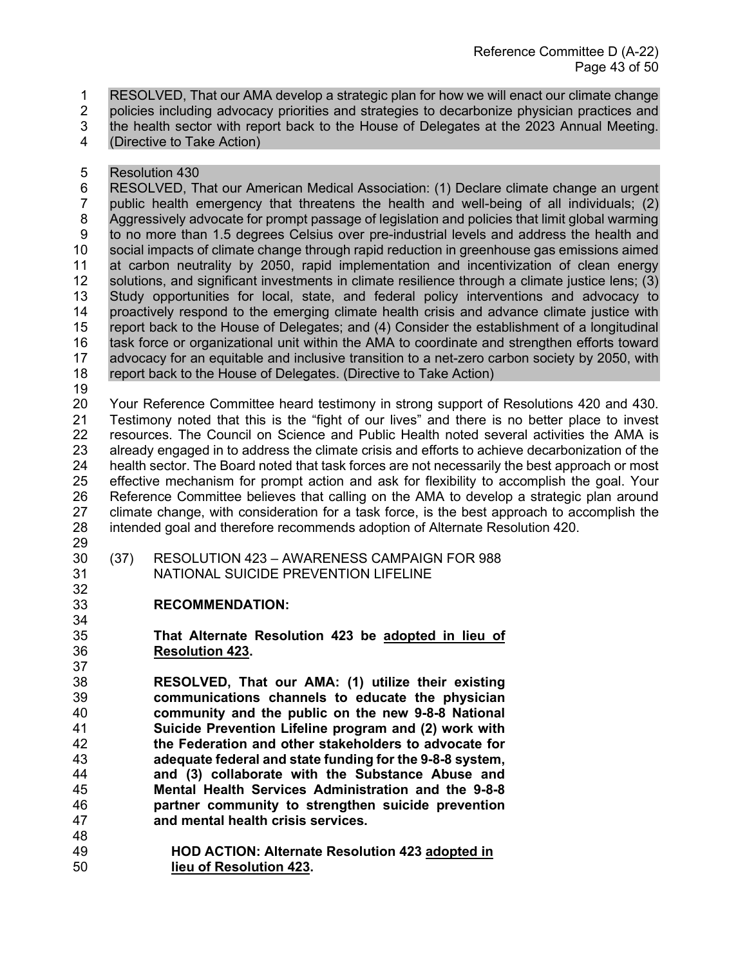1 RESOLVED, That our AMA develop a strategic plan for how we will enact our climate change

2 policies including advocacy priorities and strategies to decarbonize physician practices and

- 3 the health sector with report back to the House of Delegates at the 2023 Annual Meeting.
- 4 (Directive to Take Action)
- 5 Resolution 430

6 RESOLVED, That our American Medical Association: (1) Declare climate change an urgent 7 public health emergency that threatens the health and well-being of all individuals; (2) 8 Aggressively advocate for prompt passage of legislation and policies that limit global warming 9 to no more than 1.5 degrees Celsius over pre-industrial levels and address the health and<br>10 social impacts of climate change through rapid reduction in greenhouse gas emissions aimed social impacts of climate change through rapid reduction in greenhouse gas emissions aimed at carbon neutrality by 2050, rapid implementation and incentivization of clean energy 12 solutions, and significant investments in climate resilience through a climate justice lens; (3)<br>13 Study opportunities for local, state, and federal policy interventions and advocacy to Study opportunities for local, state, and federal policy interventions and advocacy to proactively respond to the emerging climate health crisis and advance climate justice with report back to the House of Delegates; and (4) Consider the establishment of a longitudinal task force or organizational unit within the AMA to coordinate and strengthen efforts toward advocacy for an equitable and inclusive transition to a net-zero carbon society by 2050, with report back to the House of Delegates. (Directive to Take Action)

 Your Reference Committee heard testimony in strong support of Resolutions 420 and 430. Testimony noted that this is the "fight of our lives" and there is no better place to invest 22 resources. The Council on Science and Public Health noted several activities the AMA is<br>23 already engaged in to address the climate crisis and efforts to achieve decarbonization of the already engaged in to address the climate crisis and efforts to achieve decarbonization of the health sector. The Board noted that task forces are not necessarily the best approach or most effective mechanism for prompt action and ask for flexibility to accomplish the goal. Your Reference Committee believes that calling on the AMA to develop a strategic plan around climate change, with consideration for a task force, is the best approach to accomplish the intended goal and therefore recommends adoption of Alternate Resolution 420.

32<br>33

- (37) RESOLUTION 423 AWARENESS CAMPAIGN FOR 988
- NATIONAL SUICIDE PREVENTION LIFELINE
	- **RECOMMENDATION:**
- **That Alternate Resolution 423 be adopted in lieu of Resolution 423.**
- **RESOLVED, That our AMA: (1) utilize their existing communications channels to educate the physician community and the public on the new 9-8-8 National Suicide Prevention Lifeline program and (2) work with the Federation and other stakeholders to advocate for adequate federal and state funding for the 9-8-8 system, and (3) collaborate with the Substance Abuse and Mental Health Services Administration and the 9-8-8 partner community to strengthen suicide prevention and mental health crisis services.**
- **HOD ACTION: Alternate Resolution 423 adopted in lieu of Resolution 423.**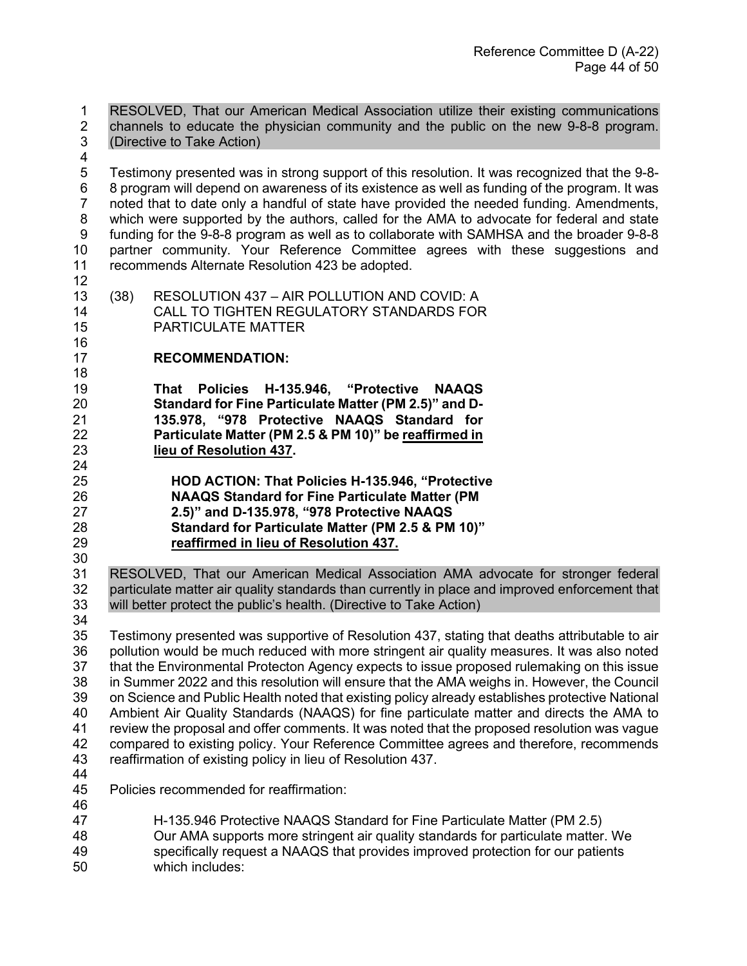1 RESOLVED, That our American Medical Association utilize their existing communications 2 channels to educate the physician community and the public on the new 9-8-8 program.<br>3 (Directive to Take Action) (Directive to Take Action)

- 5 Testimony presented was in strong support of this resolution. It was recognized that the 9-8- 6 8 program will depend on awareness of its existence as well as funding of the program. It was 7 noted that to date only a handful of state have provided the needed funding. Amendments, 8 which were supported by the authors, called for the AMA to advocate for federal and state 9 funding for the 9-8-8 program as well as to collaborate with SAMHSA and the broader 9-8-8 partner community. Your Reference Committee agrees with these suggestions and recommends Alternate Resolution 423 be adopted.
- <br> $13$

- (38) RESOLUTION 437 AIR POLLUTION AND COVID: A CALL TO TIGHTEN REGULATORY STANDARDS FOR PARTICULATE MATTER
- **RECOMMENDATION:**
- **That Policies H-135.946, "Protective NAAQS**  Standard for Fine Particulate Matter (PM 2.5)" and D- **135.978, "978 Protective NAAQS Standard for Particulate Matter (PM 2.5 & PM 10)" be reaffirmed in lieu of Resolution 437.**
- **HOD ACTION: That Policies H-135.946, "Protective NAAQS Standard for Fine Particulate Matter (PM 2.5)" and D-135.978, "978 Protective NAAQS Standard for Particulate Matter (PM 2.5 & PM 10)" reaffirmed in lieu of Resolution 437.**
- RESOLVED, That our American Medical Association AMA advocate for stronger federal 32 particulate matter air quality standards than currently in place and improved enforcement that<br>33 will better protect the public's health. (Directive to Take Action) will better protect the public's health. (Directive to Take Action)
- 

 Testimony presented was supportive of Resolution 437, stating that deaths attributable to air pollution would be much reduced with more stringent air quality measures. It was also noted that the Environmental Protecton Agency expects to issue proposed rulemaking on this issue in Summer 2022 and this resolution will ensure that the AMA weighs in. However, the Council 39 on Science and Public Health noted that existing policy already establishes protective National<br>40 Ambient Air Quality Standards (NAAQS) for fine particulate matter and directs the AMA to Ambient Air Quality Standards (NAAQS) for fine particulate matter and directs the AMA to review the proposal and offer comments. It was noted that the proposed resolution was vague 42 compared to existing policy. Your Reference Committee agrees and therefore, recommends<br>43 reaffirmation of existing policy in lieu of Resolution 437. reaffirmation of existing policy in lieu of Resolution 437.

- 
- Policies recommended for reaffirmation:
- 46<br>47
- 
- H-135.946 Protective NAAQS Standard for Fine Particulate Matter (PM 2.5)
- Our AMA supports more stringent air quality standards for particulate matter. We specifically request a NAAQS that provides improved protection for our patients
- which includes: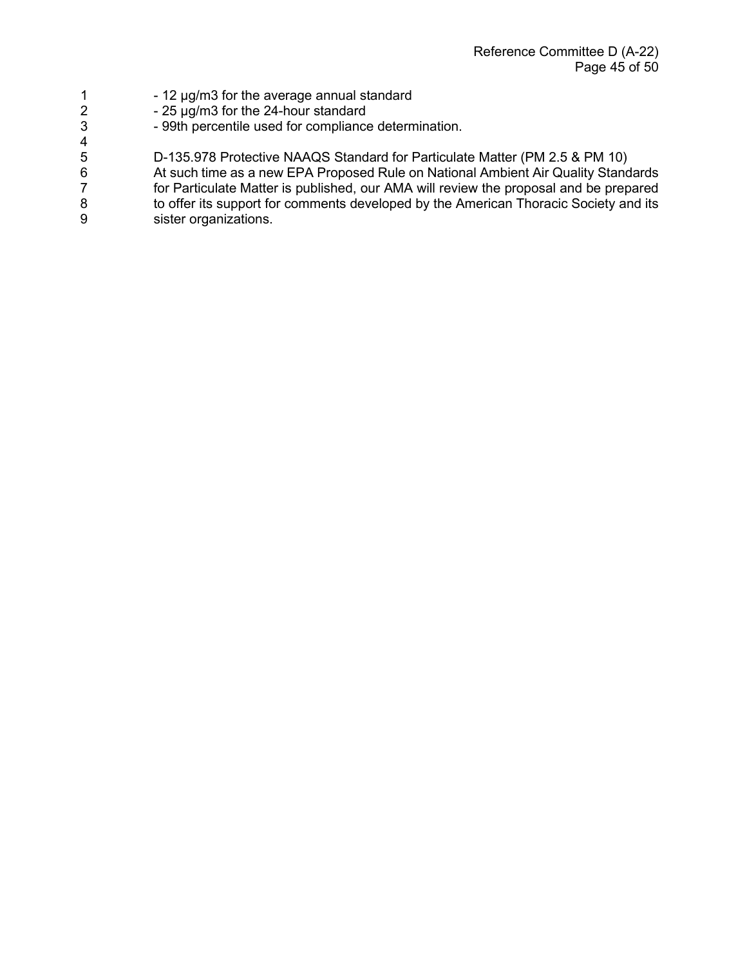- 1  $-$  12  $\mu$ g/m3 for the average annual standard<br>2  $-$  25  $\mu$ g/m3 for the 24-hour standard
	- 25 µg/m3 for the 24-hour standard

 $\frac{4}{5}$ 

3 - 99th percentile used for compliance determination.

5 D-135.978 Protective NAAQS Standard for Particulate Matter (PM 2.5 & PM 10)<br>6 At such time as a new EPA Proposed Rule on National Ambient Air Quality Stand 6 6 At such time as a new EPA Proposed Rule on National Ambient Air Quality Standards<br>7 for Particulate Matter is published, our AMA will review the proposal and be prepared 7 for Particulate Matter is published, our AMA will review the proposal and be prepared<br>8 to offer its support for comments developed by the American Thoracic Society and its 8 to offer its support for comments developed by the American Thoracic Society and its<br>9 sister organizations. sister organizations.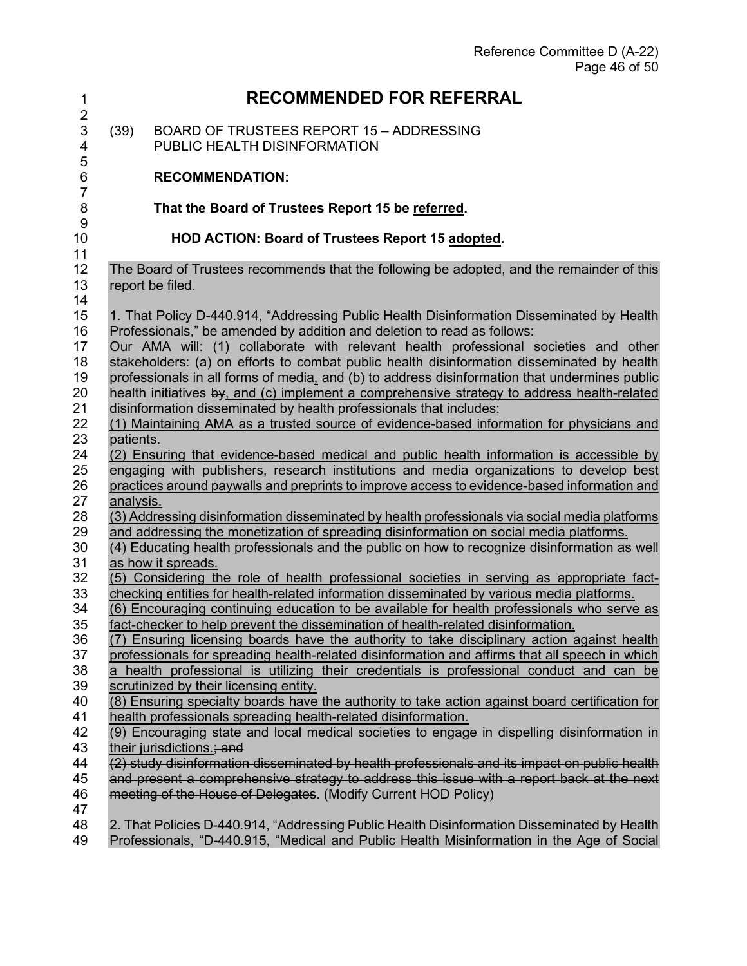| $\mathbf 1$                                | <b>RECOMMENDED FOR REFERRAL</b>                                                                                                                                                                                                                              |
|--------------------------------------------|--------------------------------------------------------------------------------------------------------------------------------------------------------------------------------------------------------------------------------------------------------------|
| $\overline{2}$<br>$\mathfrak{S}$<br>4<br>5 | (39)<br><b>BOARD OF TRUSTEES REPORT 15 - ADDRESSING</b><br>PUBLIC HEALTH DISINFORMATION                                                                                                                                                                      |
| 6<br>$\overline{7}$                        | <b>RECOMMENDATION:</b>                                                                                                                                                                                                                                       |
| 8<br>$9$                                   | That the Board of Trustees Report 15 be referred.                                                                                                                                                                                                            |
| 10<br>11                                   | HOD ACTION: Board of Trustees Report 15 adopted.                                                                                                                                                                                                             |
| 12<br>13<br>14                             | The Board of Trustees recommends that the following be adopted, and the remainder of this<br>report be filed.                                                                                                                                                |
| 15                                         | 1. That Policy D-440.914, "Addressing Public Health Disinformation Disseminated by Health                                                                                                                                                                    |
| 16                                         | Professionals," be amended by addition and deletion to read as follows:                                                                                                                                                                                      |
| 17                                         | Our AMA will: (1) collaborate with relevant health professional societies and other                                                                                                                                                                          |
| 18                                         | stakeholders: (a) on efforts to combat public health disinformation disseminated by health                                                                                                                                                                   |
| 19                                         | professionals in all forms of media, and (b) to address disinformation that undermines public                                                                                                                                                                |
| 20                                         | health initiatives by, and (c) implement a comprehensive strategy to address health-related                                                                                                                                                                  |
| 21                                         | disinformation disseminated by health professionals that includes:                                                                                                                                                                                           |
| 22                                         | (1) Maintaining AMA as a trusted source of evidence-based information for physicians and                                                                                                                                                                     |
| 23                                         | patients.                                                                                                                                                                                                                                                    |
| 24                                         | (2) Ensuring that evidence-based medical and public health information is accessible by                                                                                                                                                                      |
| 25                                         | engaging with publishers, research institutions and media organizations to develop best                                                                                                                                                                      |
| 26                                         | practices around paywalls and preprints to improve access to evidence-based information and                                                                                                                                                                  |
| 27                                         | analysis.                                                                                                                                                                                                                                                    |
| 28                                         | (3) Addressing disinformation disseminated by health professionals via social media platforms                                                                                                                                                                |
| 29                                         | and addressing the monetization of spreading disinformation on social media platforms.                                                                                                                                                                       |
| 30                                         | (4) Educating health professionals and the public on how to recognize disinformation as well                                                                                                                                                                 |
| 31                                         | as how it spreads.                                                                                                                                                                                                                                           |
| 32                                         | (5) Considering the role of health professional societies in serving as appropriate fact-                                                                                                                                                                    |
| 33                                         | checking entities for health-related information disseminated by various media platforms.                                                                                                                                                                    |
| 34                                         | (6) Encouraging continuing education to be available for health professionals who serve as                                                                                                                                                                   |
| 35                                         | fact-checker to help prevent the dissemination of health-related disinformation.                                                                                                                                                                             |
| 36                                         | (7) Ensuring licensing boards have the authority to take disciplinary action against health                                                                                                                                                                  |
| 37                                         | professionals for spreading health-related disinformation and affirms that all speech in which                                                                                                                                                               |
| 38                                         | a health professional is utilizing their credentials is professional conduct and can be                                                                                                                                                                      |
| 39                                         | scrutinized by their licensing entity.                                                                                                                                                                                                                       |
| 40                                         | (8) Ensuring specialty boards have the authority to take action against board certification for                                                                                                                                                              |
| 41                                         | health professionals spreading health-related disinformation.                                                                                                                                                                                                |
| 42                                         | (9) Encouraging state and local medical societies to engage in dispelling disinformation in                                                                                                                                                                  |
| 43                                         | their jurisdictions.; and                                                                                                                                                                                                                                    |
| 44<br>45<br>46<br>47                       | (2) study disinformation disseminated by health professionals and its impact on public health<br>and present a comprehensive strategy to address this issue with a report back at the next<br>meeting of the House of Delegates. (Modify Current HOD Policy) |
| 48                                         | 2. That Policies D-440.914, "Addressing Public Health Disinformation Disseminated by Health                                                                                                                                                                  |
| 49                                         | Professionals, "D-440.915, "Medical and Public Health Misinformation in the Age of Social                                                                                                                                                                    |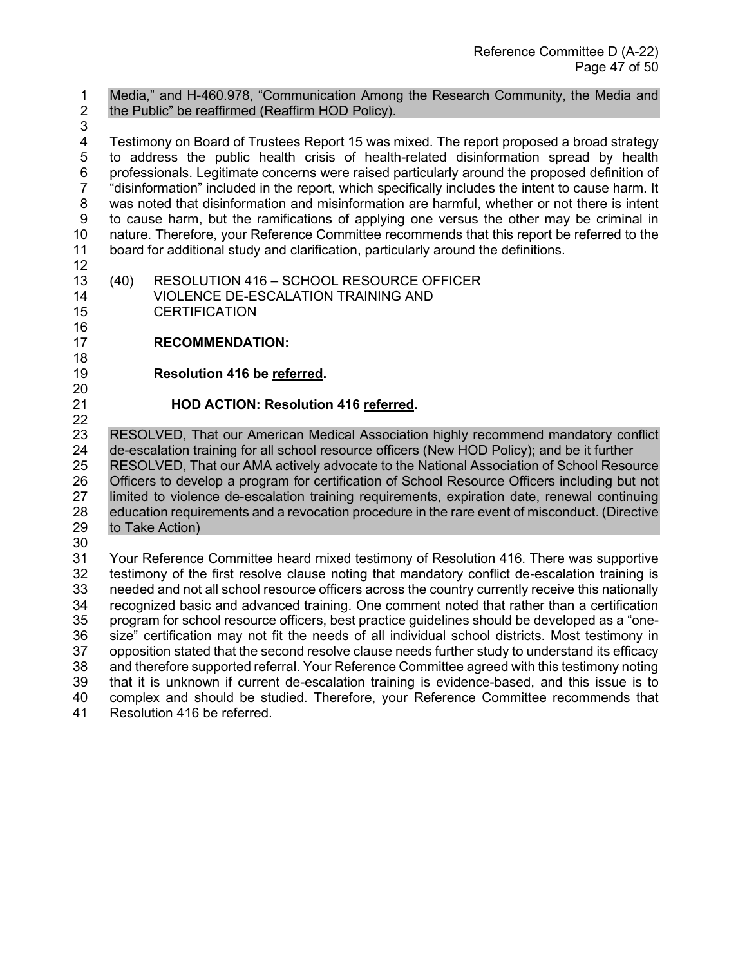1 Media," and H-460.978, "Communication Among the Research Community, the Media and 2 the Public" be reaffirmed (Reaffirm HOD Policy).

3<br>4

Testimony on Board of Trustees Report 15 was mixed. The report proposed a broad strategy 5 to address the public health crisis of health-related disinformation spread by health 6 professionals. Legitimate concerns were raised particularly around the proposed definition of 7 "disinformation" included in the report, which specifically includes the intent to cause harm. It 8 was noted that disinformation and misinformation are harmful, whether or not there is intent 9 to cause harm, but the ramifications of applying one versus the other may be criminal in 10 nature. Therefore, your Reference Committee recommends that this report be referred to the 11 board for additional study and clarification, particularly around the definitions. board for additional study and clarification, particularly around the definitions.

- 12
- 13 (40) RESOLUTION 416 SCHOOL RESOURCE OFFICER 14 VIOLENCE DE-ESCALATION TRAINING AND 15 CERTIFICATION
- 17 **RECOMMENDATION:**
- 18

16

19 **Resolution 416 be referred.** 

20<br>21 22

## 21 **HOD ACTION: Resolution 416 referred.**

 RESOLVED, That our American Medical Association highly recommend mandatory conflict de-escalation training for all school resource officers (New HOD Policy); and be it further RESOLVED, That our AMA actively advocate to the National Association of School Resource 26 Officers to develop a program for certification of School Resource Officers including but not<br>27 Ilmited to violence de-escalation training reguirements, expiration date, renewal continuing limited to violence de-escalation training requirements, expiration date, renewal continuing education requirements and a revocation procedure in the rare event of misconduct. (Directive to Take Action)

30

 Your Reference Committee heard mixed testimony of Resolution 416. There was supportive 32 testimony of the first resolve clause noting that mandatory conflict de-escalation training is<br>33 needed and not all school resource officers across the country currently receive this nationally needed and not all school resource officers across the country currently receive this nationally recognized basic and advanced training. One comment noted that rather than a certification program for school resource officers, best practice guidelines should be developed as a "one- size" certification may not fit the needs of all individual school districts. Most testimony in opposition stated that the second resolve clause needs further study to understand its efficacy and therefore supported referral. Your Reference Committee agreed with this testimony noting 39 that it is unknown if current de-escalation training is evidence-based, and this issue is to<br>40 complex and should be studied. Therefore, your Reference Committee recommends that complex and should be studied. Therefore, your Reference Committee recommends that Resolution 416 be referred.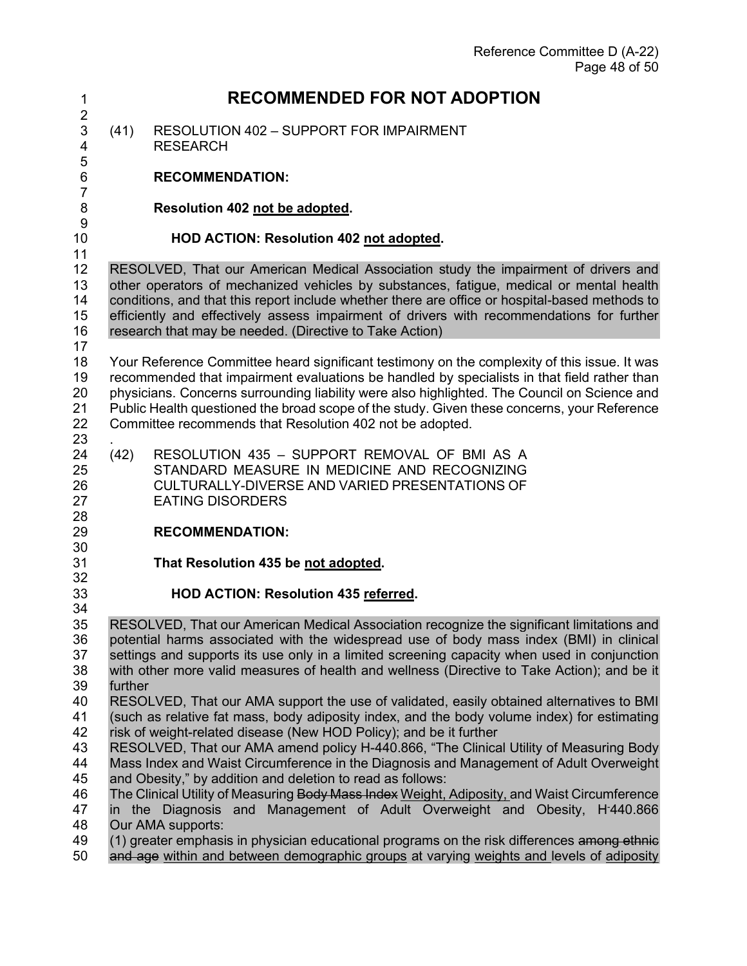| $\mathbf 1$                      | <b>RECOMMENDED FOR NOT ADOPTION</b>                                                                                                                                                                                                                                                                                                                                                                                                      |                                                                                                                                                                                                                                                                                                                                                                                                                                                        |  |
|----------------------------------|------------------------------------------------------------------------------------------------------------------------------------------------------------------------------------------------------------------------------------------------------------------------------------------------------------------------------------------------------------------------------------------------------------------------------------------|--------------------------------------------------------------------------------------------------------------------------------------------------------------------------------------------------------------------------------------------------------------------------------------------------------------------------------------------------------------------------------------------------------------------------------------------------------|--|
| $\overline{2}$<br>3<br>4         | (41)                                                                                                                                                                                                                                                                                                                                                                                                                                     | <b>RESOLUTION 402 - SUPPORT FOR IMPAIRMENT</b><br><b>RESEARCH</b>                                                                                                                                                                                                                                                                                                                                                                                      |  |
| 5<br>6                           |                                                                                                                                                                                                                                                                                                                                                                                                                                          | <b>RECOMMENDATION:</b>                                                                                                                                                                                                                                                                                                                                                                                                                                 |  |
| $\overline{7}$<br>8              |                                                                                                                                                                                                                                                                                                                                                                                                                                          | Resolution 402 not be adopted.                                                                                                                                                                                                                                                                                                                                                                                                                         |  |
| 9<br>10<br>11                    |                                                                                                                                                                                                                                                                                                                                                                                                                                          | HOD ACTION: Resolution 402 not adopted.                                                                                                                                                                                                                                                                                                                                                                                                                |  |
| 12<br>13<br>14<br>15<br>16       | RESOLVED, That our American Medical Association study the impairment of drivers and<br>other operators of mechanized vehicles by substances, fatigue, medical or mental health<br>conditions, and that this report include whether there are office or hospital-based methods to<br>efficiently and effectively assess impairment of drivers with recommendations for further<br>research that may be needed. (Directive to Take Action) |                                                                                                                                                                                                                                                                                                                                                                                                                                                        |  |
| 17<br>18<br>19<br>20<br>21<br>22 |                                                                                                                                                                                                                                                                                                                                                                                                                                          | Your Reference Committee heard significant testimony on the complexity of this issue. It was<br>recommended that impairment evaluations be handled by specialists in that field rather than<br>physicians. Concerns surrounding liability were also highlighted. The Council on Science and<br>Public Health questioned the broad scope of the study. Given these concerns, your Reference<br>Committee recommends that Resolution 402 not be adopted. |  |
| 23<br>24<br>25<br>26<br>27       | (42)                                                                                                                                                                                                                                                                                                                                                                                                                                     | RESOLUTION 435 - SUPPORT REMOVAL OF BMI AS A<br>STANDARD MEASURE IN MEDICINE AND RECOGNIZING<br>CULTURALLY-DIVERSE AND VARIED PRESENTATIONS OF<br><b>EATING DISORDERS</b>                                                                                                                                                                                                                                                                              |  |
| 28<br>29<br>30                   |                                                                                                                                                                                                                                                                                                                                                                                                                                          | <b>RECOMMENDATION:</b>                                                                                                                                                                                                                                                                                                                                                                                                                                 |  |
| 31<br>32                         |                                                                                                                                                                                                                                                                                                                                                                                                                                          | That Resolution 435 be not adopted.                                                                                                                                                                                                                                                                                                                                                                                                                    |  |
| 33<br>34                         |                                                                                                                                                                                                                                                                                                                                                                                                                                          | HOD ACTION: Resolution 435 referred.                                                                                                                                                                                                                                                                                                                                                                                                                   |  |
| 35<br>36<br>37<br>38<br>39       | further                                                                                                                                                                                                                                                                                                                                                                                                                                  | RESOLVED, That our American Medical Association recognize the significant limitations and<br>potential harms associated with the widespread use of body mass index (BMI) in clinical<br>settings and supports its use only in a limited screening capacity when used in conjunction<br>with other more valid measures of health and wellness (Directive to Take Action); and be it                                                                     |  |
| 40<br>41<br>42                   |                                                                                                                                                                                                                                                                                                                                                                                                                                          | RESOLVED, That our AMA support the use of validated, easily obtained alternatives to BMI<br>(such as relative fat mass, body adiposity index, and the body volume index) for estimating<br>risk of weight-related disease (New HOD Policy); and be it further                                                                                                                                                                                          |  |
| 43<br>44<br>45                   |                                                                                                                                                                                                                                                                                                                                                                                                                                          | RESOLVED, That our AMA amend policy H-440.866, "The Clinical Utility of Measuring Body<br>Mass Index and Waist Circumference in the Diagnosis and Management of Adult Overweight<br>and Obesity," by addition and deletion to read as follows:                                                                                                                                                                                                         |  |
| 46<br>47<br>48                   |                                                                                                                                                                                                                                                                                                                                                                                                                                          | The Clinical Utility of Measuring Body Mass Index Weight, Adiposity, and Waist Circumference<br>in the Diagnosis and Management of Adult Overweight and Obesity, H-440.866<br>Our AMA supports:                                                                                                                                                                                                                                                        |  |
| 49<br>50                         |                                                                                                                                                                                                                                                                                                                                                                                                                                          | (1) greater emphasis in physician educational programs on the risk differences among ethnic<br>and age within and between demographic groups at varying weights and levels of adiposity                                                                                                                                                                                                                                                                |  |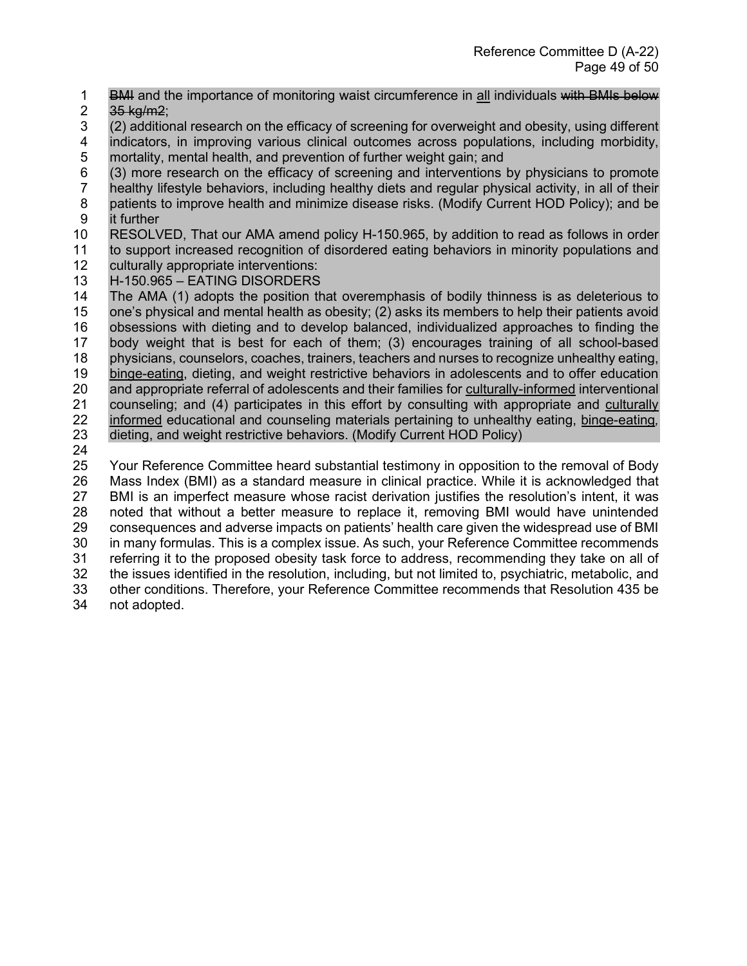- 1 BMH and the importance of monitoring waist circumference in all individuals with BMIs below
- 2  $35 \text{ kg/m2}$ ;
- 3 (2) additional research on the efficacy of screening for overweight and obesity, using different indicators, in improving various clinical outcomes across populations, including morbidity, 5 mortality, mental health, and prevention of further weight gain; and
- 6 (3) more research on the efficacy of screening and interventions by physicians to promote healthy lifestyle behaviors, including healthy diets and regular physical activity, in all of their 8 patients to improve health and minimize disease risks. (Modify Current HOD Policy); and be 9 it further
- 10 RESOLVED, That our AMA amend policy H-150.965, by addition to read as follows in order to support increased recognition of disordered eating behaviors in minority populations and
- 12 culturally appropriate interventions:
- 
- 13 H-150.965 EATING DISORDERS<br>14 The AMA (1) adopts the position th The AMA (1) adopts the position that overemphasis of bodily thinness is as deleterious to 15 one's physical and mental health as obesity; (2) asks its members to help their patients avoid 16 obsessions with dieting and to develop balanced, individualized approaches to finding the 17 body weight that is best for each of them; (3) encourages training of all school-based 18 physicians, counselors, coaches, trainers, teachers and nurses to recognize unhealthy eating, 19 binge-eating, dieting, and weight restrictive behaviors in adolescents and to offer education 20 and appropriate referral of adolescents and their families for culturally-informed interventional 21 counseling; and (4) participates in this effort by consulting with appropriate and culturally 22 informed educational and counseling materials pertaining to unhealthy eating, binge-eating*,*  23 dieting, and weight restrictive behaviors. (Modify Current HOD Policy)
- 24

 Your Reference Committee heard substantial testimony in opposition to the removal of Body 26 Mass Index (BMI) as a standard measure in clinical practice. While it is acknowledged that 27 BMI is an imperfect measure whose racist derivation justifies the resolution's intent, it was BMI is an imperfect measure whose racist derivation justifies the resolution's intent, it was noted that without a better measure to replace it, removing BMI would have unintended consequences and adverse impacts on patients' health care given the widespread use of BMI in many formulas. This is a complex issue. As such, your Reference Committee recommends referring it to the proposed obesity task force to address, recommending they take on all of the issues identified in the resolution, including, but not limited to, psychiatric, metabolic, and other conditions. Therefore, your Reference Committee recommends that Resolution 435 be not adopted.